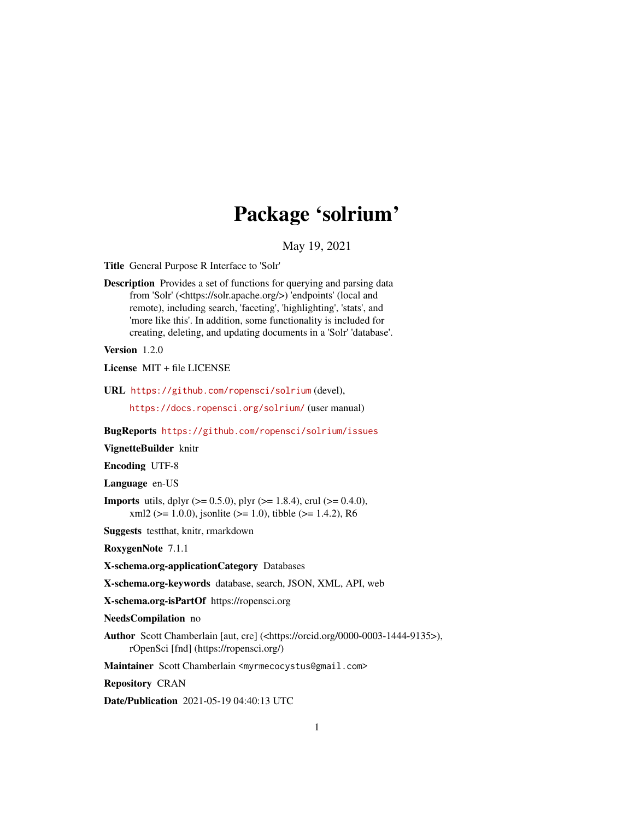# Package 'solrium'

May 19, 2021

<span id="page-0-0"></span>Title General Purpose R Interface to 'Solr'

Description Provides a set of functions for querying and parsing data from 'Solr' (<https://solr.apache.org/>) 'endpoints' (local and remote), including search, 'faceting', 'highlighting', 'stats', and 'more like this'. In addition, some functionality is included for creating, deleting, and updating documents in a 'Solr' 'database'.

Version 1.2.0

License MIT + file LICENSE

URL <https://github.com/ropensci/solrium> (devel),

<https://docs.ropensci.org/solrium/> (user manual)

BugReports <https://github.com/ropensci/solrium/issues>

VignetteBuilder knitr

Encoding UTF-8

Language en-US

**Imports** utils, dplyr ( $> = 0.5.0$ ), plyr ( $> = 1.8.4$ ), crul ( $> = 0.4.0$ ),  $xml2 (> = 1.0.0)$ , jsonlite ( $>= 1.0$ ), tibble ( $>= 1.4.2$ ), R6

Suggests testthat, knitr, rmarkdown

RoxygenNote 7.1.1

X-schema.org-applicationCategory Databases

X-schema.org-keywords database, search, JSON, XML, API, web

X-schema.org-isPartOf https://ropensci.org

NeedsCompilation no

Author Scott Chamberlain [aut, cre] (<https://orcid.org/0000-0003-1444-9135>), rOpenSci [fnd] (https://ropensci.org/)

Maintainer Scott Chamberlain <myrmecocystus@gmail.com>

Repository CRAN

Date/Publication 2021-05-19 04:40:13 UTC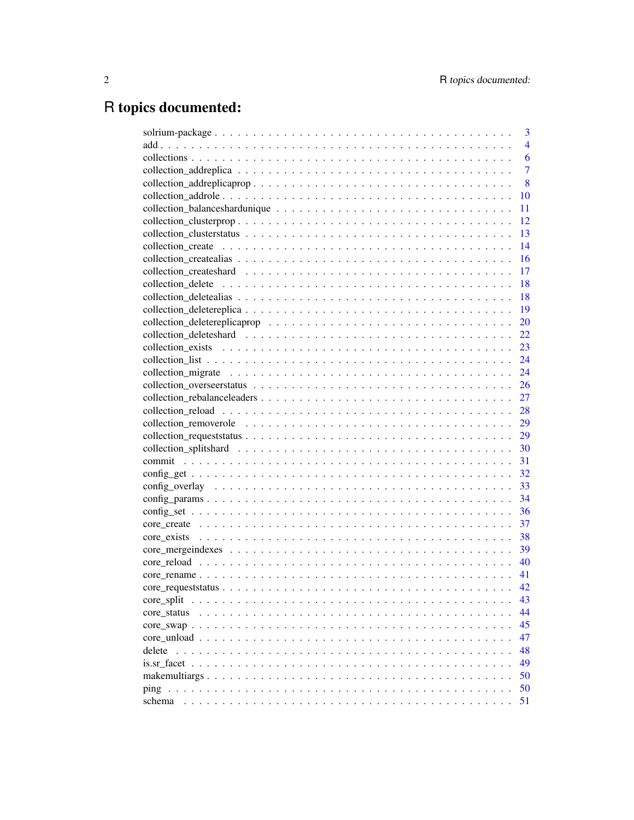# R topics documented:

| 3                 |
|-------------------|
| $\overline{4}$    |
| 6                 |
| $\overline{7}$    |
| 8                 |
| 10                |
| 11                |
| 12                |
| 13                |
| 14                |
| 16                |
| 17                |
| 18                |
| 18                |
| 19                |
| 20                |
| 22                |
| 23                |
| 24                |
| 24                |
| 26                |
| 27                |
| 28                |
| 29                |
| 29                |
| 30                |
| 31                |
| 32                |
| 33                |
| 34                |
| 36                |
| 37                |
| 38                |
| 39                |
| 40                |
| 41                |
| 42                |
| 43<br>core split  |
| 44<br>core status |
| 45                |
| 47                |
| 48<br>delete      |
| 49                |
| 50                |
| 50<br>ping        |
| 51<br>schema      |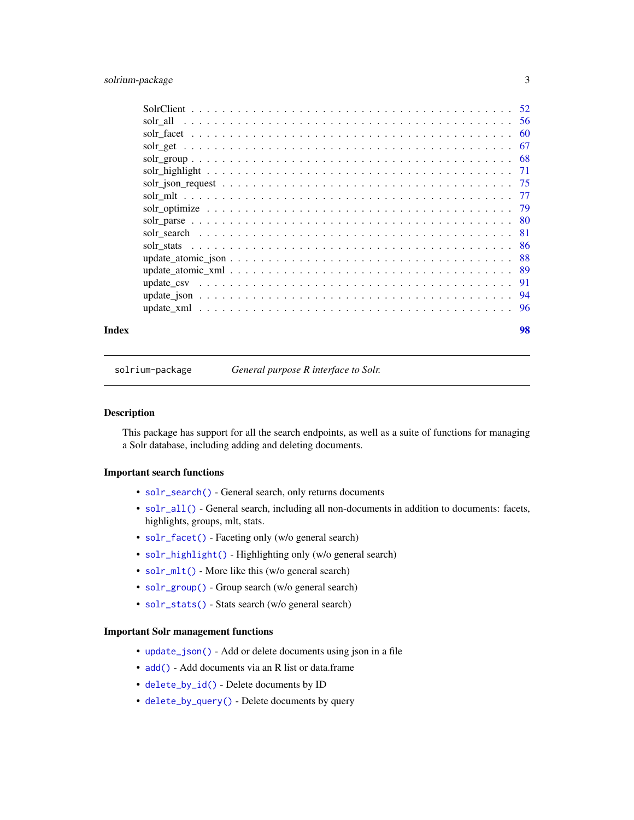# <span id="page-2-0"></span>solrium-package 3

| Index | 98 |
|-------|----|

solrium-package *General purpose R interface to Solr.*

#### Description

This package has support for all the search endpoints, as well as a suite of functions for managing a Solr database, including adding and deleting documents.

# Important search functions

- [solr\\_search\(\)](#page-80-1) General search, only returns documents
- [solr\\_all\(\)](#page-55-1) General search, including all non-documents in addition to documents: facets, highlights, groups, mlt, stats.
- [solr\\_facet\(\)](#page-59-1) Faceting only (w/o general search)
- [solr\\_highlight\(\)](#page-70-1) Highlighting only (w/o general search)
- [solr\\_mlt\(\)](#page-76-1) More like this (w/o general search)
- [solr\\_group\(\)](#page-67-1) Group search (w/o general search)
- [solr\\_stats\(\)](#page-85-1) Stats search (w/o general search)

#### Important Solr management functions

- [update\\_json\(\)](#page-93-1) Add or delete documents using json in a file
- [add\(\)](#page-3-1) Add documents via an R list or data.frame
- [delete\\_by\\_id\(\)](#page-47-1) Delete documents by ID
- [delete\\_by\\_query\(\)](#page-47-1) Delete documents by query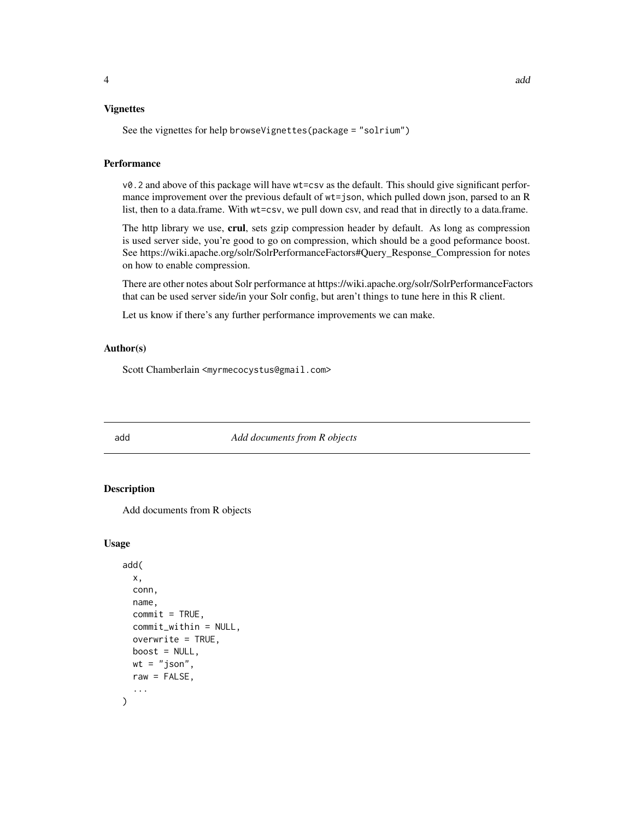#### <span id="page-3-0"></span>Vignettes

See the vignettes for help browseVignettes(package = "solrium")

#### Performance

v0.2 and above of this package will have wt=csv as the default. This should give significant performance improvement over the previous default of wt=json, which pulled down json, parsed to an R list, then to a data.frame. With wt=csv, we pull down csv, and read that in directly to a data.frame.

The http library we use, crul, sets gzip compression header by default. As long as compression is used server side, you're good to go on compression, which should be a good peformance boost. See https://wiki.apache.org/solr/SolrPerformanceFactors#Query\_Response\_Compression for notes on how to enable compression.

There are other notes about Solr performance at https://wiki.apache.org/solr/SolrPerformanceFactors that can be used server side/in your Solr config, but aren't things to tune here in this R client.

Let us know if there's any further performance improvements we can make.

#### Author(s)

Scott Chamberlain <myrmecocystus@gmail.com>

<span id="page-3-1"></span>add *Add documents from R objects*

# **Description**

Add documents from R objects

#### Usage

```
add(
  x,
  conn,
 name,
  commit = TRUE,commit_within = NULL,
  overwrite = TRUE,
 boost = NULL,
 wt = "ison".raw = FALSE,
  ...
)
```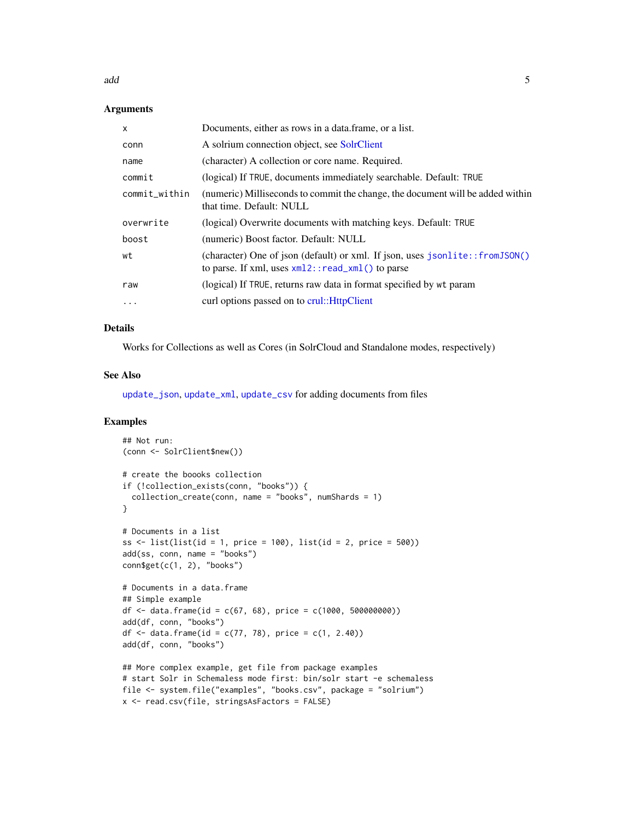add 5 and 5 and 5 and 5 and 5 and 5 and 5 and 5 and 5 and 5 and 5 and 5 and 5 and 5 and 5 and 5 and 5 and 5 and 5 and 5 and 5 and 5 and 5 and 5 and 5 and 5 and 5 and 5 and 5 and 5 and 5 and 5 and 5 and 5 and 5 and 5 and 5

#### **Arguments**

| $\mathsf{x}$  | Documents, either as rows in a data, frame, or a list.                                                                                  |
|---------------|-----------------------------------------------------------------------------------------------------------------------------------------|
| conn          | A solrium connection object, see SolrClient                                                                                             |
| name          | (character) A collection or core name. Required.                                                                                        |
| commit        | (logical) If TRUE, documents immediately searchable. Default: TRUE                                                                      |
| commit_within | (numeric) Milliseconds to commit the change, the document will be added within<br>that time. Default: NULL                              |
| overwrite     | (logical) Overwrite documents with matching keys. Default: TRUE                                                                         |
| boost         | (numeric) Boost factor. Default: NULL                                                                                                   |
| wt            | (character) One of json (default) or xml. If json, uses $jsonlite::fromJSON()$<br>to parse. If xml, uses $xml2$ : : read_xml() to parse |
| raw           | (logical) If TRUE, returns raw data in format specified by wt param                                                                     |
| $\cdots$      | curl options passed on to crul:: HttpClient                                                                                             |

#### Details

Works for Collections as well as Cores (in SolrCloud and Standalone modes, respectively)

# See Also

[update\\_json](#page-93-1), [update\\_xml](#page-95-1), [update\\_csv](#page-90-1) for adding documents from files

```
## Not run:
(conn <- SolrClient$new())
# create the boooks collection
if (!collection_exists(conn, "books")) {
  collection_create(conn, name = "books", numShards = 1)
}
# Documents in a list
ss \le list(list(id = 1, price = 100), list(id = 2, price = 500))
add(ss, conn, name = "books")
conn$get(c(1, 2), "books")# Documents in a data.frame
## Simple example
df <- data.frame(id = c(67, 68), price = c(1000, 500000000))
add(df, conn, "books")
df <- data.frame(id = c(77, 78), price = c(1, 2.40))
add(df, conn, "books")
## More complex example, get file from package examples
# start Solr in Schemaless mode first: bin/solr start -e schemaless
file <- system.file("examples", "books.csv", package = "solrium")
x <- read.csv(file, stringsAsFactors = FALSE)
```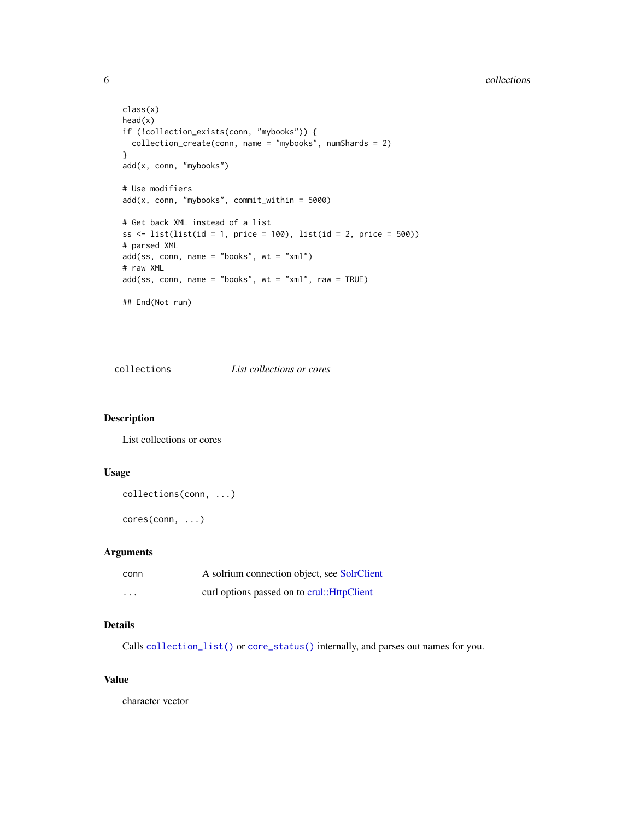#### 6 collections contains the collections of the collections of the collections of the collections of the collections of the collections of the collections of the collections of the collections of the collections of the colle

```
class(x)
head(x)
if (!collection_exists(conn, "mybooks")) {
 collection_create(conn, name = "mybooks", numShards = 2)
}
add(x, conn, "mybooks")
# Use modifiers
add(x, conn, "mybooks", commit_within = 5000)
# Get back XML instead of a list
ss \le list(list(id = 1, price = 100), list(id = 2, price = 500))
# parsed XML
add(ss, conn, name = "books", wt = "xml")# raw XML
add(ss, conn, name = "books", wt = "xml", raw = TRUE)## End(Not run)
```
collections *List collections or cores*

#### Description

List collections or cores

#### Usage

```
collections(conn, ...)
```
cores(conn, ...)

# Arguments

| conn     | A solrium connection object, see SolrClient |
|----------|---------------------------------------------|
| $\cdots$ | curl options passed on to crul:: HttpClient |

# Details

Calls [collection\\_list\(\)](#page-23-1) or [core\\_status\(\)](#page-43-1) internally, and parses out names for you.

# Value

character vector

<span id="page-5-0"></span>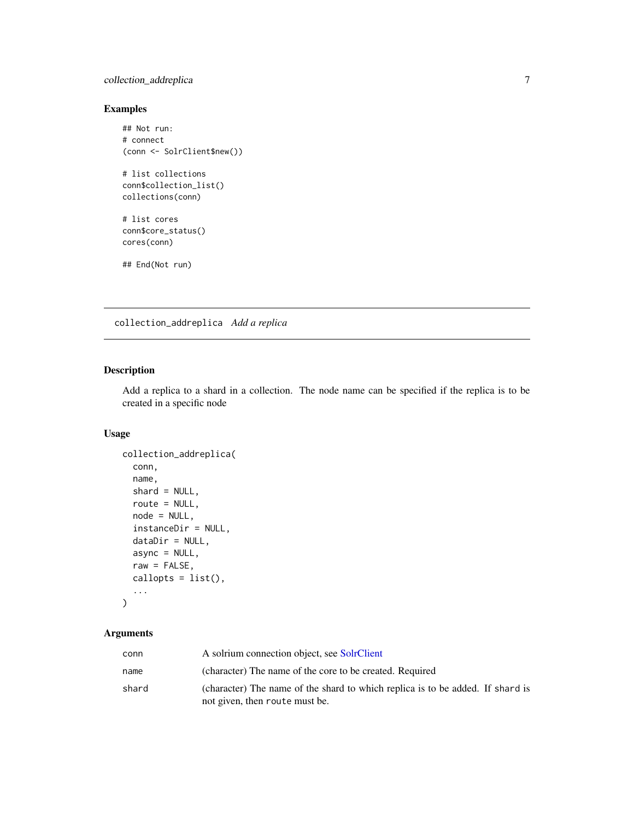# <span id="page-6-0"></span>collection\_addreplica 7

# Examples

```
## Not run:
# connect
(conn <- SolrClient$new())
# list collections
conn$collection_list()
collections(conn)
# list cores
conn$core_status()
cores(conn)
## End(Not run)
```
collection\_addreplica *Add a replica*

# Description

Add a replica to a shard in a collection. The node name can be specified if the replica is to be created in a specific node

# Usage

```
collection_addreplica(
 conn,
 name,
 shard = NULL,route = NULL,
 node = NULL,
  instanceDir = NULL,
 dataDir = NULL,
 async = NULL,raw = FALSE,callopts = list(),
  ...
)
```

| conn  | A solrium connection object, see SolrClient                                    |
|-------|--------------------------------------------------------------------------------|
| name  | (character) The name of the core to be created. Required                       |
| shard | (character) The name of the shard to which replica is to be added. If shard is |
|       | not given, then route must be.                                                 |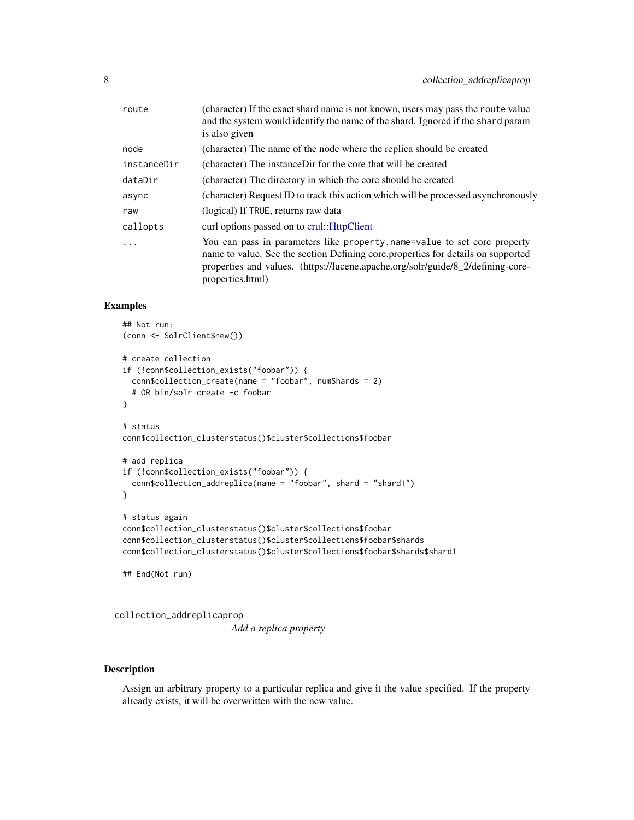<span id="page-7-0"></span>

| route       | (character) If the exact shard name is not known, users may pass the route value<br>and the system would identify the name of the shard. Ignored if the shard param<br>is also given                                                                                |
|-------------|---------------------------------------------------------------------------------------------------------------------------------------------------------------------------------------------------------------------------------------------------------------------|
| node        | (character) The name of the node where the replica should be created                                                                                                                                                                                                |
| instanceDir | (character) The instance Dir for the core that will be created                                                                                                                                                                                                      |
| dataDir     | (character) The directory in which the core should be created                                                                                                                                                                                                       |
| async       | (character) Request ID to track this action which will be processed asynchronously                                                                                                                                                                                  |
| raw         | (logical) If TRUE, returns raw data                                                                                                                                                                                                                                 |
| callopts    | curl options passed on to crul:: HttpClient                                                                                                                                                                                                                         |
| $\ddots$    | You can pass in parameters like property name=value to set core property<br>name to value. See the section Defining core properties for details on supported<br>properties and values. (https://lucene.apache.org/solr/guide/8_2/defining-core-<br>properties.html) |

#### Examples

```
## Not run:
(conn <- SolrClient$new())
# create collection
if (!conn$collection_exists("foobar")) {
  conn$collection_create(name = "foobar", numShards = 2)
  # OR bin/solr create -c foobar
}
# status
conn$collection_clusterstatus()$cluster$collections$foobar
# add replica
if (!conn$collection_exists("foobar")) {
  conn$collection_addreplica(name = "foobar", shard = "shard1")
}
# status again
conn$collection_clusterstatus()$cluster$collections$foobar
conn$collection_clusterstatus()$cluster$collections$foobar$shards
conn$collection_clusterstatus()$cluster$collections$foobar$shards$shard1
```
## End(Not run)

collection\_addreplicaprop

*Add a replica property*

#### Description

Assign an arbitrary property to a particular replica and give it the value specified. If the property already exists, it will be overwritten with the new value.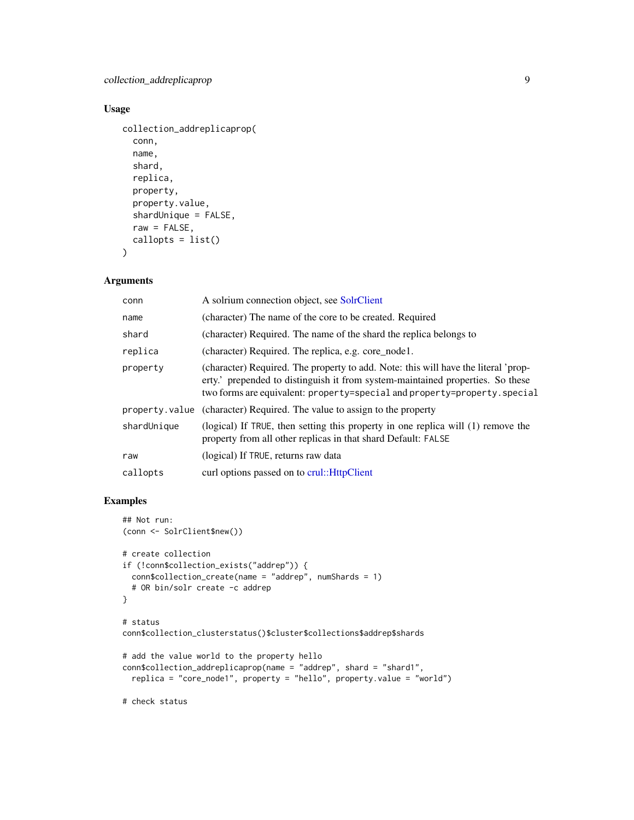# Usage

```
collection_addreplicaprop(
  conn,
  name,
  shard,
  replica,
  property,
  property.value,
  shardUnique = FALSE,
  raw = FALSE,callopts = list()
```
 $\lambda$ 

#### Arguments

| conn        | A solrium connection object, see SolrClient                                                                                                                                                                                                       |
|-------------|---------------------------------------------------------------------------------------------------------------------------------------------------------------------------------------------------------------------------------------------------|
| name        | (character) The name of the core to be created. Required                                                                                                                                                                                          |
| shard       | (character) Required. The name of the shard the replica belongs to                                                                                                                                                                                |
| replica     | (character) Required. The replica, e.g. core_node1.                                                                                                                                                                                               |
| property    | (character) Required. The property to add. Note: this will have the literal 'prop-<br>erty.' prepended to distinguish it from system-maintained properties. So these<br>two forms are equivalent: property=special and property=property. special |
|             | property value (character) Required. The value to assign to the property                                                                                                                                                                          |
| shardUnique | (logical) If TRUE, then setting this property in one replica will (1) remove the<br>property from all other replicas in that shard Default: FALSE                                                                                                 |
| raw         | (logical) If TRUE, returns raw data                                                                                                                                                                                                               |
| callopts    | curl options passed on to crul:: HttpClient                                                                                                                                                                                                       |

```
## Not run:
(conn <- SolrClient$new())
# create collection
if (!conn$collection_exists("addrep")) {
  conn$collection_create(name = "addrep", numShards = 1)
  # OR bin/solr create -c addrep
}
# status
conn$collection_clusterstatus()$cluster$collections$addrep$shards
# add the value world to the property hello
conn$collection_addreplicaprop(name = "addrep", shard = "shard1",
  replica = "core_node1", property = "hello", property.value = "world")
# check status
```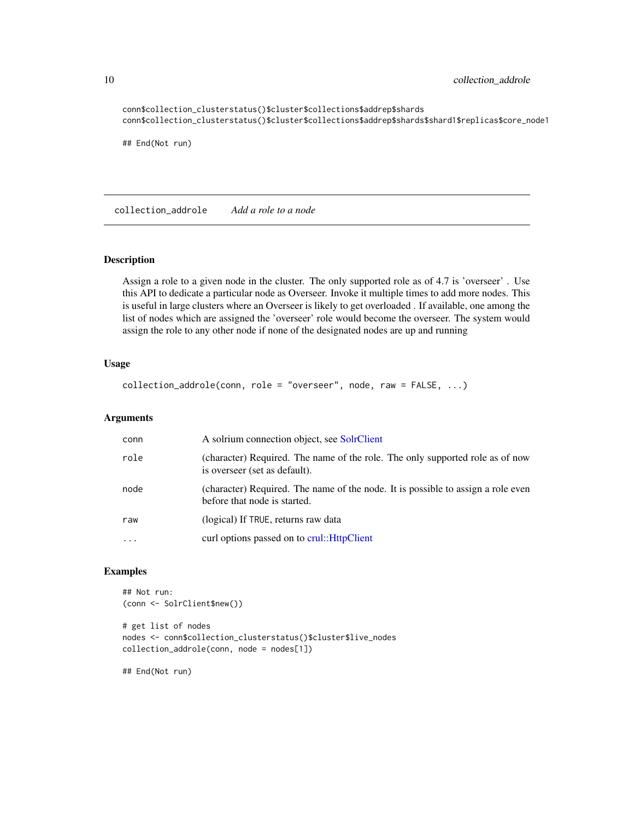```
conn$collection_clusterstatus()$cluster$collections$addrep$shards
conn$collection_clusterstatus()$cluster$collections$addrep$shards$shard1$replicas$core_node1
## End(Not run)
```
<span id="page-9-1"></span>collection\_addrole *Add a role to a node*

#### Description

Assign a role to a given node in the cluster. The only supported role as of 4.7 is 'overseer' . Use this API to dedicate a particular node as Overseer. Invoke it multiple times to add more nodes. This is useful in large clusters where an Overseer is likely to get overloaded . If available, one among the list of nodes which are assigned the 'overseer' role would become the overseer. The system would assign the role to any other node if none of the designated nodes are up and running

# Usage

```
collection_addrole(conn, role = "overseer", node, raw = FALSE, ...)
```
#### Arguments

| conn      | A solrium connection object, see SolrClient                                                                      |
|-----------|------------------------------------------------------------------------------------------------------------------|
| role      | (character) Required. The name of the role. The only supported role as of now<br>is overseer (set as default).   |
| node      | (character) Required. The name of the node. It is possible to assign a role even<br>before that node is started. |
| raw       | (logical) If TRUE, returns raw data                                                                              |
| $\ddotsc$ | curl options passed on to crul:: HttpClient                                                                      |
|           |                                                                                                                  |

#### Examples

```
## Not run:
(conn <- SolrClient$new())
```
# get list of nodes nodes <- conn\$collection\_clusterstatus()\$cluster\$live\_nodes collection\_addrole(conn, node = nodes[1])

## End(Not run)

<span id="page-9-0"></span>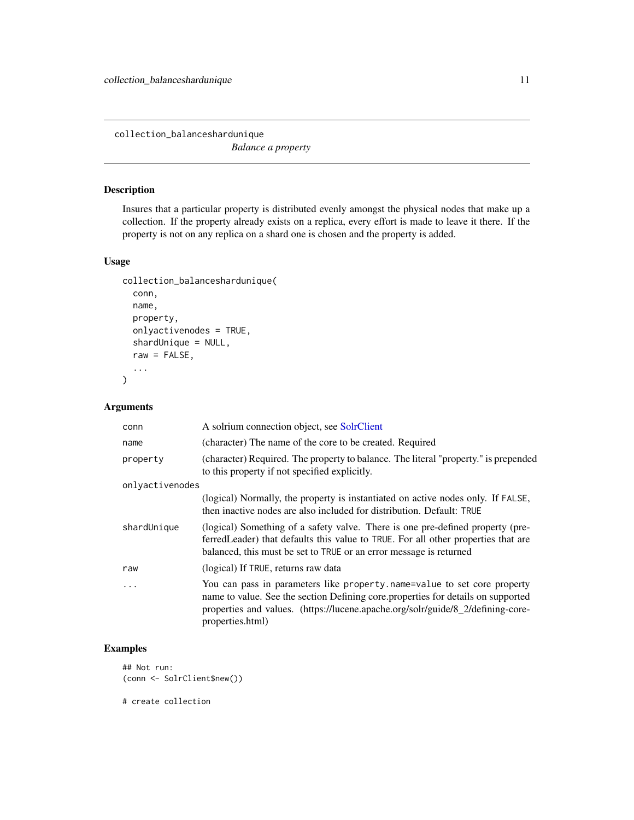<span id="page-10-0"></span>collection\_balanceshardunique *Balance a property*

# Description

Insures that a particular property is distributed evenly amongst the physical nodes that make up a collection. If the property already exists on a replica, every effort is made to leave it there. If the property is not on any replica on a shard one is chosen and the property is added.

# Usage

```
collection_balanceshardunique(
  conn,
  name,
 property,
  onlyactivenodes = TRUE,
  shardUnique = NULL,
  raw = FALSE,
  ...
)
```
# Arguments

| conn            | A solrium connection object, see SolrClient                                                                                                                                                                                                                          |
|-----------------|----------------------------------------------------------------------------------------------------------------------------------------------------------------------------------------------------------------------------------------------------------------------|
| name            | (character) The name of the core to be created. Required                                                                                                                                                                                                             |
| property        | (character) Required. The property to balance. The literal "property." is prepended<br>to this property if not specified explicitly.                                                                                                                                 |
| onlyactivenodes |                                                                                                                                                                                                                                                                      |
|                 | (logical) Normally, the property is instantiated on active nodes only. If FALSE,<br>then inactive nodes are also included for distribution. Default: TRUE                                                                                                            |
| shardUnique     | (logical) Something of a safety valve. There is one pre-defined property (pre-<br>ferred Leader) that defaults this value to TRUE. For all other properties that are<br>balanced, this must be set to TRUE or an error message is returned                           |
| raw             | (logical) If TRUE, returns raw data                                                                                                                                                                                                                                  |
| $\cdots$        | You can pass in parameters like property. name=value to set core property<br>name to value. See the section Defining core properties for details on supported<br>properties and values. (https://lucene.apache.org/solr/guide/8_2/defining-core-<br>properties.html) |

# Examples

```
## Not run:
(conn <- SolrClient$new())
```
# create collection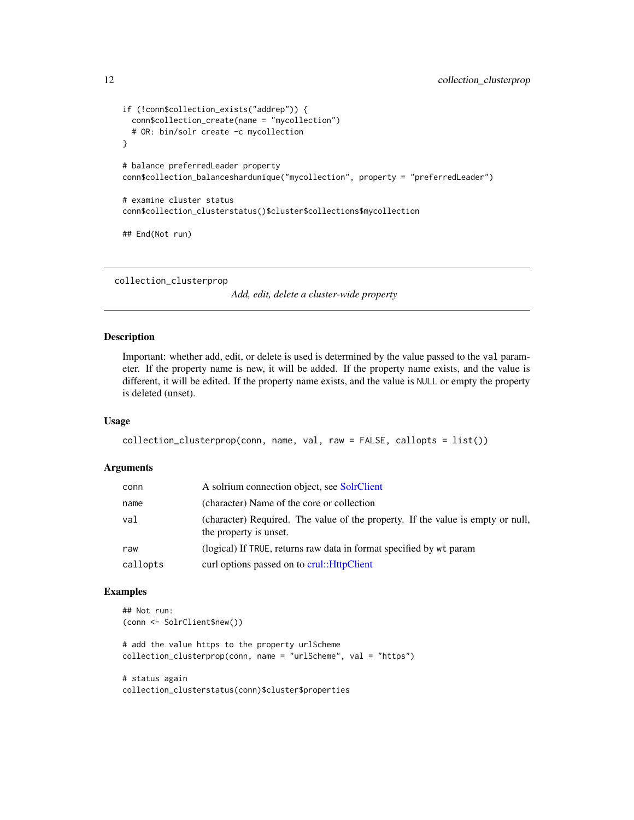```
if (!conn$collection_exists("addrep")) {
 conn$collection_create(name = "mycollection")
 # OR: bin/solr create -c mycollection
}
# balance preferredLeader property
conn$collection_balanceshardunique("mycollection", property = "preferredLeader")
# examine cluster status
conn$collection_clusterstatus()$cluster$collections$mycollection
## End(Not run)
```
collection\_clusterprop

*Add, edit, delete a cluster-wide property*

# Description

Important: whether add, edit, or delete is used is determined by the value passed to the val parameter. If the property name is new, it will be added. If the property name exists, and the value is different, it will be edited. If the property name exists, and the value is NULL or empty the property is deleted (unset).

#### Usage

```
collection_clusterprop(conn, name, val, raw = FALSE, callopts = list())
```
#### Arguments

| conn     | A solrium connection object, see SolrClient                                                               |
|----------|-----------------------------------------------------------------------------------------------------------|
| name     | (character) Name of the core or collection                                                                |
| val      | (character) Required. The value of the property. If the value is empty or null,<br>the property is unset. |
| raw      | (logical) If TRUE, returns raw data in format specified by wt param                                       |
| callopts | curl options passed on to crul:: HttpClient                                                               |

#### Examples

```
## Not run:
(conn <- SolrClient$new())
```
# add the value https to the property urlScheme collection\_clusterprop(conn, name = "urlScheme", val = "https")

# status again collection\_clusterstatus(conn)\$cluster\$properties

<span id="page-11-0"></span>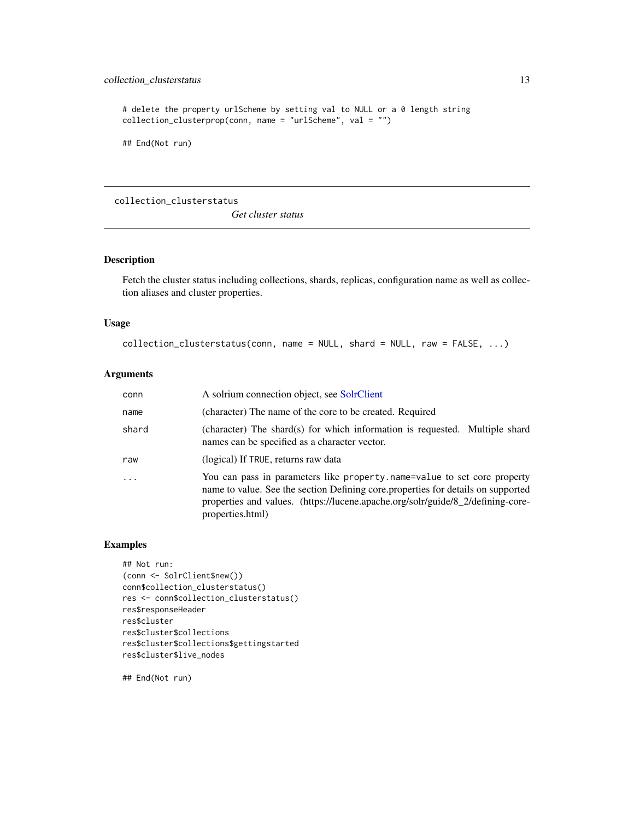# <span id="page-12-0"></span>collection\_clusterstatus 13

```
# delete the property urlScheme by setting val to NULL or a 0 length string
collection_clusterprop(conn, name = "urlScheme", val = "")
```
## End(Not run)

collection\_clusterstatus

*Get cluster status*

#### Description

Fetch the cluster status including collections, shards, replicas, configuration name as well as collection aliases and cluster properties.

#### Usage

```
collection_clusterstatus(conn, name = NULL, shard = NULL, raw = FALSE, ...)
```
#### Arguments

| conn  | A solrium connection object, see SolrClient                                                                                                                                                                                                                         |
|-------|---------------------------------------------------------------------------------------------------------------------------------------------------------------------------------------------------------------------------------------------------------------------|
| name  | (character) The name of the core to be created. Required                                                                                                                                                                                                            |
| shard | (character) The shard(s) for which information is requested. Multiple shard<br>names can be specified as a character vector.                                                                                                                                        |
| raw   | (logical) If TRUE, returns raw data                                                                                                                                                                                                                                 |
| .     | You can pass in parameters like property name=value to set core property<br>name to value. See the section Defining core properties for details on supported<br>properties and values. (https://lucene.apache.org/solr/guide/8_2/defining-core-<br>properties.html) |

# Examples

```
## Not run:
(conn <- SolrClient$new())
conn$collection_clusterstatus()
res <- conn$collection_clusterstatus()
res$responseHeader
res$cluster
res$cluster$collections
res$cluster$collections$gettingstarted
res$cluster$live_nodes
```
## End(Not run)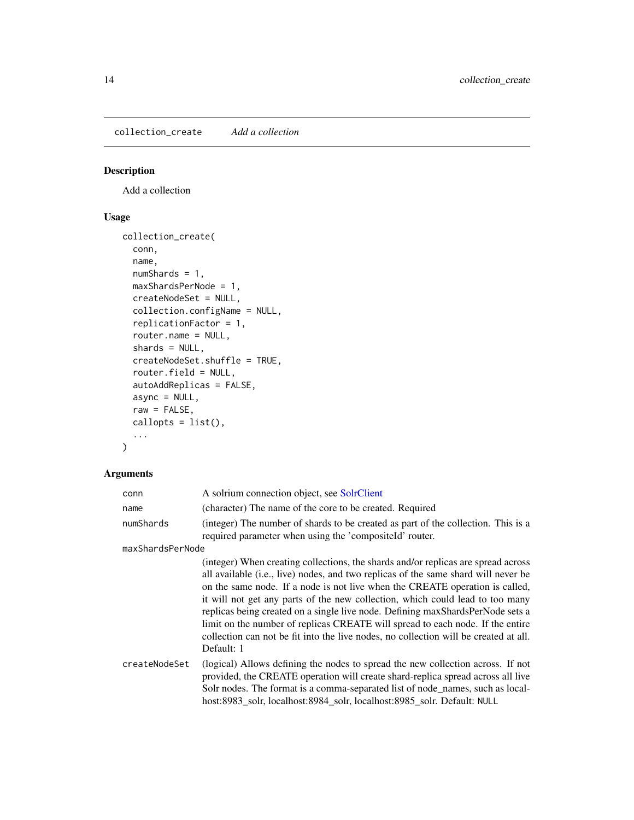<span id="page-13-0"></span>collection\_create *Add a collection*

# Description

Add a collection

# Usage

```
collection_create(
  conn,
  name,
 numShards = 1,
 maxShardsPerNode = 1,
 createNodeSet = NULL,
  collection.configName = NULL,
  replicationFactor = 1,
  router.name = NULL,
  shards = NULL,
  createNodeSet.shuffle = TRUE,
  router.field = NULL,
  autoAddReplicas = FALSE,
  async = NULL,raw = FALSE,callopts = list(),...
\mathcal{L}
```

| conn             | A solrium connection object, see SolrClient                                                                                                                                                                                                                                                                                                                                                                                                                                                                                                                                                                        |
|------------------|--------------------------------------------------------------------------------------------------------------------------------------------------------------------------------------------------------------------------------------------------------------------------------------------------------------------------------------------------------------------------------------------------------------------------------------------------------------------------------------------------------------------------------------------------------------------------------------------------------------------|
| name             | (character) The name of the core to be created. Required                                                                                                                                                                                                                                                                                                                                                                                                                                                                                                                                                           |
| numShards        | (integer) The number of shards to be created as part of the collection. This is a<br>required parameter when using the 'compositeId' router.                                                                                                                                                                                                                                                                                                                                                                                                                                                                       |
| maxShardsPerNode |                                                                                                                                                                                                                                                                                                                                                                                                                                                                                                                                                                                                                    |
|                  | (integer) When creating collections, the shards and/or replicas are spread across<br>all available (i.e., live) nodes, and two replicas of the same shard will never be<br>on the same node. If a node is not live when the CREATE operation is called,<br>it will not get any parts of the new collection, which could lead to too many<br>replicas being created on a single live node. Defining maxShardsPerNode sets a<br>limit on the number of replicas CREATE will spread to each node. If the entire<br>collection can not be fit into the live nodes, no collection will be created at all.<br>Default: 1 |
| createNodeSet    | (logical) Allows defining the nodes to spread the new collection across. If not<br>provided, the CREATE operation will create shard-replica spread across all live<br>Solr nodes. The format is a comma-separated list of node_names, such as local-<br>host:8983_solr, localhost:8984_solr, localhost:8985_solr. Default: NULL                                                                                                                                                                                                                                                                                    |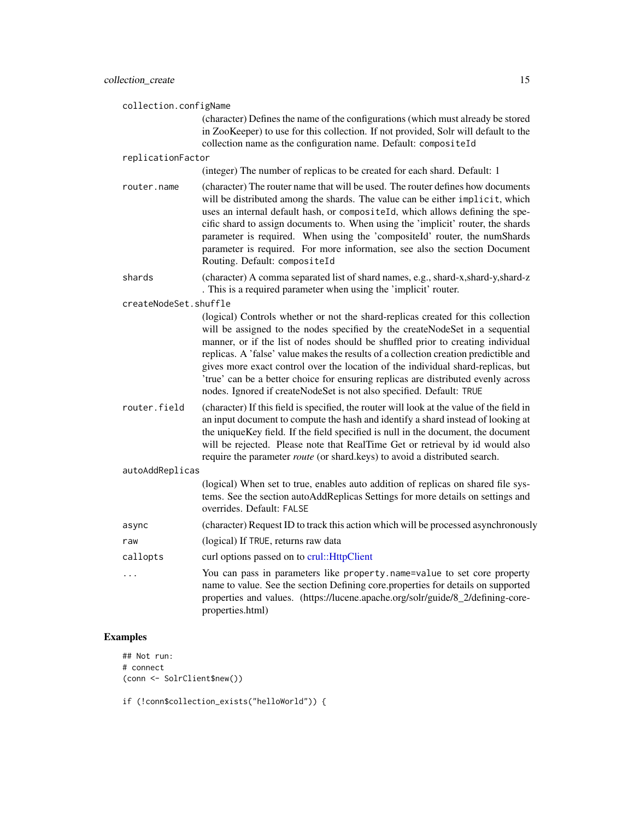collection.configName

(character) Defines the name of the configurations (which must already be stored in ZooKeeper) to use for this collection. If not provided, Solr will default to the collection name as the configuration name. Default: compositeId

#### replicationFactor

(integer) The number of replicas to be created for each shard. Default: 1

- router.name (character) The router name that will be used. The router defines how documents will be distributed among the shards. The value can be either implicit, which uses an internal default hash, or compositeId, which allows defining the specific shard to assign documents to. When using the 'implicit' router, the shards parameter is required. When using the 'compositeId' router, the numShards parameter is required. For more information, see also the section Document Routing. Default: compositeId
- shards (character) A comma separated list of shard names, e.g., shard-x,shard-y,shard-z . This is a required parameter when using the 'implicit' router.

createNodeSet.shuffle

(logical) Controls whether or not the shard-replicas created for this collection will be assigned to the nodes specified by the createNodeSet in a sequential manner, or if the list of nodes should be shuffled prior to creating individual replicas. A 'false' value makes the results of a collection creation predictible and gives more exact control over the location of the individual shard-replicas, but 'true' can be a better choice for ensuring replicas are distributed evenly across nodes. Ignored if createNodeSet is not also specified. Default: TRUE

router.field (character) If this field is specified, the router will look at the value of the field in an input document to compute the hash and identify a shard instead of looking at the uniqueKey field. If the field specified is null in the document, the document will be rejected. Please note that RealTime Get or retrieval by id would also require the parameter *route* (or shard.keys) to avoid a distributed search.

#### autoAddReplicas

(logical) When set to true, enables auto addition of replicas on shared file systems. See the section autoAddReplicas Settings for more details on settings and overrides. Default: FALSE

- async (character) Request ID to track this action which will be processed asynchronously
- raw (logical) If TRUE, returns raw data
- callopts curl options passed on to [crul::HttpClient](#page-0-0)
- ... You can pass in parameters like property.name=value to set core property name to value. See the section Defining core.properties for details on supported properties and values. (https://lucene.apache.org/solr/guide/8\_2/defining-coreproperties.html)

#### Examples

```
## Not run:
# connect
(conn <- SolrClient$new())
```
if (!conn\$collection\_exists("helloWorld")) {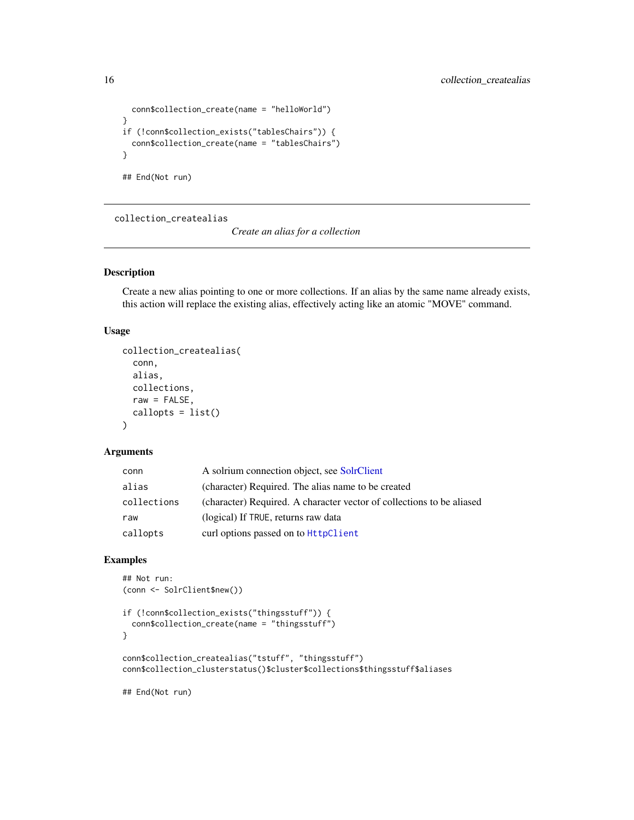```
conn$collection_create(name = "helloWorld")
}
if (!conn$collection_exists("tablesChairs")) {
  conn$collection_create(name = "tablesChairs")
}
## End(Not run)
```
collection\_createalias

*Create an alias for a collection*

#### Description

Create a new alias pointing to one or more collections. If an alias by the same name already exists, this action will replace the existing alias, effectively acting like an atomic "MOVE" command.

# Usage

```
collection_createalias(
  conn,
  alias,
  collections,
  raw = FALSE,
  callopts = list()\lambda
```
# Arguments

| conn        | A solrium connection object, see SolrClient                           |
|-------------|-----------------------------------------------------------------------|
| alias       | (character) Required. The alias name to be created                    |
| collections | (character) Required. A character vector of collections to be aliased |
| raw         | (logical) If TRUE, returns raw data                                   |
| callopts    | curl options passed on to <b>HttpClient</b>                           |

## Examples

```
## Not run:
(conn <- SolrClient$new())
if (!conn$collection_exists("thingsstuff")) {
 conn$collection_create(name = "thingsstuff")
}
conn$collection_createalias("tstuff", "thingsstuff")
conn$collection_clusterstatus()$cluster$collections$thingsstuff$aliases
```
## End(Not run)

<span id="page-15-0"></span>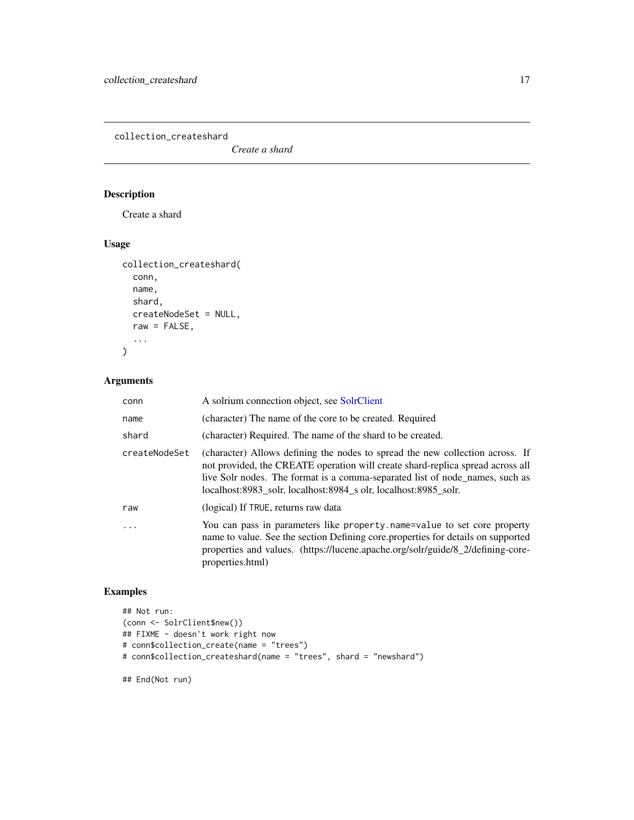<span id="page-16-0"></span>collection\_createshard

*Create a shard*

# Description

Create a shard

# Usage

```
collection_createshard(
  conn,
 name,
 shard,
 createNodeSet = NULL,
 raw = FALSE,...
)
```
# Arguments

| conn          | A solrium connection object, see SolrClient                                                                                                                                                                                                                                                                        |
|---------------|--------------------------------------------------------------------------------------------------------------------------------------------------------------------------------------------------------------------------------------------------------------------------------------------------------------------|
| name          | (character) The name of the core to be created. Required                                                                                                                                                                                                                                                           |
| shard         | (character) Required. The name of the shard to be created.                                                                                                                                                                                                                                                         |
| createNodeSet | (character) Allows defining the nodes to spread the new collection across. If<br>not provided, the CREATE operation will create shard-replica spread across all<br>live Solr nodes. The format is a comma-separated list of node_names, such as<br>localhost:8983 solr, localhost:8984 s olr, localhost:8985 solr. |
| raw           | (logical) If TRUE, returns raw data                                                                                                                                                                                                                                                                                |
| $\ddots$      | You can pass in parameters like property name=value to set core property<br>name to value. See the section Defining core properties for details on supported<br>properties and values. (https://lucene.apache.org/solr/guide/8_2/defining-core-<br>properties.html)                                                |

# Examples

```
## Not run:
(conn <- SolrClient$new())
## FIXME - doesn't work right now
# conn$collection_create(name = "trees")
# conn$collection_createshard(name = "trees", shard = "newshard")
```
## End(Not run)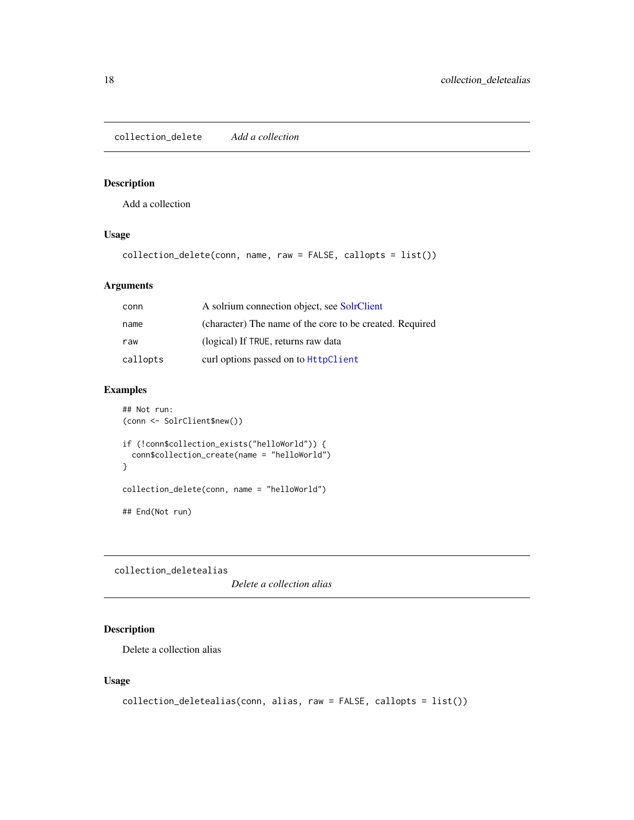<span id="page-17-0"></span>collection\_delete *Add a collection*

#### Description

Add a collection

# Usage

collection\_delete(conn, name, raw = FALSE, callopts = list())

# Arguments

| conn     | A solrium connection object, see SolrClient              |
|----------|----------------------------------------------------------|
| name     | (character) The name of the core to be created. Required |
| raw      | (logical) If TRUE, returns raw data                      |
| callopts | curl options passed on to <b>HttpClient</b>              |

# Examples

```
## Not run:
(conn <- SolrClient$new())
if (!conn$collection_exists("helloWorld")) {
  conn$collection_create(name = "helloWorld")
}
collection_delete(conn, name = "helloWorld")
## End(Not run)
```
collection\_deletealias

*Delete a collection alias*

# Description

Delete a collection alias

#### Usage

```
collection_deletealias(conn, alias, raw = FALSE, callopts = list())
```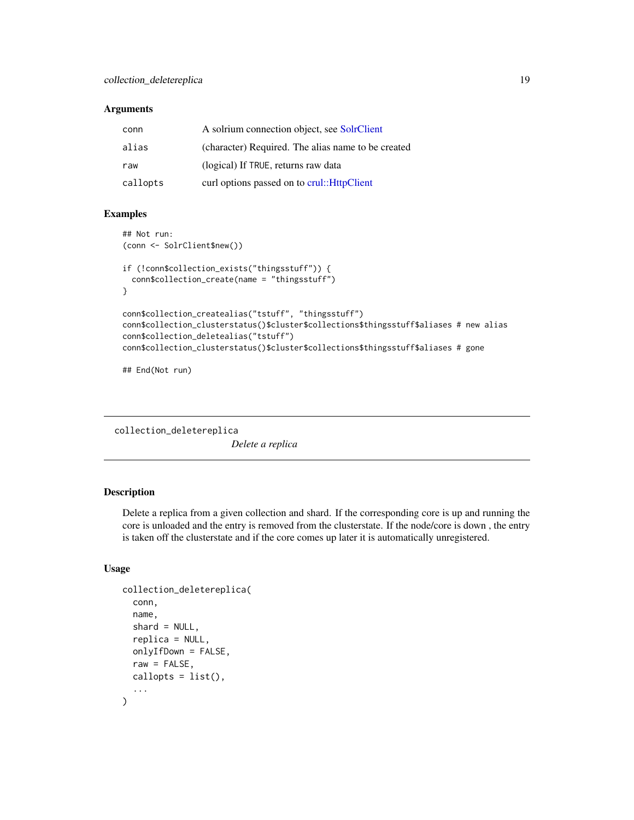#### <span id="page-18-0"></span>**Arguments**

| conn     | A solrium connection object, see SolrClient        |
|----------|----------------------------------------------------|
| alias    | (character) Required. The alias name to be created |
| raw      | (logical) If TRUE, returns raw data                |
| callopts | curl options passed on to crul:: HttpClient        |

#### Examples

```
## Not run:
(conn <- SolrClient$new())
if (!conn$collection_exists("thingsstuff")) {
 conn$collection_create(name = "thingsstuff")
}
conn$collection_createalias("tstuff", "thingsstuff")
conn$collection_clusterstatus()$cluster$collections$thingsstuff$aliases # new alias
conn$collection_deletealias("tstuff")
conn$collection_clusterstatus()$cluster$collections$thingsstuff$aliases # gone
```
## End(Not run)

collection\_deletereplica *Delete a replica*

# Description

Delete a replica from a given collection and shard. If the corresponding core is up and running the core is unloaded and the entry is removed from the clusterstate. If the node/core is down , the entry is taken off the clusterstate and if the core comes up later it is automatically unregistered.

# Usage

```
collection_deletereplica(
  conn,
  name,
  shard = NULL,
  replica = NULL,
  onlyIfDown = FALSE,
  raw = FALSE,
  callopts = list(),...
)
```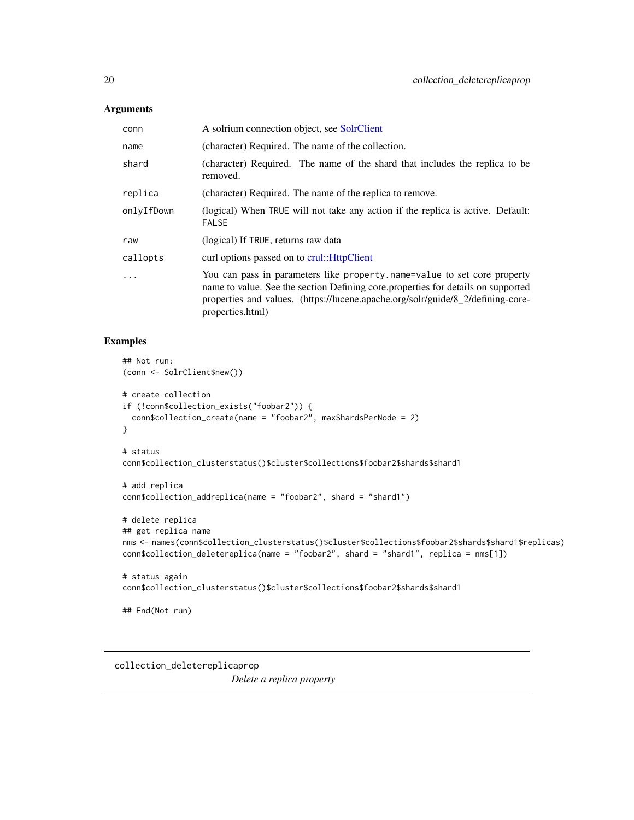#### <span id="page-19-0"></span>Arguments

| conn       | A solrium connection object, see SolrClient                                                                                                                                                                                                                         |
|------------|---------------------------------------------------------------------------------------------------------------------------------------------------------------------------------------------------------------------------------------------------------------------|
| name       | (character) Required. The name of the collection.                                                                                                                                                                                                                   |
| shard      | (character) Required. The name of the shard that includes the replica to be<br>removed.                                                                                                                                                                             |
| replica    | (character) Required. The name of the replica to remove.                                                                                                                                                                                                            |
| onlyIfDown | (logical) When TRUE will not take any action if the replica is active. Default:<br><b>FALSE</b>                                                                                                                                                                     |
| raw        | (logical) If TRUE, returns raw data                                                                                                                                                                                                                                 |
| callopts   | curl options passed on to crul:: HttpClient                                                                                                                                                                                                                         |
| $\ddots$ . | You can pass in parameters like property name=value to set core property<br>name to value. See the section Defining core properties for details on supported<br>properties and values. (https://lucene.apache.org/solr/guide/8_2/defining-core-<br>properties.html) |

# Examples

```
## Not run:
(conn <- SolrClient$new())
# create collection
if (!conn$collection_exists("foobar2")) {
  conn$collection_create(name = "foobar2", maxShardsPerNode = 2)
}
# status
conn$collection_clusterstatus()$cluster$collections$foobar2$shards$shard1
# add replica
conn$collection_addreplica(name = "foobar2", shard = "shard1")
# delete replica
## get replica name
nms <- names(conn$collection_clusterstatus()$cluster$collections$foobar2$shards$shard1$replicas)
conn$collection_deletereplica(name = "foobar2", shard = "shard1", replica = nms[1])
# status again
conn$collection_clusterstatus()$cluster$collections$foobar2$shards$shard1
## End(Not run)
```
collection\_deletereplicaprop *Delete a replica property*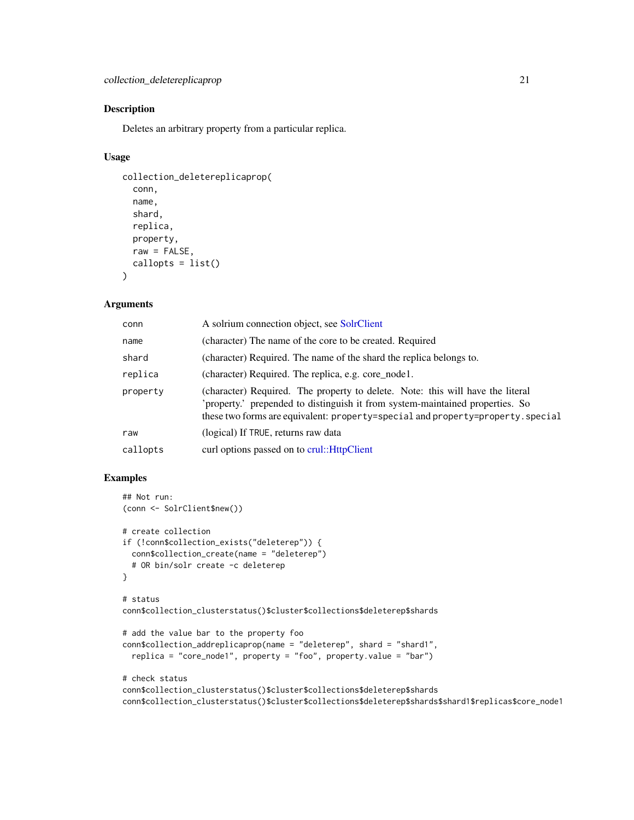# Description

Deletes an arbitrary property from a particular replica.

#### Usage

```
collection_deletereplicaprop(
  conn,
  name,
  shard,
  replica,
 property,
 raw = FALSE,
  callopts = list())
```
#### Arguments

| conn     | A solrium connection object, see SolrClient                                                                                                                                                                                                       |
|----------|---------------------------------------------------------------------------------------------------------------------------------------------------------------------------------------------------------------------------------------------------|
| name     | (character) The name of the core to be created. Required                                                                                                                                                                                          |
| shard    | (character) Required. The name of the shard the replica belongs to.                                                                                                                                                                               |
| replica  | (character) Required. The replica, e.g. core_node1.                                                                                                                                                                                               |
| property | (character) Required. The property to delete. Note: this will have the literal<br>'property.' prepended to distinguish it from system-maintained properties. So<br>these two forms are equivalent: property=special and property=property.special |
| raw      | (logical) If TRUE, returns raw data                                                                                                                                                                                                               |
| callopts | curl options passed on to crul:: HttpClient                                                                                                                                                                                                       |

```
## Not run:
(conn <- SolrClient$new())
# create collection
if (!conn$collection_exists("deleterep")) {
  conn$collection_create(name = "deleterep")
  # OR bin/solr create -c deleterep
}
# status
conn$collection_clusterstatus()$cluster$collections$deleterep$shards
# add the value bar to the property foo
conn$collection_addreplicaprop(name = "deleterep", shard = "shard1",
  replica = "core_node1", property = "foo", property.value = "bar")
# check status
conn$collection_clusterstatus()$cluster$collections$deleterep$shards
conn$collection_clusterstatus()$cluster$collections$deleterep$shards$shard1$replicas$core_node1
```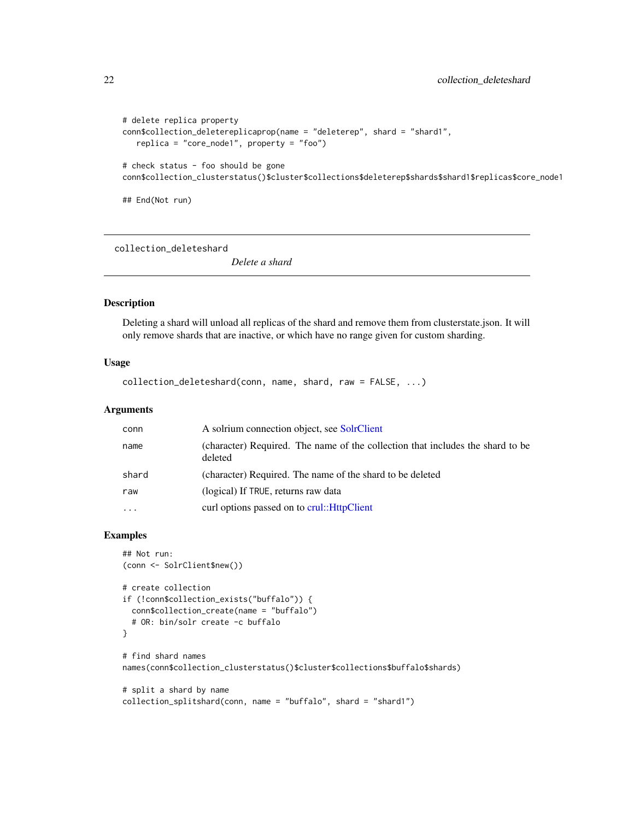```
# delete replica property
conn$collection_deletereplicaprop(name = "deleterep", shard = "shard1",
  replica = "core_node1", property = "foo")
# check status - foo should be gone
```
conn\$collection\_clusterstatus()\$cluster\$collections\$deleterep\$shards\$shard1\$replicas\$core\_node1

## End(Not run)

collection\_deleteshard

*Delete a shard*

#### Description

Deleting a shard will unload all replicas of the shard and remove them from clusterstate.json. It will only remove shards that are inactive, or which have no range given for custom sharding.

#### Usage

```
collection_deleteshard(conn, name, shard, raw = FALSE, ...)
```
#### Arguments

| conn     | A solrium connection object, see SolrClient                                               |
|----------|-------------------------------------------------------------------------------------------|
| name     | (character) Required. The name of the collection that includes the shard to be<br>deleted |
| shard    | (character) Required. The name of the shard to be deleted                                 |
| raw      | (logical) If TRUE, returns raw data                                                       |
| $\cdots$ | curl options passed on to crul:: HttpClient                                               |

```
## Not run:
(conn <- SolrClient$new())
# create collection
if (!conn$collection_exists("buffalo")) {
  conn$collection_create(name = "buffalo")
  # OR: bin/solr create -c buffalo
}
# find shard names
names(conn$collection_clusterstatus()$cluster$collections$buffalo$shards)
# split a shard by name
collection_splitshard(conn, name = "buffalo", shard = "shard1")
```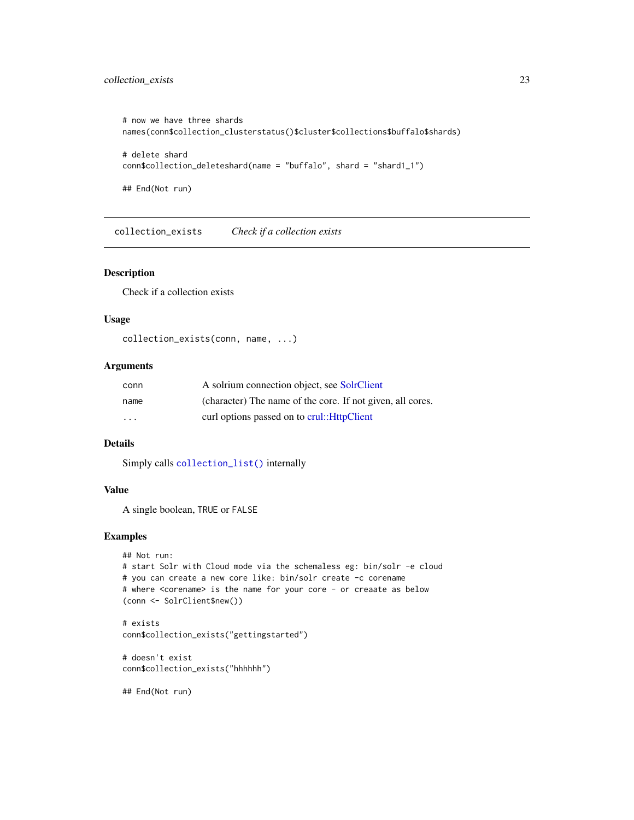# <span id="page-22-0"></span>collection\_exists 23

```
# now we have three shards
names(conn$collection_clusterstatus()$cluster$collections$buffalo$shards)
# delete shard
conn$collection_deleteshard(name = "buffalo", shard = "shard1_1")
```
## End(Not run)

collection\_exists *Check if a collection exists*

# Description

Check if a collection exists

#### Usage

collection\_exists(conn, name, ...)

#### **Arguments**

| conn     | A solrium connection object, see SolrClient                |
|----------|------------------------------------------------------------|
| name     | (character) The name of the core. If not given, all cores. |
| $\cdots$ | curl options passed on to crul:: HttpClient                |

# Details

Simply calls [collection\\_list\(\)](#page-23-1) internally

# Value

A single boolean, TRUE or FALSE

# Examples

```
## Not run:
# start Solr with Cloud mode via the schemaless eg: bin/solr -e cloud
# you can create a new core like: bin/solr create -c corename
# where <corename> is the name for your core - or creaate as below
(conn <- SolrClient$new())
```

```
# exists
conn$collection_exists("gettingstarted")
```

```
# doesn't exist
conn$collection_exists("hhhhhh")
```
## End(Not run)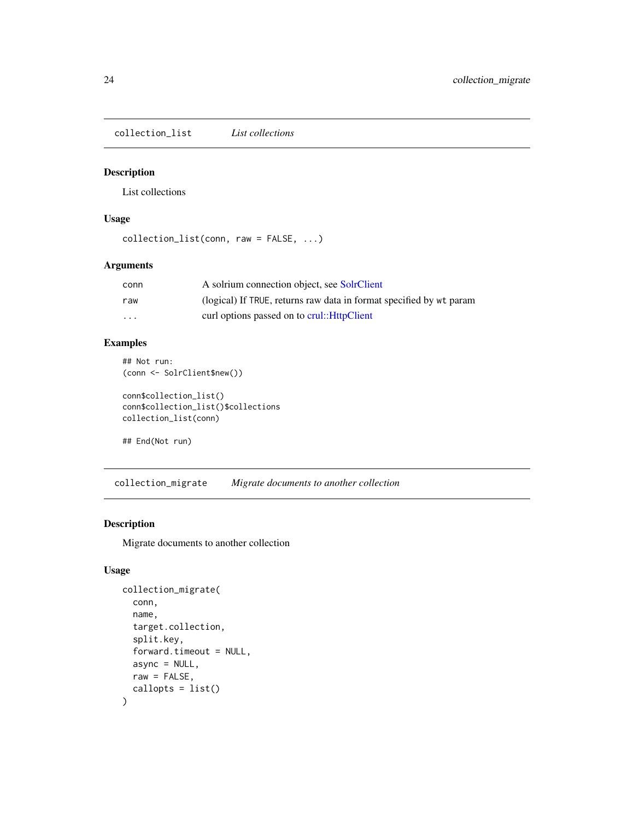<span id="page-23-1"></span><span id="page-23-0"></span>collection\_list *List collections*

#### Description

List collections

#### Usage

```
collection_list(conn, raw = FALSE, ...)
```
#### Arguments

| conn     | A solrium connection object, see SolrClient                         |
|----------|---------------------------------------------------------------------|
| raw      | (logical) If TRUE, returns raw data in format specified by wt param |
| $\cdots$ | curl options passed on to crul:: HttpClient                         |

# Examples

```
## Not run:
(conn <- SolrClient$new())
```

```
conn$collection_list()
conn$collection_list()$collections
collection_list(conn)
```

```
## End(Not run)
```
collection\_migrate *Migrate documents to another collection*

# Description

Migrate documents to another collection

#### Usage

```
collection_migrate(
  conn,
  name,
  target.collection,
  split.key,
  forward.timeout = NULL,
  async = NULL,
  raw = FALSE,callopts = list()
\mathcal{E}
```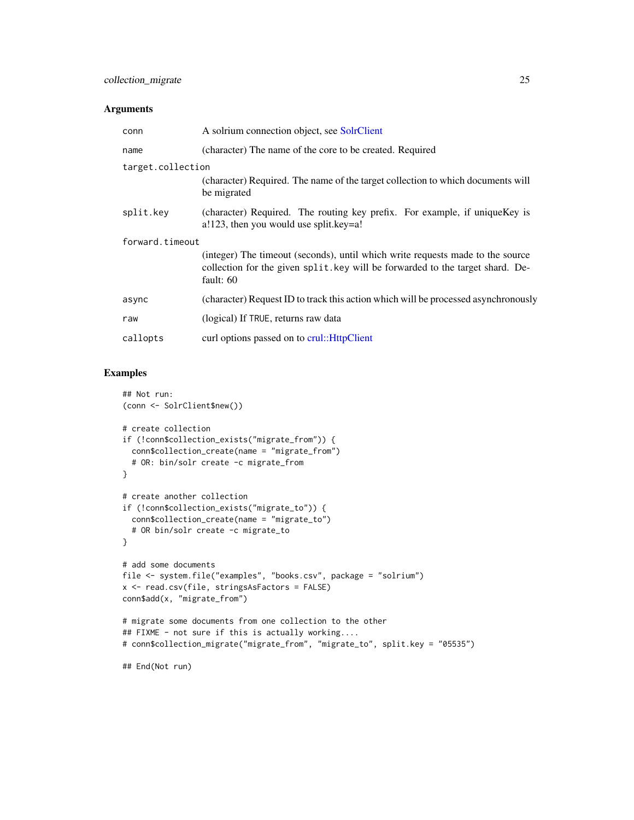#### Arguments

| conn              | A solrium connection object, see SolrClient                                                                                                                                     |
|-------------------|---------------------------------------------------------------------------------------------------------------------------------------------------------------------------------|
| name              | (character) The name of the core to be created. Required                                                                                                                        |
| target.collection |                                                                                                                                                                                 |
|                   | (character) Required. The name of the target collection to which documents will<br>be migrated                                                                                  |
| split.key         | (character) Required. The routing key prefix. For example, if unique Key is<br>a!123, then you would use split.key=a!                                                           |
| forward.timeout   |                                                                                                                                                                                 |
|                   | (integer) The timeout (seconds), until which write requests made to the source<br>collection for the given split, key will be forwarded to the target shard. De-<br>fault: $60$ |
| async             | (character) Request ID to track this action which will be processed asynchronously                                                                                              |
| raw               | (logical) If TRUE, returns raw data                                                                                                                                             |
| callopts          | curl options passed on to crul:: HttpClient                                                                                                                                     |

```
## Not run:
(conn <- SolrClient$new())
# create collection
if (!conn$collection_exists("migrate_from")) {
  conn$collection_create(name = "migrate_from")
  # OR: bin/solr create -c migrate_from
}
# create another collection
if (!conn$collection_exists("migrate_to")) {
  conn$collection_create(name = "migrate_to")
  # OR bin/solr create -c migrate_to
}
# add some documents
file <- system.file("examples", "books.csv", package = "solrium")
x <- read.csv(file, stringsAsFactors = FALSE)
conn$add(x, "migrate_from")
# migrate some documents from one collection to the other
## FIXME - not sure if this is actually working....
# conn$collection_migrate("migrate_from", "migrate_to", split.key = "05535")
## End(Not run)
```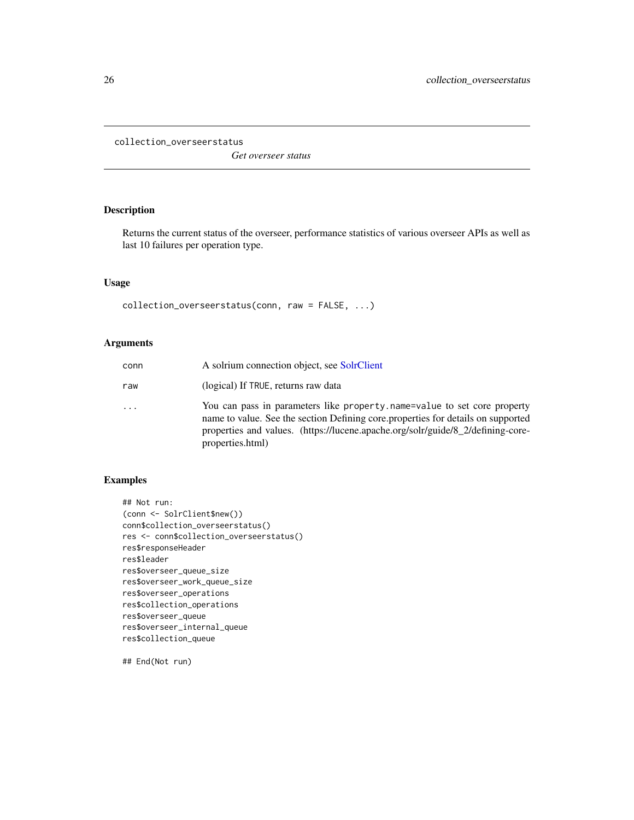<span id="page-25-0"></span>collection\_overseerstatus

*Get overseer status*

# Description

Returns the current status of the overseer, performance statistics of various overseer APIs as well as last 10 failures per operation type.

# Usage

collection\_overseerstatus(conn, raw = FALSE, ...)

# Arguments

| conn | A solrium connection object, see SolrClient                                                                                                                                                                                                                         |
|------|---------------------------------------------------------------------------------------------------------------------------------------------------------------------------------------------------------------------------------------------------------------------|
| raw  | (logical) If TRUE, returns raw data                                                                                                                                                                                                                                 |
| .    | You can pass in parameters like property name=value to set core property<br>name to value. See the section Defining core properties for details on supported<br>properties and values. (https://lucene.apache.org/solr/guide/8 2/defining-core-<br>properties.html) |

#### Examples

```
## Not run:
(conn <- SolrClient$new())
conn$collection_overseerstatus()
res <- conn$collection_overseerstatus()
res$responseHeader
res$leader
res$overseer_queue_size
res$overseer_work_queue_size
res$overseer_operations
res$collection_operations
res$overseer_queue
res$overseer_internal_queue
res$collection_queue
```
## End(Not run)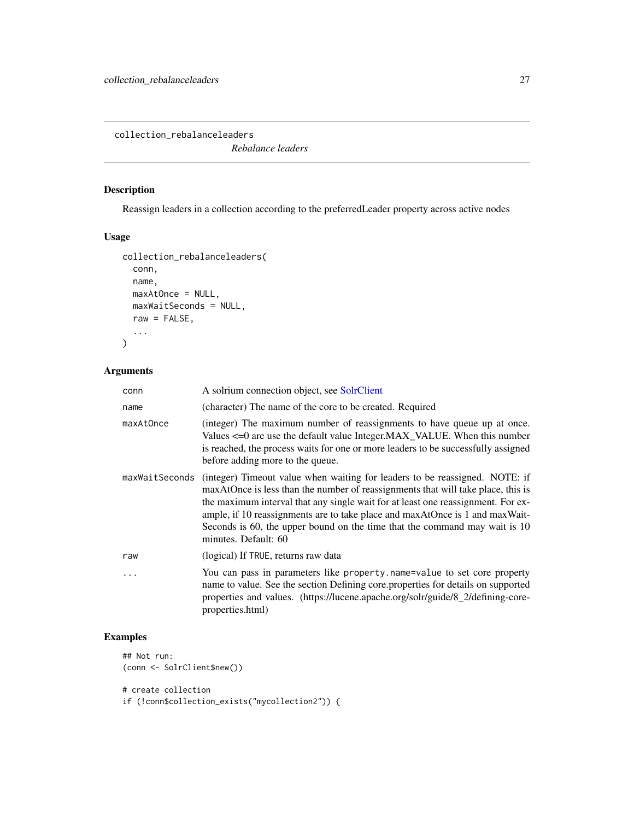<span id="page-26-0"></span>collection\_rebalanceleaders

*Rebalance leaders*

# Description

Reassign leaders in a collection according to the preferredLeader property across active nodes

#### Usage

```
collection_rebalanceleaders(
  conn,
  name,
  maxAtOnce = NULL,
  maxWaitSeconds = NULL,
  raw = FALSE,
  ...
\mathcal{L}
```
# Arguments

| conn           | A solrium connection object, see SolrClient                                                                                                                                                                                                                                                                                                                                                                                               |
|----------------|-------------------------------------------------------------------------------------------------------------------------------------------------------------------------------------------------------------------------------------------------------------------------------------------------------------------------------------------------------------------------------------------------------------------------------------------|
| name           | (character) The name of the core to be created. Required                                                                                                                                                                                                                                                                                                                                                                                  |
| maxAtOnce      | (integer) The maximum number of reassignments to have queue up at once.<br>Values <= 0 are use the default value Integer.MAX_VALUE. When this number<br>is reached, the process waits for one or more leaders to be successfully assigned<br>before adding more to the queue.                                                                                                                                                             |
| maxWaitSeconds | (integer) Timeout value when waiting for leaders to be reassigned. NOTE: if<br>maxAtOnce is less than the number of reassignments that will take place, this is<br>the maximum interval that any single wait for at least one reassignment. For ex-<br>ample, if 10 reassignments are to take place and maxAtOnce is 1 and maxWait-<br>Seconds is 60, the upper bound on the time that the command may wait is 10<br>minutes. Default: 60 |
| raw            | (logical) If TRUE, returns raw data                                                                                                                                                                                                                                                                                                                                                                                                       |
| .              | You can pass in parameters like property.name=value to set core property<br>name to value. See the section Defining core properties for details on supported<br>properties and values. (https://lucene.apache.org/solr/guide/8_2/defining-core-<br>properties.html)                                                                                                                                                                       |

```
## Not run:
(conn <- SolrClient$new())
# create collection
```

```
if (!conn$collection_exists("mycollection2")) {
```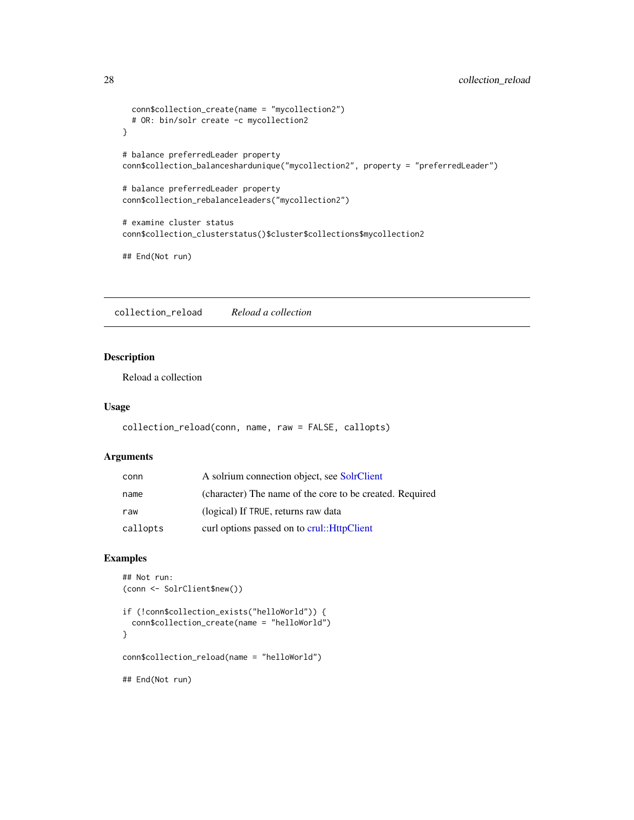```
conn$collection_create(name = "mycollection2")
  # OR: bin/solr create -c mycollection2
}
# balance preferredLeader property
conn$collection_balanceshardunique("mycollection2", property = "preferredLeader")
# balance preferredLeader property
conn$collection_rebalanceleaders("mycollection2")
# examine cluster status
conn$collection_clusterstatus()$cluster$collections$mycollection2
## End(Not run)
```
collection\_reload *Reload a collection*

# Description

Reload a collection

#### Usage

```
collection_reload(conn, name, raw = FALSE, callopts)
```
# Arguments

| conn     | A solrium connection object, see SolrClient              |
|----------|----------------------------------------------------------|
| name     | (character) The name of the core to be created. Required |
| raw      | (logical) If TRUE, returns raw data                      |
| callopts | curl options passed on to crul:: HttpClient              |

```
## Not run:
(conn <- SolrClient$new())
if (!conn$collection_exists("helloWorld")) {
  conn$collection_create(name = "helloWorld")
}
conn$collection_reload(name = "helloWorld")
## End(Not run)
```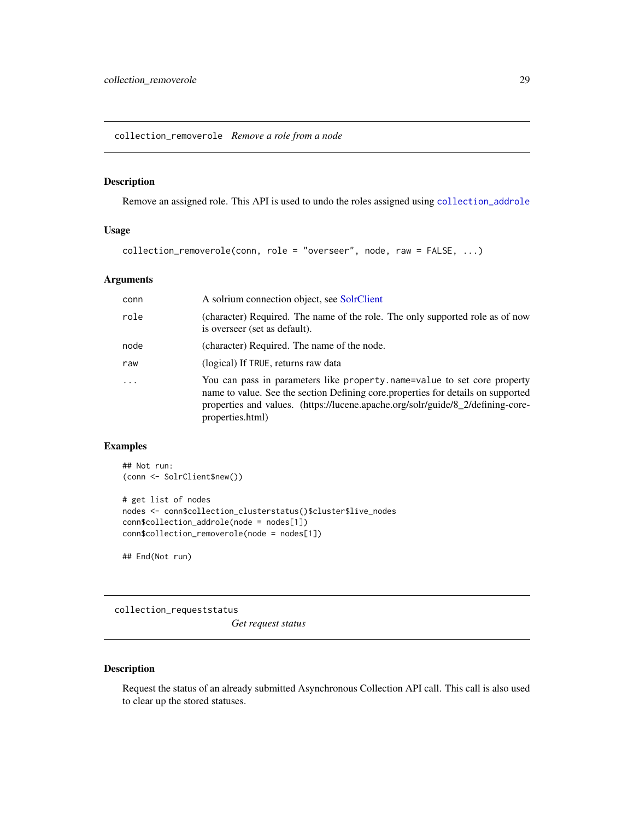<span id="page-28-0"></span>collection\_removerole *Remove a role from a node*

# Description

Remove an assigned role. This API is used to undo the roles assigned using [collection\\_addrole](#page-9-1)

# Usage

```
collection_removerole(conn, role = "overseer", node, raw = FALSE, ...)
```
# Arguments

| conn    | A solrium connection object, see SolrClient                                                                                                                                                                                                                         |
|---------|---------------------------------------------------------------------------------------------------------------------------------------------------------------------------------------------------------------------------------------------------------------------|
| role    | (character) Required. The name of the role. The only supported role as of now<br>is overseer (set as default).                                                                                                                                                      |
| node    | (character) Required. The name of the node.                                                                                                                                                                                                                         |
| raw     | (logical) If TRUE, returns raw data                                                                                                                                                                                                                                 |
| $\cdot$ | You can pass in parameters like property.name=value to set core property<br>name to value. See the section Defining core properties for details on supported<br>properties and values. (https://lucene.apache.org/solr/guide/8_2/defining-core-<br>properties.html) |

# Examples

```
## Not run:
(conn <- SolrClient$new())
# get list of nodes
nodes <- conn$collection_clusterstatus()$cluster$live_nodes
conn$collection_addrole(node = nodes[1])
conn$collection_removerole(node = nodes[1])
```
## End(Not run)

collection\_requeststatus

*Get request status*

#### Description

Request the status of an already submitted Asynchronous Collection API call. This call is also used to clear up the stored statuses.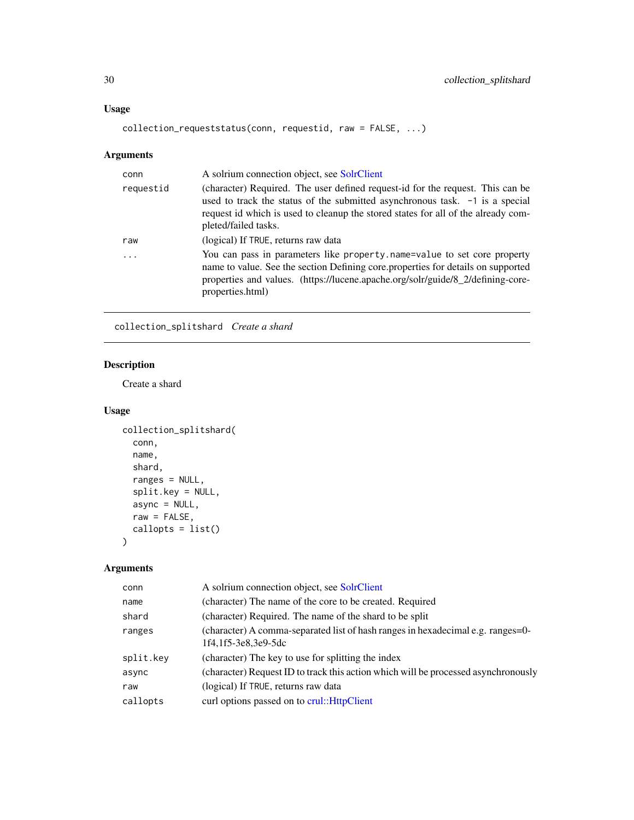# <span id="page-29-0"></span>Usage

```
collection_requeststatus(conn, requestid, raw = FALSE, ...)
```
# Arguments

| conn      | A solrium connection object, see SolrClient                                                                                                                                                                                                                                 |
|-----------|-----------------------------------------------------------------------------------------------------------------------------------------------------------------------------------------------------------------------------------------------------------------------------|
| requestid | (character) Required. The user defined request-id for the request. This can be<br>used to track the status of the submitted asynchronous task. -1 is a special<br>request id which is used to cleanup the stored states for all of the already com-<br>pleted/failed tasks. |
| raw       | (logical) If TRUE, returns raw data                                                                                                                                                                                                                                         |
| .         | You can pass in parameters like property name=value to set core property<br>name to value. See the section Defining core properties for details on supported<br>properties and values. (https://lucene.apache.org/solr/guide/8_2/defining-core-<br>properties.html)         |

collection\_splitshard *Create a shard*

# Description

Create a shard

#### Usage

```
collection_splitshard(
  conn,
  name,
  shard,
  ranges = NULL,
  split.key = NULL,
  async = NULL,
  raw = FALSE,callopts = list()
\mathcal{L}
```

| conn      | A solrium connection object, see SolrClient                                                            |
|-----------|--------------------------------------------------------------------------------------------------------|
| name      | (character) The name of the core to be created. Required                                               |
| shard     | (character) Required. The name of the shard to be split                                                |
| ranges    | (character) A comma-separated list of hash ranges in hexadecimal e.g. ranges=0-<br>1f4.1f5-3e8.3e9-5dc |
| split.key | (character) The key to use for splitting the index                                                     |
| async     | (character) Request ID to track this action which will be processed asynchronously                     |
| raw       | (logical) If TRUE, returns raw data                                                                    |
| callopts  | curl options passed on to crul:: HttpClient                                                            |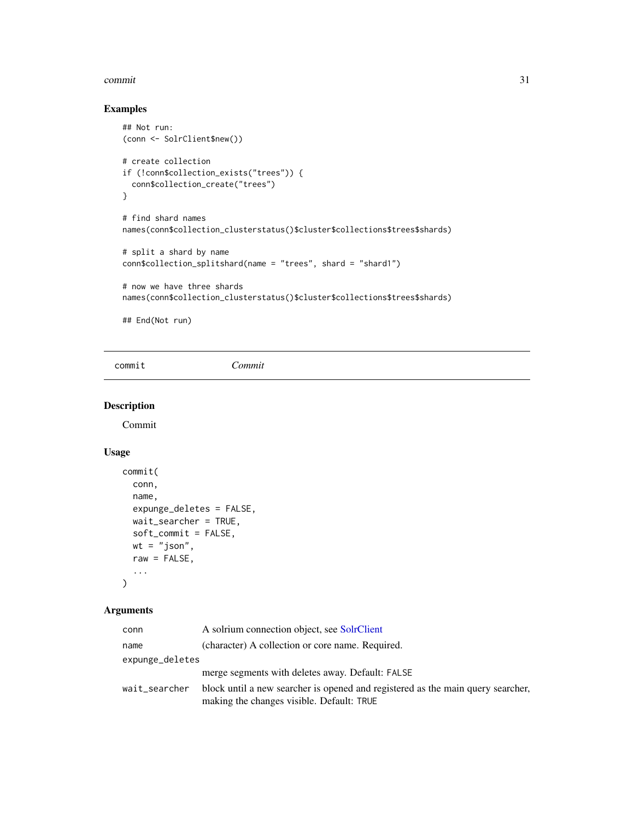#### <span id="page-30-0"></span>commit 31

# Examples

```
## Not run:
(conn <- SolrClient$new())
# create collection
if (!conn$collection_exists("trees")) {
  conn$collection_create("trees")
}
# find shard names
names(conn$collection_clusterstatus()$cluster$collections$trees$shards)
# split a shard by name
conn$collection_splitshard(name = "trees", shard = "shard1")
# now we have three shards
names(conn$collection_clusterstatus()$cluster$collections$trees$shards)
```
## End(Not run)

commit *Commit*

## Description

Commit

#### Usage

```
commit(
  conn,
  name,
  expunge_deletes = FALSE,
  wait_searcher = TRUE,
  soft_commit = FALSE,
  wt = "json",raw = FALSE,...
\mathcal{L}
```

| conn            | A solrium connection object, see SolrClient                                                                                  |
|-----------------|------------------------------------------------------------------------------------------------------------------------------|
| name            | (character) A collection or core name. Required.                                                                             |
| expunge_deletes |                                                                                                                              |
|                 | merge segments with deletes away. Default: FALSE                                                                             |
| wait_searcher   | block until a new searcher is opened and registered as the main query searcher,<br>making the changes visible. Default: TRUE |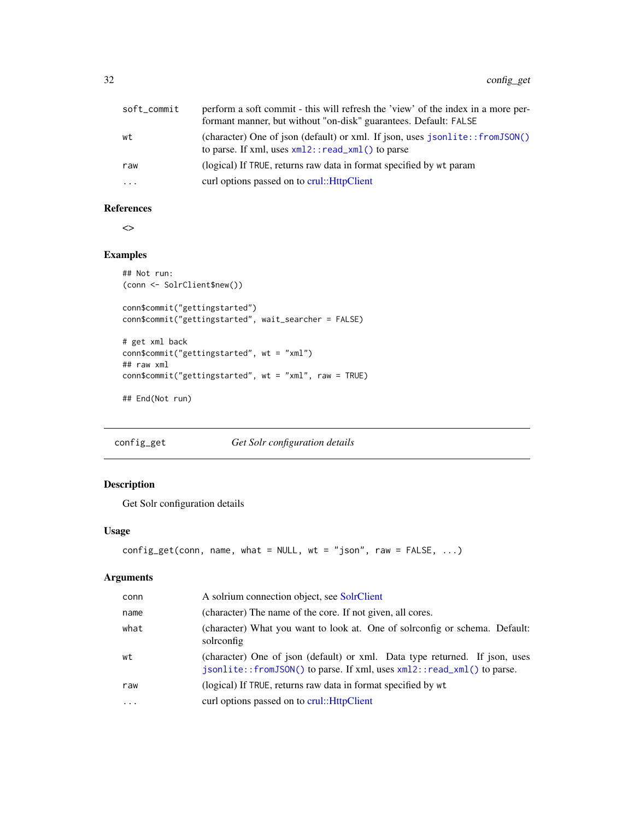<span id="page-31-0"></span>

| soft_commit | perform a soft commit - this will refresh the 'view' of the index in a more per- |
|-------------|----------------------------------------------------------------------------------|
|             | formant manner, but without "on-disk" guarantees. Default: FALSE                 |
| wt          | (character) One of json (default) or xml. If json, uses jsonlite::fromJSON()     |
|             | to parse. If xml, uses $xml2$ : : read_xml() to parse                            |
| raw         | (logical) If TRUE, returns raw data in format specified by wt param              |
| $\cdots$    | curl options passed on to crul:: HttpClient                                      |

#### References

 $\Diamond$ 

# Examples

```
## Not run:
(conn <- SolrClient$new())
conn$commit("gettingstarted")
conn$commit("gettingstarted", wait_searcher = FALSE)
# get xml back
conn$commit("gettingstarted", wt = "xml")
## raw xml
conn$commit("gettingstarted", wt = "xml", raw = TRUE)
## End(Not run)
```
#### config\_get *Get Solr configuration details*

# Description

Get Solr configuration details

#### Usage

```
config\_get(conn, name, what = NULL, wt = "json", raw = FALSE, ...)
```

| conn      | A solrium connection object, see SolrClient                                                                                                           |
|-----------|-------------------------------------------------------------------------------------------------------------------------------------------------------|
| name      | (character) The name of the core. If not given, all cores.                                                                                            |
| what      | (character) What you want to look at. One of solrconfig or schema. Default:<br>solrconfig                                                             |
| wt        | (character) One of json (default) or xml. Data type returned. If json, uses<br>jsonlite::fromJSON() to parse. If xml, uses xml2::read_xml() to parse. |
| raw       | (logical) If TRUE, returns raw data in format specified by wt                                                                                         |
| $\ddotsc$ | curl options passed on to crul:: HttpClient                                                                                                           |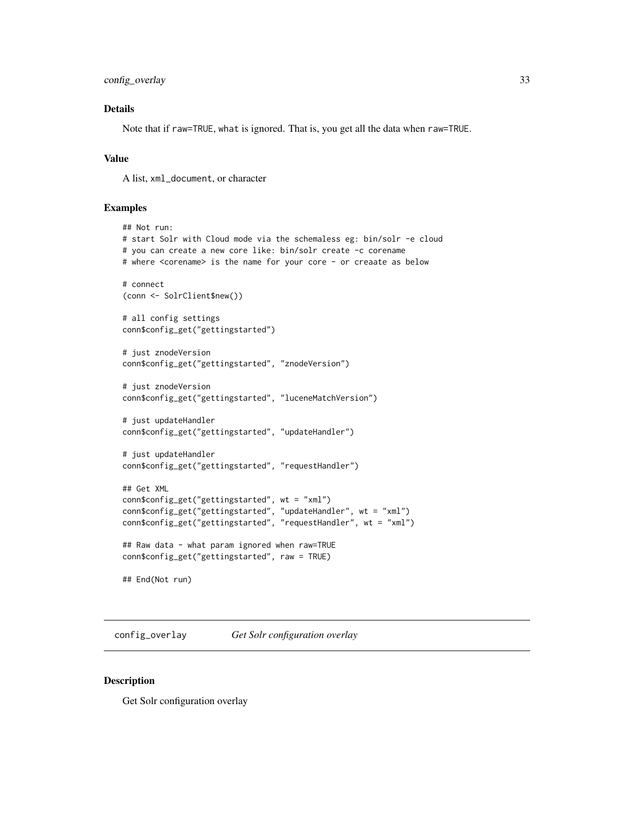```
config_overlay 33
```
# Details

Note that if raw=TRUE, what is ignored. That is, you get all the data when raw=TRUE.

#### Value

A list, xml\_document, or character

#### Examples

```
## Not run:
# start Solr with Cloud mode via the schemaless eg: bin/solr -e cloud
# you can create a new core like: bin/solr create -c corename
# where <corename> is the name for your core - or creaate as below
# connect
(conn <- SolrClient$new())
# all config settings
conn$config_get("gettingstarted")
# just znodeVersion
conn$config_get("gettingstarted", "znodeVersion")
# just znodeVersion
conn$config_get("gettingstarted", "luceneMatchVersion")
# just updateHandler
conn$config_get("gettingstarted", "updateHandler")
# just updateHandler
conn$config_get("gettingstarted", "requestHandler")
## Get XML
conn$config_get("gettingstarted", wt = "xml")
conn$config_get("gettingstarted", "updateHandler", wt = "xml")
conn$config_get("gettingstarted", "requestHandler", wt = "xml")
## Raw data - what param ignored when raw=TRUE
conn$config_get("gettingstarted", raw = TRUE)
## End(Not run)
```
config\_overlay *Get Solr configuration overlay*

#### Description

Get Solr configuration overlay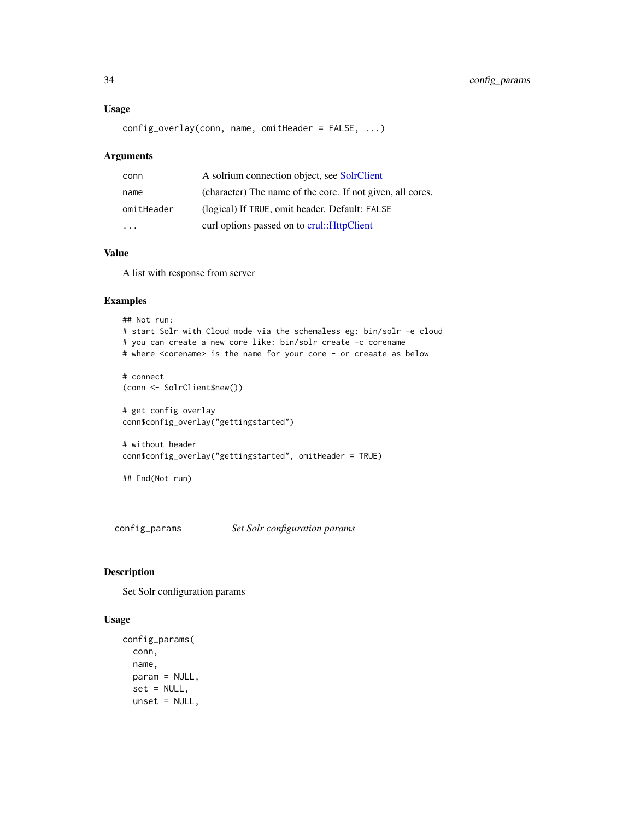#### <span id="page-33-0"></span>Usage

config\_overlay(conn, name, omitHeader = FALSE, ...)

#### Arguments

| conn                    | A solrium connection object, see SolrClient                |
|-------------------------|------------------------------------------------------------|
| name                    | (character) The name of the core. If not given, all cores. |
| omitHeader              | (logical) If TRUE, omit header. Default: FALSE             |
| $\cdot$ $\cdot$ $\cdot$ | curl options passed on to crul:: HttpClient                |

#### Value

A list with response from server

# Examples

```
## Not run:
# start Solr with Cloud mode via the schemaless eg: bin/solr -e cloud
# you can create a new core like: bin/solr create -c corename
# where <corename> is the name for your core - or creaate as below
# connect
(conn <- SolrClient$new())
# get config overlay
conn$config_overlay("gettingstarted")
# without header
conn$config_overlay("gettingstarted", omitHeader = TRUE)
## End(Not run)
```
config\_params *Set Solr configuration params*

# Description

Set Solr configuration params

#### Usage

```
config_params(
  conn,
  name,
 param = NULL,
  set = NULL,
 unset = NULL,
```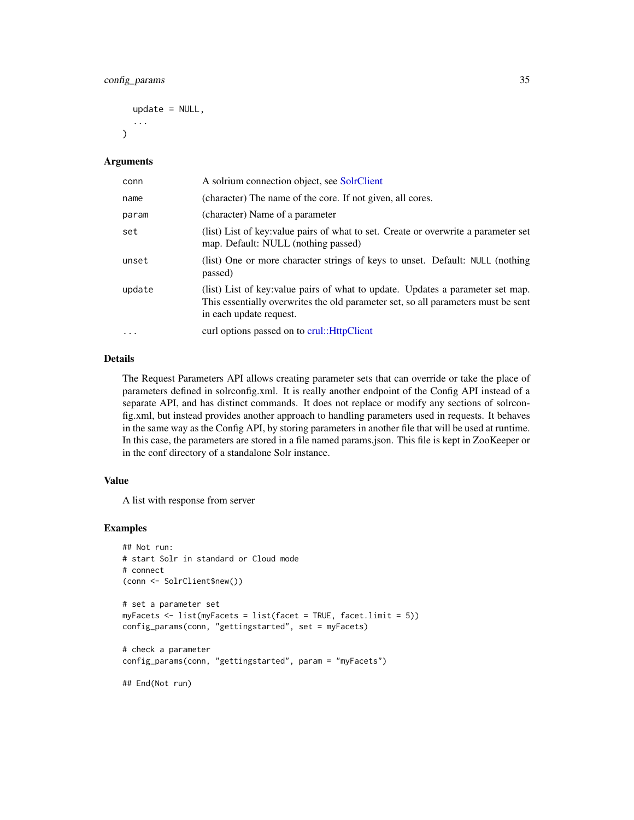```
update = NULL,
...
```
#### Arguments

 $\lambda$ 

| conn     | A solrium connection object, see SolrClient                                                                                                                                                     |
|----------|-------------------------------------------------------------------------------------------------------------------------------------------------------------------------------------------------|
| name     | (character) The name of the core. If not given, all cores.                                                                                                                                      |
| param    | (character) Name of a parameter                                                                                                                                                                 |
| set      | (list) List of key: value pairs of what to set. Create or overwrite a parameter set<br>map. Default: NULL (nothing passed)                                                                      |
| unset    | (list) One or more character strings of keys to unset. Default: NULL (nothing<br>passed)                                                                                                        |
| update   | (list) List of key: value pairs of what to update. Updates a parameter set map.<br>This essentially overwrites the old parameter set, so all parameters must be sent<br>in each update request. |
| $\cdots$ | curl options passed on to crul:: HttpClient                                                                                                                                                     |

# Details

The Request Parameters API allows creating parameter sets that can override or take the place of parameters defined in solrconfig.xml. It is really another endpoint of the Config API instead of a separate API, and has distinct commands. It does not replace or modify any sections of solrconfig.xml, but instead provides another approach to handling parameters used in requests. It behaves in the same way as the Config API, by storing parameters in another file that will be used at runtime. In this case, the parameters are stored in a file named params.json. This file is kept in ZooKeeper or in the conf directory of a standalone Solr instance.

#### Value

A list with response from server

```
## Not run:
# start Solr in standard or Cloud mode
# connect
(conn <- SolrClient$new())
# set a parameter set
myFacets <- list(myFacets = list(facet = TRUE, facet.limit = 5))
config_params(conn, "gettingstarted", set = myFacets)
# check a parameter
config_params(conn, "gettingstarted", param = "myFacets")
## End(Not run)
```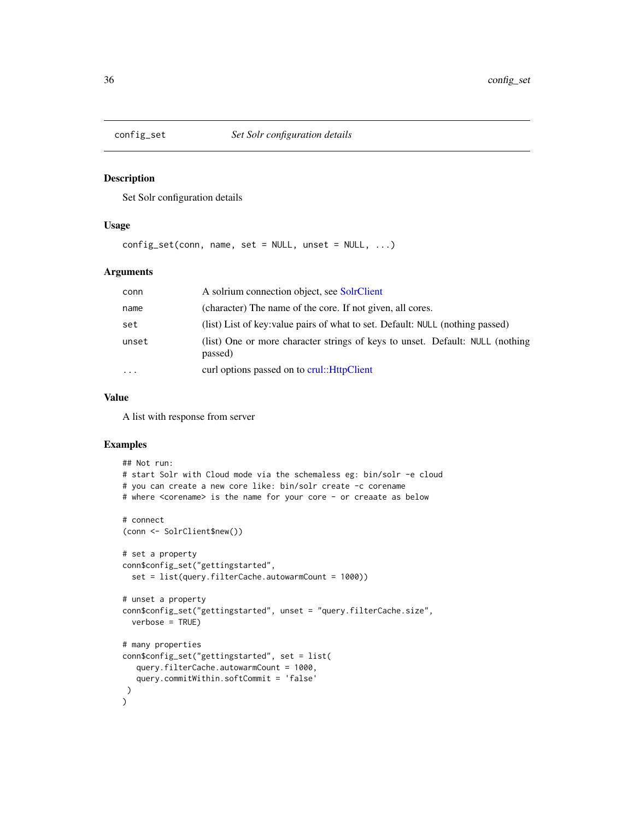<span id="page-35-0"></span>

#### Description

Set Solr configuration details

#### Usage

 $config_set(conn, name, set = NULL, unset = NULL, ...)$ 

# Arguments

| conn     | A solrium connection object, see SolrClient                                              |
|----------|------------------------------------------------------------------------------------------|
| name     | (character) The name of the core. If not given, all cores.                               |
| set      | (list) List of key: value pairs of what to set. Default: NULL (nothing passed)           |
| unset    | (list) One or more character strings of keys to unset. Default: NULL (nothing<br>passed) |
| $\cdots$ | curl options passed on to crul:: HttpClient                                              |

# Value

A list with response from server

```
## Not run:
# start Solr with Cloud mode via the schemaless eg: bin/solr -e cloud
# you can create a new core like: bin/solr create -c corename
# where <corename> is the name for your core - or creaate as below
# connect
(conn <- SolrClient$new())
# set a property
conn$config_set("gettingstarted",
  set = list(query.filterCache.autowarmCount = 1000))
# unset a property
conn$config_set("gettingstarted", unset = "query.filterCache.size",
  verbose = TRUE)
# many properties
conn$config_set("gettingstarted", set = list(
   query.filterCache.autowarmCount = 1000,
   query.commitWithin.softCommit = 'false'
\lambda)
```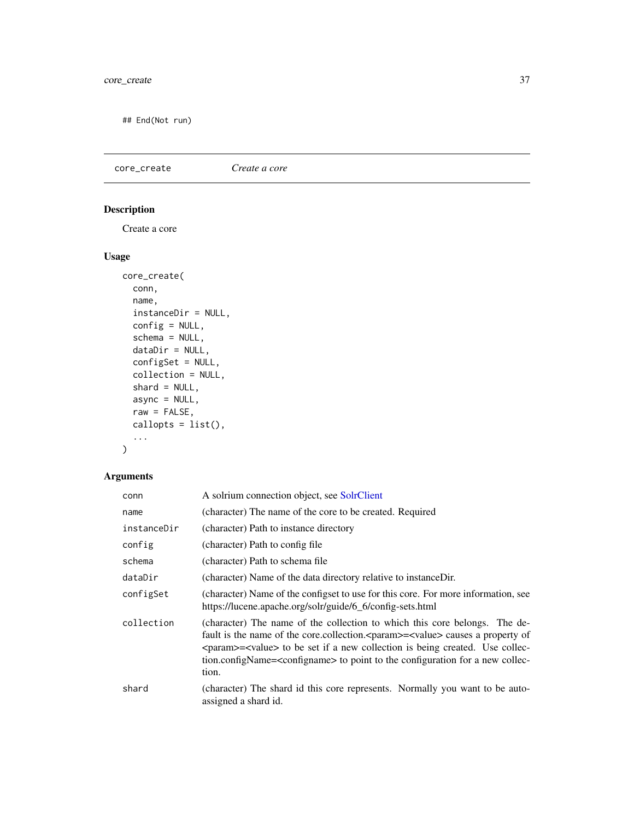## End(Not run)

core\_create *Create a core*

# Description

Create a core

# Usage

```
core_create(
  conn,
  name,
  instanceDir = NULL,
  config = NULL,
  schema = NULL,
  dataDir = NULL,
  configSet = NULL,
  collection = NULL,
  shard = NULL,
  async = NULL,
  raw = FALSE,callopts = list(),...
\mathcal{L}
```

| conn        | A solrium connection object, see SolrClient                                                                                                                                                                                                                                                                                                                              |
|-------------|--------------------------------------------------------------------------------------------------------------------------------------------------------------------------------------------------------------------------------------------------------------------------------------------------------------------------------------------------------------------------|
| name        | (character) The name of the core to be created. Required                                                                                                                                                                                                                                                                                                                 |
| instanceDir | (character) Path to instance directory                                                                                                                                                                                                                                                                                                                                   |
| config      | (character) Path to config file                                                                                                                                                                                                                                                                                                                                          |
| schema      | (character) Path to schema file                                                                                                                                                                                                                                                                                                                                          |
| dataDir     | (character) Name of the data directory relative to instanceDir.                                                                                                                                                                                                                                                                                                          |
| configSet   | (character) Name of the configset to use for this core. For more information, see<br>https://lucene.apache.org/solr/guide/6_6/config-sets.html                                                                                                                                                                                                                           |
| collection  | (character) The name of the collection to which this core belongs. The de-<br>fault is the name of the core.collection. <param/> = <value> causes a property of<br/><param/>=<value> to be set if a new collection is being created. Use collec-<br/>tion.configName=<configname> to point to the configuration for a new collec-<br/>tion.</configname></value></value> |
| shard       | (character) The shard id this core represents. Normally you want to be auto-<br>assigned a shard id.                                                                                                                                                                                                                                                                     |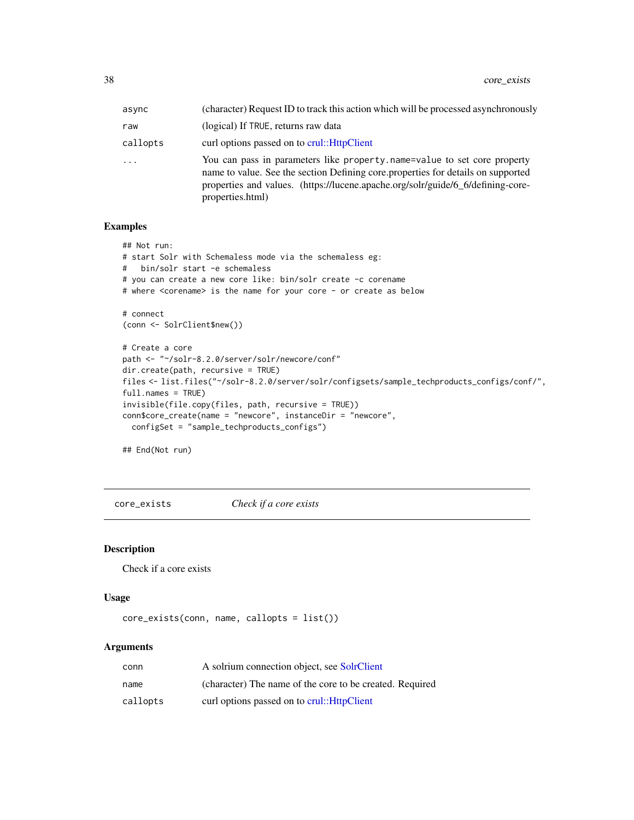| async    | (character) Request ID to track this action which will be processed asynchronously                                                                                                                                                                                  |
|----------|---------------------------------------------------------------------------------------------------------------------------------------------------------------------------------------------------------------------------------------------------------------------|
| raw      | (logical) If TRUE, returns raw data                                                                                                                                                                                                                                 |
| callopts | curl options passed on to crul:: HttpClient                                                                                                                                                                                                                         |
| .        | You can pass in parameters like property name=value to set core property<br>name to value. See the section Defining core properties for details on supported<br>properties and values. (https://lucene.apache.org/solr/guide/6_6/defining-core-<br>properties.html) |

## Examples

```
## Not run:
# start Solr with Schemaless mode via the schemaless eg:
# bin/solr start -e schemaless
# you can create a new core like: bin/solr create -c corename
# where <corename> is the name for your core - or create as below
# connect
(conn <- SolrClient$new())
# Create a core
path <- "~/solr-8.2.0/server/solr/newcore/conf"
dir.create(path, recursive = TRUE)
files <- list.files("~/solr-8.2.0/server/solr/configsets/sample_techproducts_configs/conf/",
full.names = TRUE)
invisible(file.copy(files, path, recursive = TRUE))
conn$core_create(name = "newcore", instanceDir = "newcore",
  configSet = "sample_techproducts_configs")
```
## End(Not run)

core\_exists *Check if a core exists*

## Description

Check if a core exists

## Usage

```
core_exists(conn, name, callopts = list())
```

| conn     | A solrium connection object, see SolrClient              |
|----------|----------------------------------------------------------|
| name     | (character) The name of the core to be created. Required |
| callopts | curl options passed on to crul:: HttpClient              |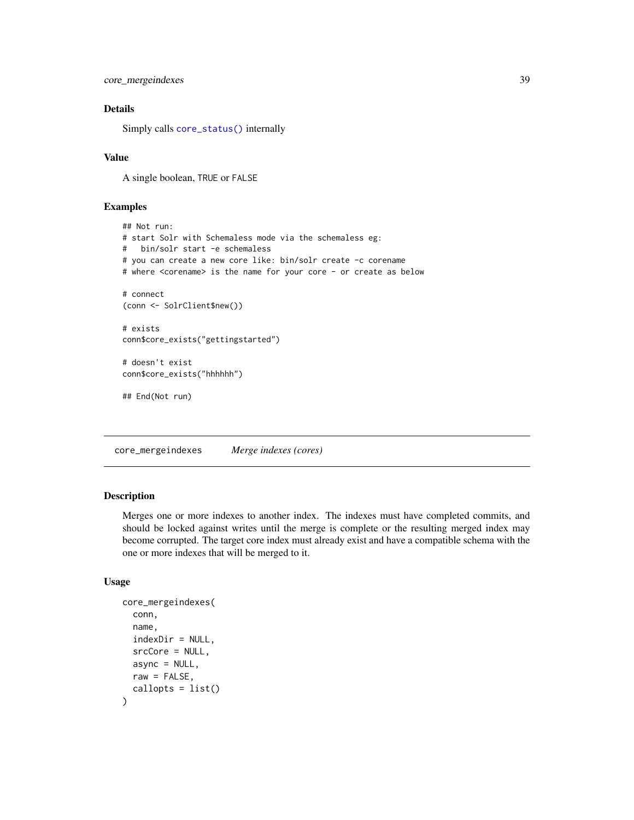core\_mergeindexes 39

## Details

Simply calls [core\\_status\(\)](#page-43-0) internally

## Value

A single boolean, TRUE or FALSE

#### Examples

```
## Not run:
# start Solr with Schemaless mode via the schemaless eg:
# bin/solr start -e schemaless
# you can create a new core like: bin/solr create -c corename
# where <corename> is the name for your core - or create as below
# connect
(conn <- SolrClient$new())
# exists
conn$core_exists("gettingstarted")
# doesn't exist
conn$core_exists("hhhhhh")
## End(Not run)
```
core\_mergeindexes *Merge indexes (cores)*

## Description

Merges one or more indexes to another index. The indexes must have completed commits, and should be locked against writes until the merge is complete or the resulting merged index may become corrupted. The target core index must already exist and have a compatible schema with the one or more indexes that will be merged to it.

## Usage

```
core_mergeindexes(
  conn,
 name,
  indexDir = NULL,
  srcCore = NULL,
 async = NULL,raw = FALSE,callopts = list())
```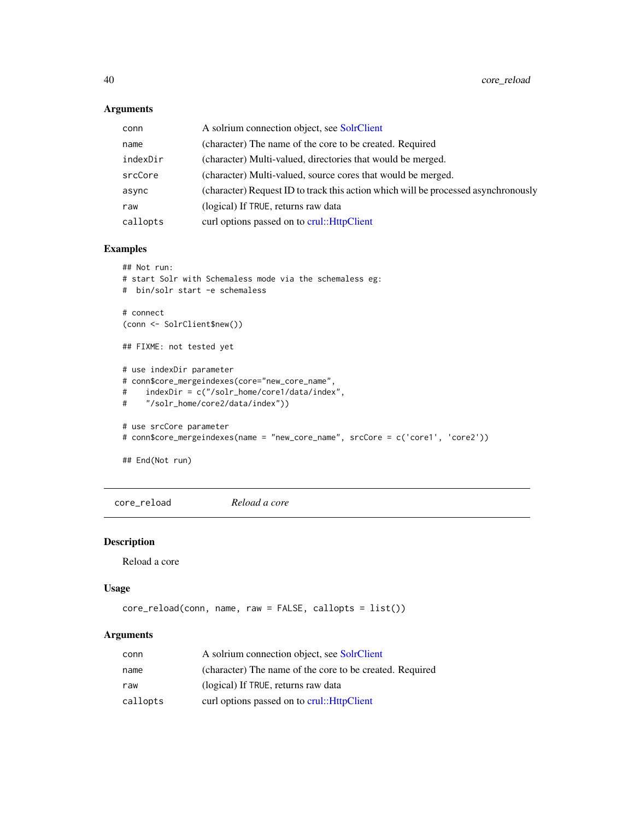## Arguments

| conn     | A solrium connection object, see SolrClient                                        |
|----------|------------------------------------------------------------------------------------|
| name     | (character) The name of the core to be created. Required                           |
| indexDir | (character) Multi-valued, directories that would be merged.                        |
| srcCore  | (character) Multi-valued, source cores that would be merged.                       |
| async    | (character) Request ID to track this action which will be processed asynchronously |
| raw      | (logical) If TRUE, returns raw data                                                |
| callopts | curl options passed on to crul::HttpClient                                         |

## Examples

```
## Not run:
# start Solr with Schemaless mode via the schemaless eg:
# bin/solr start -e schemaless
# connect
(conn <- SolrClient$new())
## FIXME: not tested yet
# use indexDir parameter
# conn$core_mergeindexes(core="new_core_name",
# indexDir = c("/solr_home/core1/data/index",
# "/solr_home/core2/data/index"))
# use srcCore parameter
# conn$core_mergeindexes(name = "new_core_name", srcCore = c('core1', 'core2'))
```
## End(Not run)

core\_reload *Reload a core*

## Description

Reload a core

## Usage

```
core_reload(conn, name, raw = FALSE, callopts = list())
```

| conn     | A solrium connection object, see SolrClient              |
|----------|----------------------------------------------------------|
| name     | (character) The name of the core to be created. Required |
| raw      | (logical) If TRUE, returns raw data                      |
| callopts | curl options passed on to crul:: HttpClient              |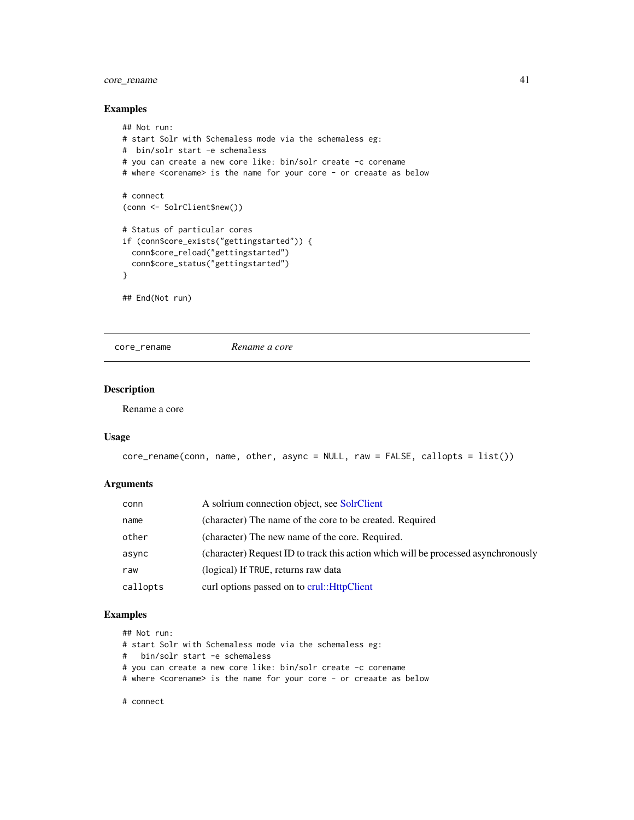## core\_rename 41

## Examples

```
## Not run:
# start Solr with Schemaless mode via the schemaless eg:
# bin/solr start -e schemaless
# you can create a new core like: bin/solr create -c corename
# where <corename> is the name for your core - or creaate as below
# connect
(conn <- SolrClient$new())
# Status of particular cores
if (conn$core_exists("gettingstarted")) {
  conn$core_reload("gettingstarted")
  conn$core_status("gettingstarted")
}
## End(Not run)
```
core\_rename *Rename a core*

## Description

Rename a core

#### Usage

```
core_rename(conn, name, other, async = NULL, raw = FALSE, callopts = list())
```
## Arguments

| conn     | A solrium connection object, see SolrClient                                        |
|----------|------------------------------------------------------------------------------------|
| name     | (character) The name of the core to be created. Required                           |
| other    | (character) The new name of the core. Required.                                    |
| async    | (character) Request ID to track this action which will be processed asynchronously |
| raw      | (logical) If TRUE, returns raw data                                                |
| callopts | curl options passed on to crul:: HttpClient                                        |

## Examples

## Not run:

# start Solr with Schemaless mode via the schemaless eg:

# bin/solr start -e schemaless

# you can create a new core like: bin/solr create -c corename

# where <corename> is the name for your core - or creaate as below

# connect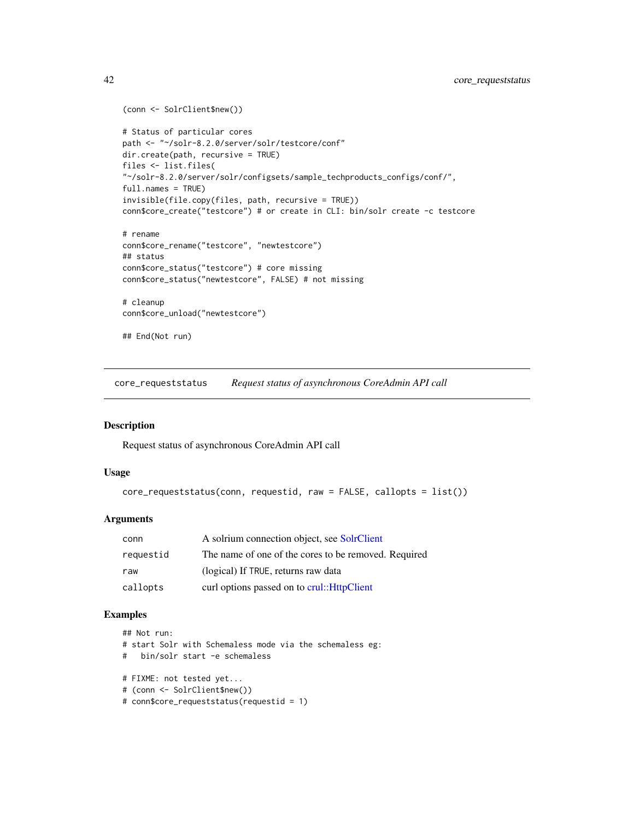```
(conn <- SolrClient$new())
# Status of particular cores
path <- "~/solr-8.2.0/server/solr/testcore/conf"
dir.create(path, recursive = TRUE)
files <- list.files(
"~/solr-8.2.0/server/solr/configsets/sample_techproducts_configs/conf/",
full.names = TRUE)
invisible(file.copy(files, path, recursive = TRUE))
conn$core_create("testcore") # or create in CLI: bin/solr create -c testcore
# rename
conn$core_rename("testcore", "newtestcore")
## status
conn$core_status("testcore") # core missing
conn$core_status("newtestcore", FALSE) # not missing
# cleanup
conn$core_unload("newtestcore")
## End(Not run)
```
core\_requeststatus *Request status of asynchronous CoreAdmin API call*

## Description

Request status of asynchronous CoreAdmin API call

#### Usage

```
core_requeststatus(conn, requestid, raw = FALSE, callopts = list())
```
## Arguments

| conn      | A solrium connection object, see SolrClient          |
|-----------|------------------------------------------------------|
| requestid | The name of one of the cores to be removed. Required |
| raw       | (logical) If TRUE, returns raw data                  |
| callopts  | curl options passed on to crul:: HttpClient          |

```
## Not run:
# start Solr with Schemaless mode via the schemaless eg:
# bin/solr start -e schemaless
# FIXME: not tested yet...
# (conn <- SolrClient$new())
# conn$core_requeststatus(requestid = 1)
```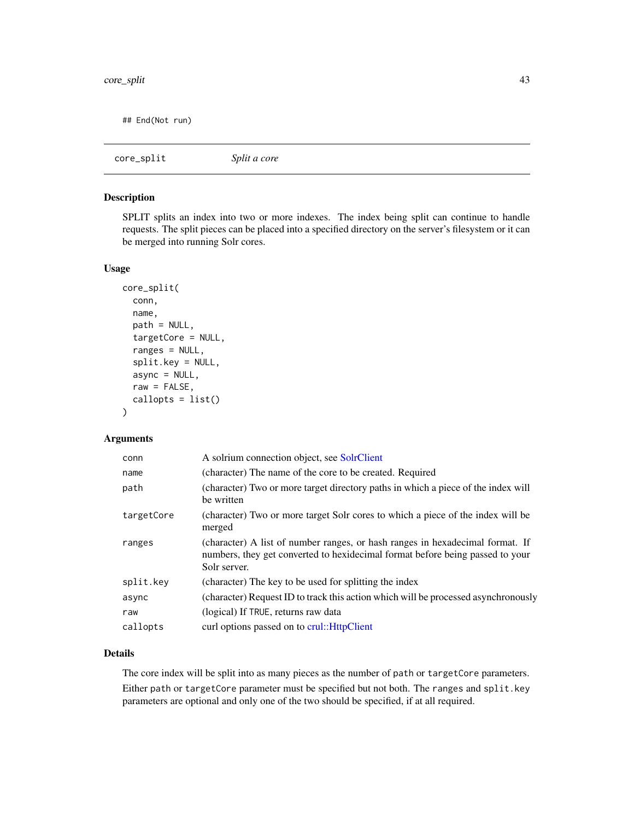## End(Not run)

core\_split *Split a core*

## Description

SPLIT splits an index into two or more indexes. The index being split can continue to handle requests. The split pieces can be placed into a specified directory on the server's filesystem or it can be merged into running Solr cores.

## Usage

```
core_split(
  conn,
  name,
 path = NULL,
  targetCore = NULL,
  ranges = NULL,
  split.key = NULL,
  async = NULL,
  raw = FALSE,callopts = list()\lambda
```
## Arguments

| conn       | A solrium connection object, see SolrClient                                                                                                                                    |
|------------|--------------------------------------------------------------------------------------------------------------------------------------------------------------------------------|
| name       | (character) The name of the core to be created. Required                                                                                                                       |
| path       | (character) Two or more target directory paths in which a piece of the index will<br>be written                                                                                |
| targetCore | (character) Two or more target Solr cores to which a piece of the index will be<br>merged                                                                                      |
| ranges     | (character) A list of number ranges, or hash ranges in hexadecimal format. If<br>numbers, they get converted to hexidecimal format before being passed to your<br>Solr server. |
| split.key  | (character) The key to be used for splitting the index                                                                                                                         |
| async      | (character) Request ID to track this action which will be processed asynchronously                                                                                             |
| raw        | (logical) If TRUE, returns raw data                                                                                                                                            |
| callopts   | curl options passed on to crul:: HttpClient                                                                                                                                    |

#### Details

The core index will be split into as many pieces as the number of path or targetCore parameters. Either path or targetCore parameter must be specified but not both. The ranges and split.key parameters are optional and only one of the two should be specified, if at all required.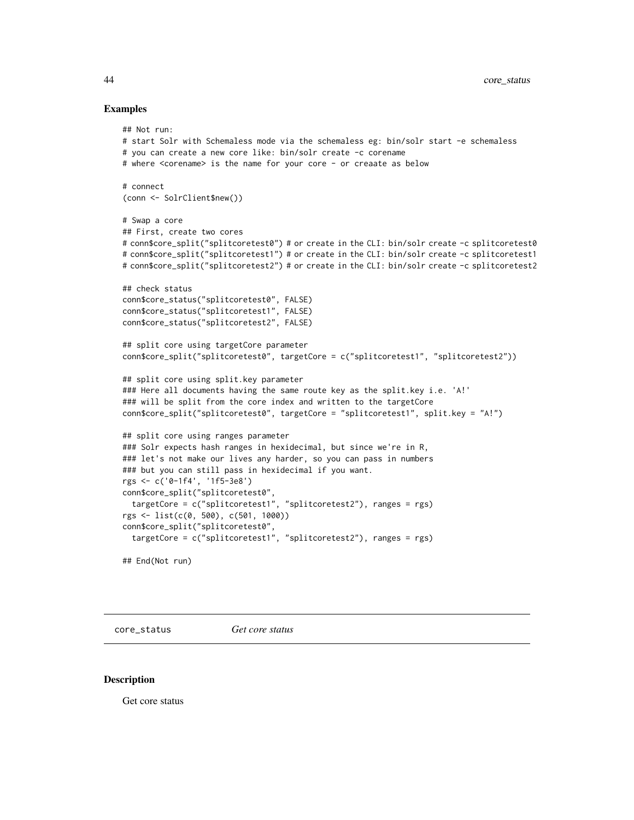#### Examples

```
## Not run:
# start Solr with Schemaless mode via the schemaless eg: bin/solr start -e schemaless
# you can create a new core like: bin/solr create -c corename
# where <corename> is the name for your core - or creaate as below
# connect
(conn <- SolrClient$new())
# Swap a core
## First, create two cores
# conn$core_split("splitcoretest0") # or create in the CLI: bin/solr create -c splitcoretest0
# conn$core_split("splitcoretest1") # or create in the CLI: bin/solr create -c splitcoretest1
# conn$core_split("splitcoretest2") # or create in the CLI: bin/solr create -c splitcoretest2
## check status
conn$core_status("splitcoretest0", FALSE)
conn$core_status("splitcoretest1", FALSE)
conn$core_status("splitcoretest2", FALSE)
## split core using targetCore parameter
conn$core_split("splitcoretest0", targetCore = c("splitcoretest1", "splitcoretest2"))
## split core using split.key parameter
### Here all documents having the same route key as the split.key i.e. 'A!'
### will be split from the core index and written to the targetCore
conn$core_split("splitcoretest0", targetCore = "splitcoretest1", split.key = "A!")
## split core using ranges parameter
### Solr expects hash ranges in hexidecimal, but since we're in R,
### let's not make our lives any harder, so you can pass in numbers
### but you can still pass in hexidecimal if you want.
rgs <- c('0-1f4', '1f5-3e8')
conn$core_split("splitcoretest0",
 targetCore = c("splitcoretest1", "splitcoretest2"), ranges = rgs)
rgs <- list(c(0, 500), c(501, 1000))
conn$core_split("splitcoretest0",
 targetCore = c("splitcoretest1", "splitcoretest2"), ranges = rgs)
## End(Not run)
```
<span id="page-43-0"></span>

core\_status *Get core status*

#### Description

Get core status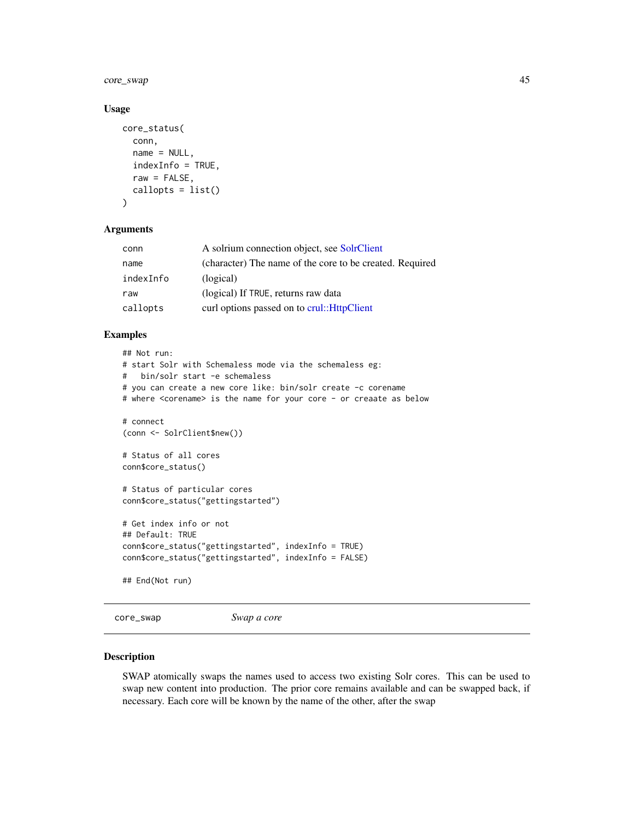core\_swap 45

#### Usage

```
core_status(
  conn,
  name = NULL,
  indexInfo = TRUE,
  raw = FALSE,callopts = list())
```
#### **Arguments**

| conn      | A solrium connection object, see SolrClient              |
|-----------|----------------------------------------------------------|
| name      | (character) The name of the core to be created. Required |
| indexInfo | (logical)                                                |
| raw       | (logical) If TRUE, returns raw data                      |
| callopts  | curl options passed on to crul:: HttpClient              |

## Examples

```
## Not run:
# start Solr with Schemaless mode via the schemaless eg:
# bin/solr start -e schemaless
# you can create a new core like: bin/solr create -c corename
# where <corename> is the name for your core - or creaate as below
# connect
(conn <- SolrClient$new())
# Status of all cores
conn$core_status()
# Status of particular cores
conn$core_status("gettingstarted")
# Get index info or not
## Default: TRUE
conn$core_status("gettingstarted", indexInfo = TRUE)
conn$core_status("gettingstarted", indexInfo = FALSE)
## End(Not run)
```

```
core_swap Swap a core
```
## Description

SWAP atomically swaps the names used to access two existing Solr cores. This can be used to swap new content into production. The prior core remains available and can be swapped back, if necessary. Each core will be known by the name of the other, after the swap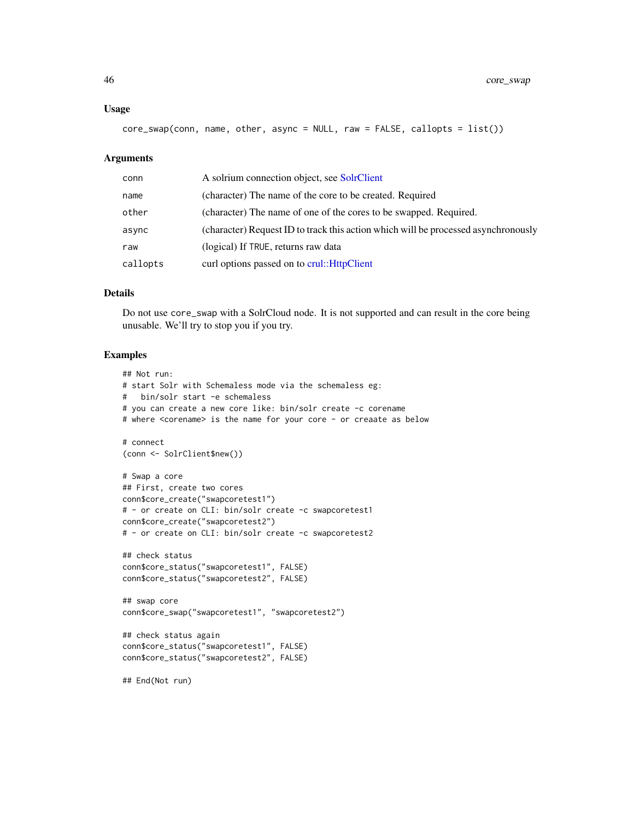#### Usage

```
core_swap(conn, name, other, async = NULL, raw = FALSE, callopts = list())
```
#### Arguments

| conn     | A solrium connection object, see SolrClient                                        |
|----------|------------------------------------------------------------------------------------|
| name     | (character) The name of the core to be created. Required                           |
| other    | (character) The name of one of the cores to be swapped. Required.                  |
| async    | (character) Request ID to track this action which will be processed asynchronously |
| raw      | (logical) If TRUE, returns raw data                                                |
| callopts | curl options passed on to crul:: HttpClient                                        |

## Details

Do not use core\_swap with a SolrCloud node. It is not supported and can result in the core being unusable. We'll try to stop you if you try.

```
## Not run:
# start Solr with Schemaless mode via the schemaless eg:
# bin/solr start -e schemaless
# you can create a new core like: bin/solr create -c corename
# where <corename> is the name for your core - or creaate as below
# connect
(conn <- SolrClient$new())
# Swap a core
## First, create two cores
conn$core_create("swapcoretest1")
# - or create on CLI: bin/solr create -c swapcoretest1
conn$core_create("swapcoretest2")
# - or create on CLI: bin/solr create -c swapcoretest2
## check status
conn$core_status("swapcoretest1", FALSE)
conn$core_status("swapcoretest2", FALSE)
## swap core
conn$core_swap("swapcoretest1", "swapcoretest2")
## check status again
conn$core_status("swapcoretest1", FALSE)
conn$core_status("swapcoretest2", FALSE)
## End(Not run)
```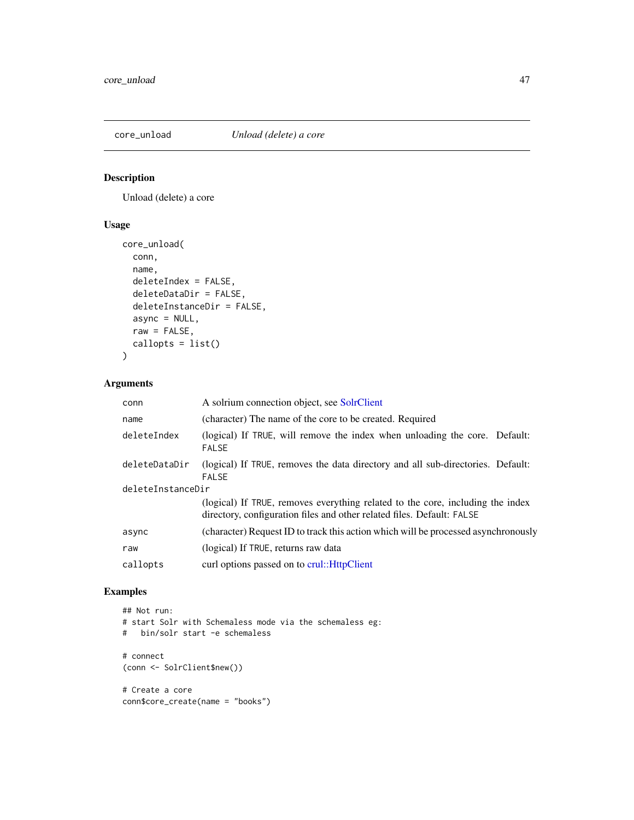## Description

Unload (delete) a core

## Usage

```
core_unload(
 conn,
 name,
 deleteIndex = FALSE,
 deleteDataDir = FALSE,
 deleteInstanceDir = FALSE,
 async = NULL,raw = FALSE,callopts = list())
```
# Arguments

| A solrium connection object, see SolrClient                                                                                                              |  |  |
|----------------------------------------------------------------------------------------------------------------------------------------------------------|--|--|
| (character) The name of the core to be created. Required                                                                                                 |  |  |
| (logical) If TRUE, will remove the index when unloading the core. Default:<br><b>FALSE</b>                                                               |  |  |
| (logical) If TRUE, removes the data directory and all sub-directories. Default:<br><b>FALSE</b>                                                          |  |  |
| deleteInstanceDir                                                                                                                                        |  |  |
| (logical) If TRUE, removes everything related to the core, including the index<br>directory, configuration files and other related files. Default: FALSE |  |  |
| (character) Request ID to track this action which will be processed asynchronously                                                                       |  |  |
| (logical) If TRUE, returns raw data                                                                                                                      |  |  |
| curl options passed on to crul::HttpClient                                                                                                               |  |  |
|                                                                                                                                                          |  |  |

```
## Not run:
# start Solr with Schemaless mode via the schemaless eg:
# bin/solr start -e schemaless
# connect
(conn <- SolrClient$new())
# Create a core
conn$core_create(name = "books")
```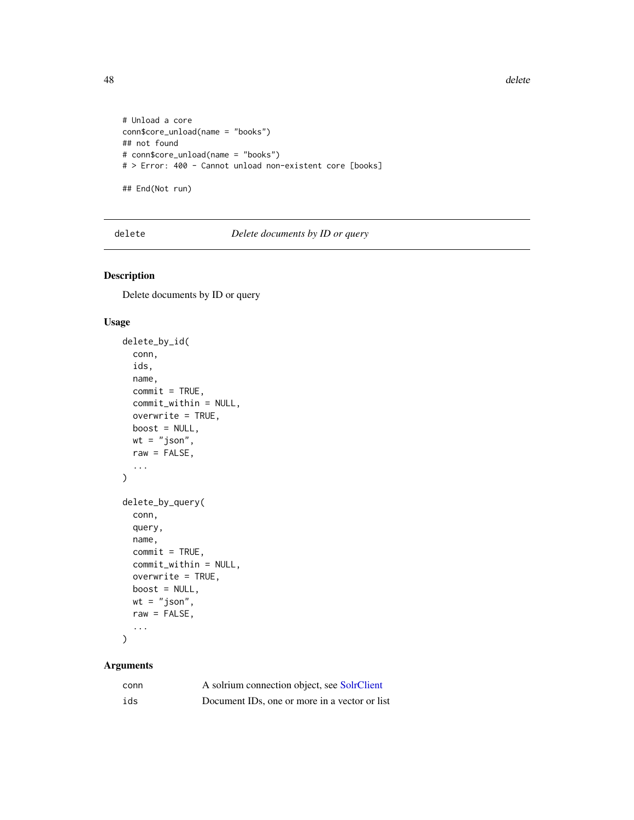**48** delete

```
# Unload a core
conn$core_unload(name = "books")
## not found
# conn$core_unload(name = "books")
# > Error: 400 - Cannot unload non-existent core [books]
## End(Not run)
```
delete *Delete documents by ID or query*

## Description

Delete documents by ID or query

#### Usage

```
delete_by_id(
  conn,
  ids,
 name,
 commit = TRUE,commit_within = NULL,
 overwrite = TRUE,
 boost = NULL,wt = "json",raw = FALSE,
  ...
\mathcal{L}delete_by_query(
 conn,
  query,
 name,
  commit = TRUE,commit_within = NULL,
 overwrite = TRUE,
 boost = NULL,wt = "json",raw = FALSE,...
)
```

| conn | A solrium connection object, see SolrClient                |
|------|------------------------------------------------------------|
| ids  | Document ID <sub>s</sub> , one or more in a vector or list |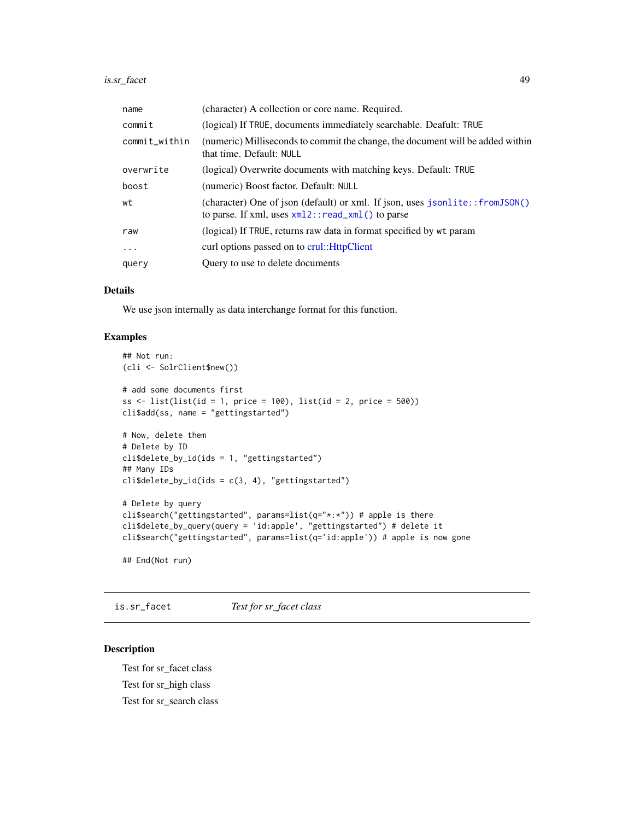| name          | (character) A collection or core name. Required.                                                                                      |  |
|---------------|---------------------------------------------------------------------------------------------------------------------------------------|--|
| commit        | (logical) If TRUE, documents immediately searchable. Deafult: TRUE                                                                    |  |
| commit_within | (numeric) Milliseconds to commit the change, the document will be added within<br>that time. Default: NULL                            |  |
| overwrite     | (logical) Overwrite documents with matching keys. Default: TRUE                                                                       |  |
| boost         | (numeric) Boost factor. Default: NULL                                                                                                 |  |
| wt            | (character) One of json (default) or xml. If json, uses jsonlite::fromJSON()<br>to parse. If xml, uses $xml2$ : : read_xml() to parse |  |
| raw           | (logical) If TRUE, returns raw data in format specified by wt param                                                                   |  |
| $\ddots$      | curl options passed on to crul:: HttpClient                                                                                           |  |
| query         | Query to use to delete documents                                                                                                      |  |

## Details

We use json internally as data interchange format for this function.

## Examples

```
## Not run:
(cli <- SolrClient$new())
# add some documents first
ss \le list(list(id = 1, price = 100), list(id = 2, price = 500))
cli$add(ss, name = "gettingstarted")
# Now, delete them
# Delete by ID
cli$delete_by_id(ids = 1, "gettingstarted")
## Many IDs
cli$delete_by_id(ids = c(3, 4), "getting started")# Delete by query
cli$search("gettingstarted", params=list(q="*:*")) # apple is there
cli$delete_by_query(query = 'id:apple', "gettingstarted") # delete it
cli$search("gettingstarted", params=list(q='id:apple')) # apple is now gone
## End(Not run)
```
is.sr\_facet *Test for sr\_facet class*

## Description

Test for sr\_facet class Test for sr\_high class Test for sr\_search class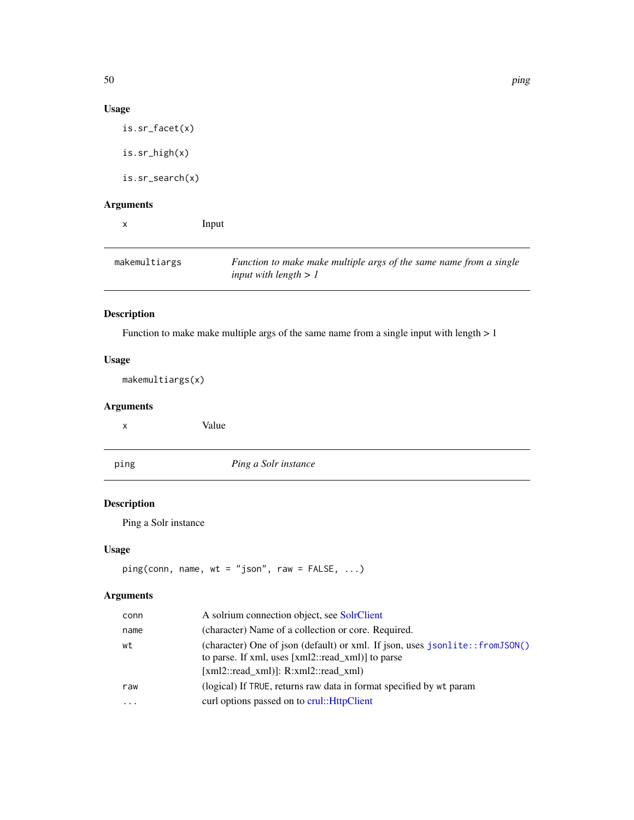# Usage

is.sr\_facet(x)

is.sr\_high(x)

is.sr\_search(x)

# Arguments

x Input makemultiargs *Function to make make multiple args of the same name from a single input with length > 1*

# Description

Function to make make multiple args of the same name from a single input with length > 1

# Usage

makemultiargs(x)

## Arguments

| х    | Value                |  |
|------|----------------------|--|
| ping | Ping a Solr instance |  |
|      |                      |  |

# Description

Ping a Solr instance

## Usage

```
ping(conn, name, wt = "json", raw = FALSE, ...)
```

| conn     | A solrium connection object, see SolrClient                                                                                                                              |
|----------|--------------------------------------------------------------------------------------------------------------------------------------------------------------------------|
| name     | (character) Name of a collection or core. Required.                                                                                                                      |
| wt       | (character) One of json (default) or xml. If json, uses jsonlite::fromJSON()<br>to parse. If xml, uses [xml2::read_xml)] to parse<br>[xml2::read xml]: R:xml2::read xml) |
| raw      | (logical) If TRUE, returns raw data in format specified by wt param                                                                                                      |
| $\cdots$ | curl options passed on to crul:: HttpClient                                                                                                                              |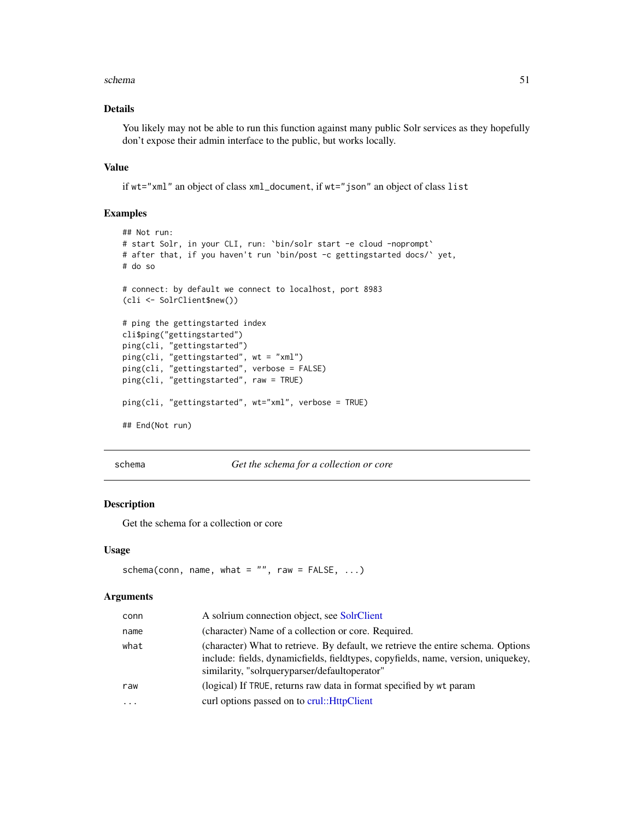#### schema 51

## Details

You likely may not be able to run this function against many public Solr services as they hopefully don't expose their admin interface to the public, but works locally.

## Value

if wt="xml" an object of class xml\_document, if wt="json" an object of class list

#### Examples

```
## Not run:
# start Solr, in your CLI, run: `bin/solr start -e cloud -noprompt`
# after that, if you haven't run `bin/post -c gettingstarted docs/` yet,
# do so
# connect: by default we connect to localhost, port 8983
(cli <- SolrClient$new())
# ping the gettingstarted index
cli$ping("gettingstarted")
ping(cli, "gettingstarted")
ping(cli, "gettingstarted", wt = "xml")
ping(cli, "gettingstarted", verbose = FALSE)
ping(cli, "gettingstarted", raw = TRUE)
ping(cli, "gettingstarted", wt="xml", verbose = TRUE)
## End(Not run)
```
schema *Get the schema for a collection or core*

## Description

Get the schema for a collection or core

#### Usage

```
schema(conn, name, what = ", raw = FALSE, ...)
```

| conn      | A solrium connection object, see SolrClient                                                                                                                                                                            |
|-----------|------------------------------------------------------------------------------------------------------------------------------------------------------------------------------------------------------------------------|
| name      | (character) Name of a collection or core. Required.                                                                                                                                                                    |
| what      | (character) What to retrieve. By default, we retrieve the entire schema. Options<br>include: fields, dynamicfields, fieldtypes, copyfields, name, version, uniquekey,<br>similarity, "solrqueryparser/defaultoperator" |
| raw       | (logical) If TRUE, returns raw data in format specified by wt param                                                                                                                                                    |
| $\ddotsc$ | curl options passed on to crul:: HttpClient                                                                                                                                                                            |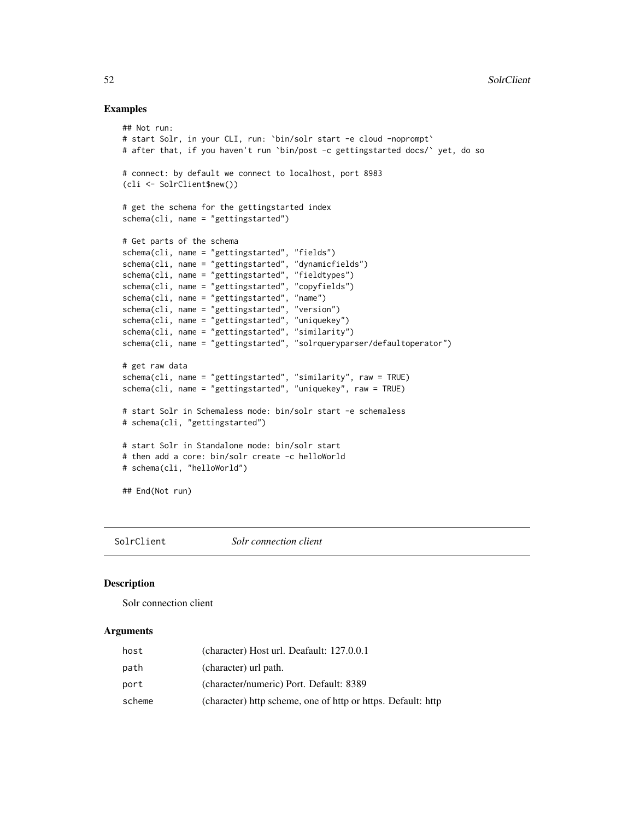## Examples

```
## Not run:
# start Solr, in your CLI, run: `bin/solr start -e cloud -noprompt`
# after that, if you haven't run `bin/post -c gettingstarted docs/` yet, do so
# connect: by default we connect to localhost, port 8983
(cli <- SolrClient$new())
# get the schema for the gettingstarted index
schema(cli, name = "gettingstarted")
# Get parts of the schema
schema(cli, name = "gettingstarted", "fields")
schema(cli, name = "gettingstarted", "dynamicfields")
schema(cli, name = "gettingstarted", "fieldtypes")
schema(cli, name = "gettingstarted", "copyfields")
schema(cli, name = "gettingstarted", "name")
schema(cli, name = "gettingstarted", "version")
schema(cli, name = "gettingstarted", "uniquekey")
schema(cli, name = "gettingstarted", "similarity")
schema(cli, name = "gettingstarted", "solrqueryparser/defaultoperator")
# get raw data
schema(cli, name = "gettingstarted", "similarity", raw = TRUE)
schema(cli, name = "gettingstarted", "uniquekey", raw = TRUE)
# start Solr in Schemaless mode: bin/solr start -e schemaless
# schema(cli, "gettingstarted")
# start Solr in Standalone mode: bin/solr start
# then add a core: bin/solr create -c helloWorld
# schema(cli, "helloWorld")
## End(Not run)
```
<span id="page-51-0"></span>SolrClient *Solr connection client*

#### Description

Solr connection client

| host   | (character) Host url. Deafault: 127.0.0.1                    |
|--------|--------------------------------------------------------------|
| path   | (character) url path.                                        |
| port   | (character/numeric) Port. Default: 8389                      |
| scheme | (character) http scheme, one of http or https. Default: http |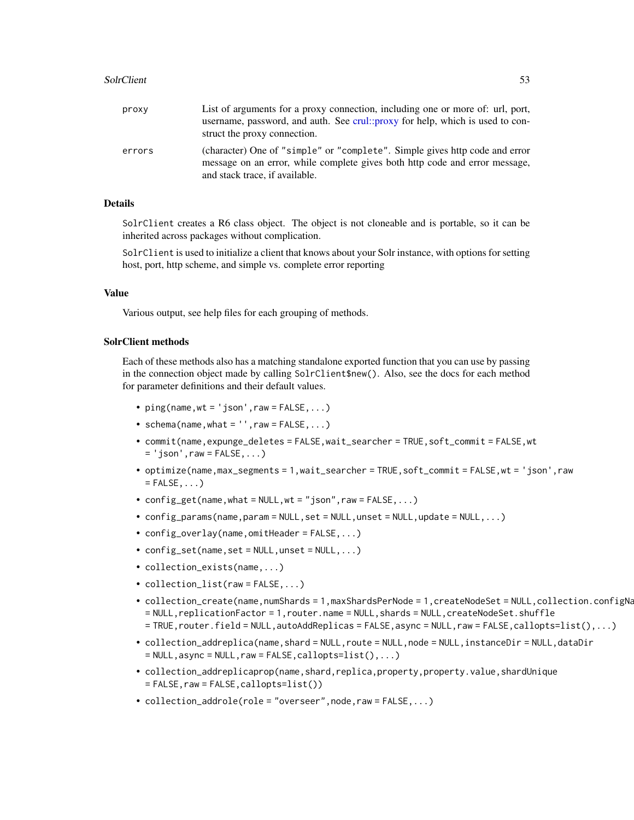#### SolrClient 53

| proxy  | List of arguments for a proxy connection, including one or more of: url, port,<br>username, password, and auth. See crul::proxy for help, which is used to con-<br>struct the proxy connection. |
|--------|-------------------------------------------------------------------------------------------------------------------------------------------------------------------------------------------------|
| errors | (character) One of "simple" or "complete". Simple gives http code and error<br>message on an error, while complete gives both http code and error message,<br>and stack trace, if available.    |

## Details

SolrClient creates a R6 class object. The object is not cloneable and is portable, so it can be inherited across packages without complication.

SolrClient is used to initialize a client that knows about your Solr instance, with options for setting host, port, http scheme, and simple vs. complete error reporting

## Value

Various output, see help files for each grouping of methods.

#### SolrClient methods

Each of these methods also has a matching standalone exported function that you can use by passing in the connection object made by calling SolrClient\$new(). Also, see the docs for each method for parameter definitions and their default values.

- $ping(name, wt = 'json', raw = FALSE, ...)$
- schema(name,what =  $'$ , raw = FALSE, ...)
- commit(name,expunge\_deletes = FALSE,wait\_searcher = TRUE,soft\_commit = FALSE,wt  $= 'json',raw = FALSE, ...)$
- optimize(name,max\_segments = 1,wait\_searcher = TRUE,soft\_commit = FALSE,wt = 'json',raw  $=$  FALSE,  $\ldots$ )
- $config\_get(name, what = NULL, wt = "json", raw = FALSE, ...)$
- $config\_params(name,param = NULL, set = NULL,unset = NULL, update = NULL, ...)$
- config\_overlay(name,omitHeader = FALSE,...)
- $config_set(name, set = NULL,unset = NULL, ...)$
- collection\_exists(name,...)
- collection\_list(raw = FALSE,...)
- collection\_create(name,numShards = 1,maxShardsPerNode = 1,createNodeSet = NULL,collection.configNa = NULL,replicationFactor = 1,router.name = NULL,shards = NULL,createNodeSet.shuffle = TRUE,router.field = NULL,autoAddReplicas = FALSE,async = NULL,raw = FALSE,callopts=list(),...)
- collection\_addreplica(name,shard = NULL,route = NULL,node = NULL,instanceDir = NULL,dataDir  $=$  NULL,async = NULL, raw = FALSE, callopts=list(),...)
- collection\_addreplicaprop(name,shard,replica,property,property.value,shardUnique  $=$  FALSE, raw = FALSE, callopts=list())
- collection\_addrole(role = "overseer",node,raw = FALSE,...)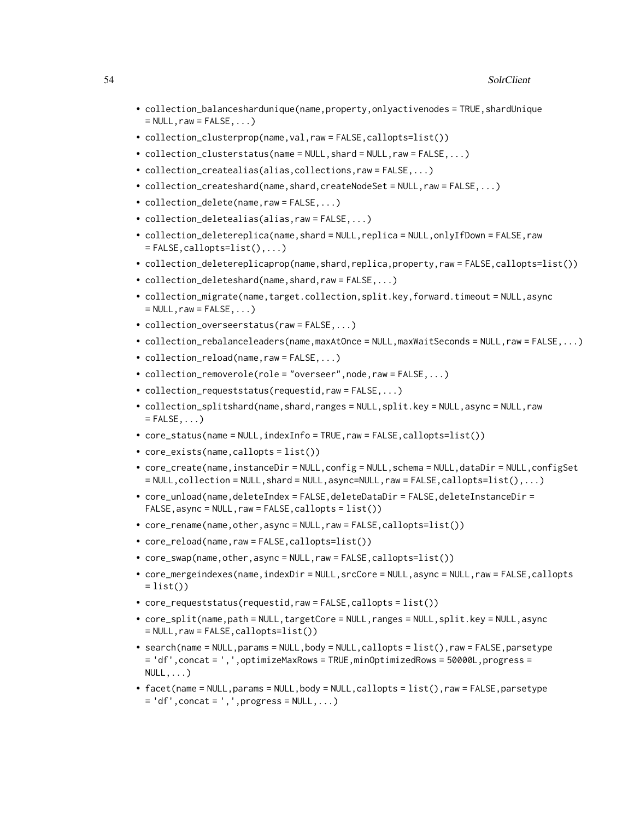- collection\_balanceshardunique(name,property,onlyactivenodes = TRUE,shardUnique  $=$  NULL, raw  $=$  FALSE,  $\ldots$ )
- collection\_clusterprop(name,val,raw = FALSE,callopts=list())
- collection\_clusterstatus(name = NULL, shard = NULL, raw = FALSE, ...)
- collection\_createalias(alias,collections,raw = FALSE,...)
- collection\_createshard(name,shard,createNodeSet = NULL,raw = FALSE,...)
- collection\_delete(name,raw = FALSE,...)
- collection\_deletealias(alias,raw = FALSE,...)
- collection\_deletereplica(name,shard = NULL,replica = NULL,onlyIfDown = FALSE,raw  $=$  FALSE, callopts=list(),...)
- collection\_deletereplicaprop(name,shard,replica,property,raw = FALSE,callopts=list())
- collection\_deleteshard(name,shard,raw = FALSE,...)
- collection\_migrate(name,target.collection,split.key,forward.timeout = NULL,async  $=$  NULL, raw  $=$  FALSE,  $\ldots$ )
- collection\_overseerstatus(raw = FALSE,...)
- collection\_rebalanceleaders(name,maxAtOnce = NULL,maxWaitSeconds = NULL,raw = FALSE,...)
- collection\_reload(name,raw = FALSE,...)
- collection\_removerole(role = "overseer",node,raw = FALSE,...)
- collection\_requeststatus(requestid,raw = FALSE,...)
- collection\_splitshard(name,shard,ranges = NULL,split.key = NULL,async = NULL,raw  $=$  FALSE,  $\ldots$ )
- core\_status(name = NULL,indexInfo = TRUE,raw = FALSE,callopts=list())
- core\_exists(name,callopts = list())
- core\_create(name,instanceDir = NULL,config = NULL,schema = NULL,dataDir = NULL,configSet  $=$  NULL,collection = NULL,shard = NULL,async=NULL,raw = FALSE,callopts=list(),...)
- core\_unload(name,deleteIndex = FALSE,deleteDataDir = FALSE,deleteInstanceDir = FALSE,async = NULL,raw = FALSE,callopts = list())
- core\_rename(name,other,async = NULL,raw = FALSE,callopts=list())
- core\_reload(name,raw = FALSE,callopts=list())
- core\_swap(name,other,async = NULL,raw = FALSE,callopts=list())
- core\_mergeindexes(name,indexDir = NULL,srcCore = NULL,async = NULL,raw = FALSE,callopts  $= list()$
- core\_requeststatus(requestid,raw = FALSE,callopts = list())
- core\_split(name,path = NULL,targetCore = NULL,ranges = NULL,split.key = NULL,async  $=$  NULL, raw  $=$  FALSE, callopts=list())
- search(name = NULL,params = NULL,body = NULL,callopts =  $list()$ ,raw = FALSE,parsetype = 'df',concat = ',',optimizeMaxRows = TRUE,minOptimizedRows = 50000L,progress =  $NULL, \ldots)$
- facet(name = NULL,params = NULL,body = NULL,callopts = list(),raw = FALSE,parsetype  $= 'df', \text{concat} = ', ', \text{progress} = \text{NULL}, \dots)$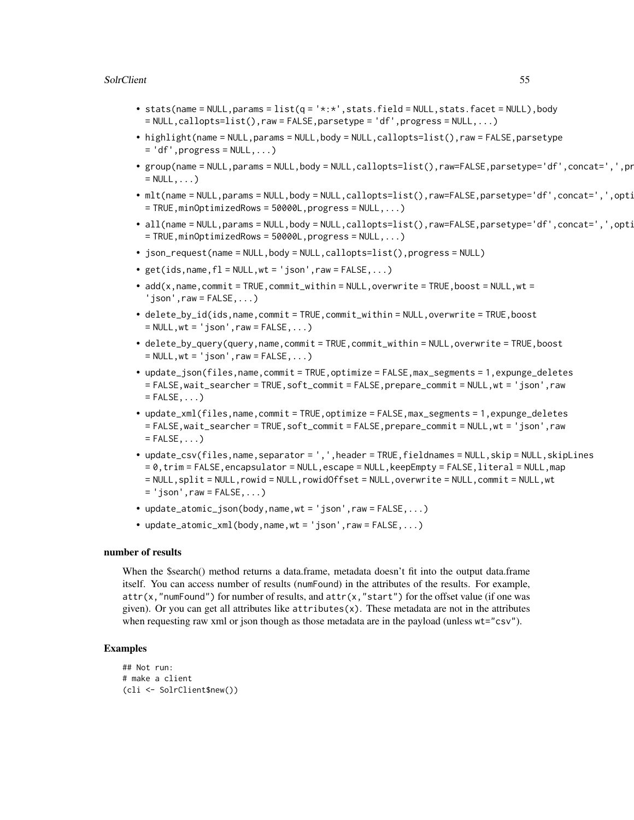## SolrClient 55

- stats(name = NULL,params =  $list(q = '*.*.$ ,stats.field = NULL,stats.facet = NULL),body  $=$  NULL,callopts=list(),raw = FALSE,parsetype = 'df',progress = NULL,...)
- highlight(name = NULL,params = NULL,body = NULL,callopts=list(),raw = FALSE,parsetype  $= 'df', progress = NULL, ...)$
- group(name = NULL,params = NULL,body = NULL,callopts=list(),raw=FALSE,parsetype='df',concat=',',pr  $=$  NULL,  $\ldots$ )
- mlt(name = NULL,params = NULL,body = NULL,callopts=list(),raw=FALSE,parsetype='df',concat=',',opti  $=$  TRUE, minOptimizedRows = 50000L, progress = NULL,...)
- all(name = NULL,params = NULL,body = NULL,callopts=list(),raw=FALSE,parsetype='df',concat=',',opti  $=$  TRUE, minOptimizedRows = 50000L, progress = NULL,...)
- json\_request(name = NULL,body = NULL,callopts=list(),progress = NULL)
- get(ids, name,  $f1 = NULL, wt = 'ison', raw = FALSE, ...$ )
- $ad(x, name, commit = TRUE, commit\_within = NULL, overtime = TRUE, boost = NULL, wt =$  $'$ json', raw = FALSE,  $\ldots$ )
- delete\_by\_id(ids,name,commit = TRUE,commit\_within = NULL,overwrite = TRUE,boost  $=$  NULL,  $wt = 'json'$ , raw  $=$  FALSE,  $\ldots$ )
- delete\_by\_query(query,name,commit = TRUE,commit\_within = NULL,overwrite = TRUE,boost  $=$  NULL,  $wt = 'json'$ , raw  $=$  FALSE,  $\ldots$ )
- update\_json(files,name,commit = TRUE,optimize = FALSE,max\_segments = 1,expunge\_deletes = FALSE,wait\_searcher = TRUE,soft\_commit = FALSE,prepare\_commit = NULL,wt = 'json',raw  $=$  FALSE,  $\ldots$ )
- update\_xml(files,name,commit = TRUE,optimize = FALSE,max\_segments = 1,expunge\_deletes = FALSE,wait\_searcher = TRUE,soft\_commit = FALSE,prepare\_commit = NULL,wt = 'json',raw  $=$  FALSE,  $\ldots$ )
- update\_csv(files,name,separator = ',',header = TRUE,fieldnames = NULL,skip = NULL,skipLines  $= 0$ , trim = FALSE, encapsulator = NULL, escape = NULL, keepEmpty = FALSE, literal = NULL, map = NULL,split = NULL,rowid = NULL,rowidOffset = NULL,overwrite = NULL,commit = NULL,wt  $=$  'json', raw = FALSE, ...)
- update\_atomic\_json(body,name,wt = 'json',raw =  $FALSE$ ,...)
- update\_atomic\_xml(body,name,wt = 'json',raw = FALSE,...)

## number of results

When the \$search() method returns a data.frame, metadata doesn't fit into the output data.frame itself. You can access number of results (numFound) in the attributes of the results. For example,  $attr(x, "numFound")$  for number of results, and  $attr(x, "start")$  for the offset value (if one was given). Or you can get all attributes like  $atr$ ibutes $(x)$ . These metadata are not in the attributes when requesting raw xml or json though as those metadata are in the payload (unless wt="csv").

```
## Not run:
# make a client
(cli <- SolrClient$new())
```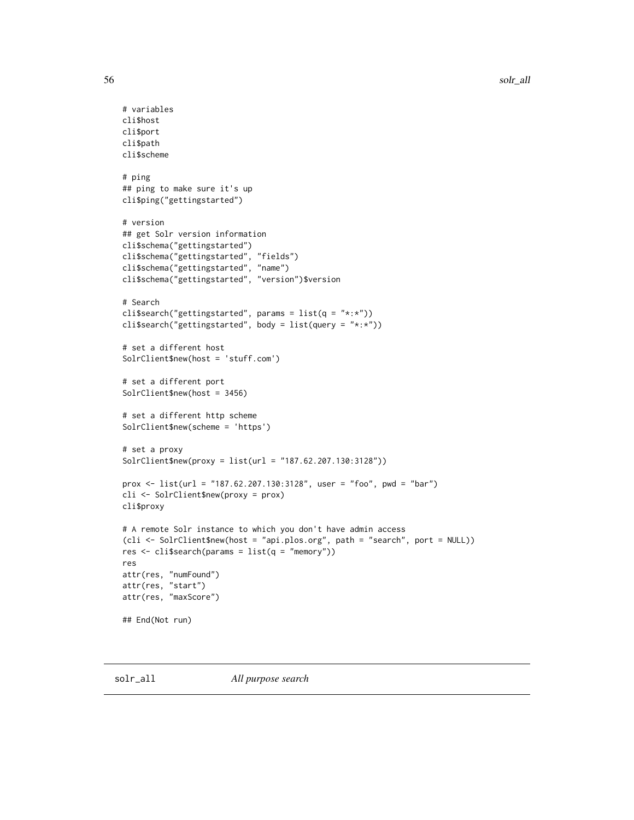```
# variables
cli$host
cli$port
cli$path
cli$scheme
# ping
## ping to make sure it's up
cli$ping("gettingstarted")
# version
## get Solr version information
cli$schema("gettingstarted")
cli$schema("gettingstarted", "fields")
cli$schema("gettingstarted", "name")
cli$schema("gettingstarted", "version")$version
# Search
cli$search("gettingstarted", params = list(q = "*:"))
cli$search("gettingstarted", body = list(query = "*:*"))
# set a different host
SolrClient$new(host = 'stuff.com')
# set a different port
SolrClient$new(host = 3456)
# set a different http scheme
SolrClient$new(scheme = 'https')
# set a proxy
SolrClient$new(proxy = list(url = "187.62.207.130:3128"))
prox <- list(url = "187.62.207.130:3128", user = "foo", pwd = "bar")
cli <- SolrClient$new(proxy = prox)
cli$proxy
# A remote Solr instance to which you don't have admin access
(cli <- SolrClient$new(host = "api.plos.org", path = "search", port = NULL))
res \le cli$search(params = list(q = "memory"))
res
attr(res, "numFound")
attr(res, "start")
attr(res, "maxScore")
## End(Not run)
```
<span id="page-55-0"></span>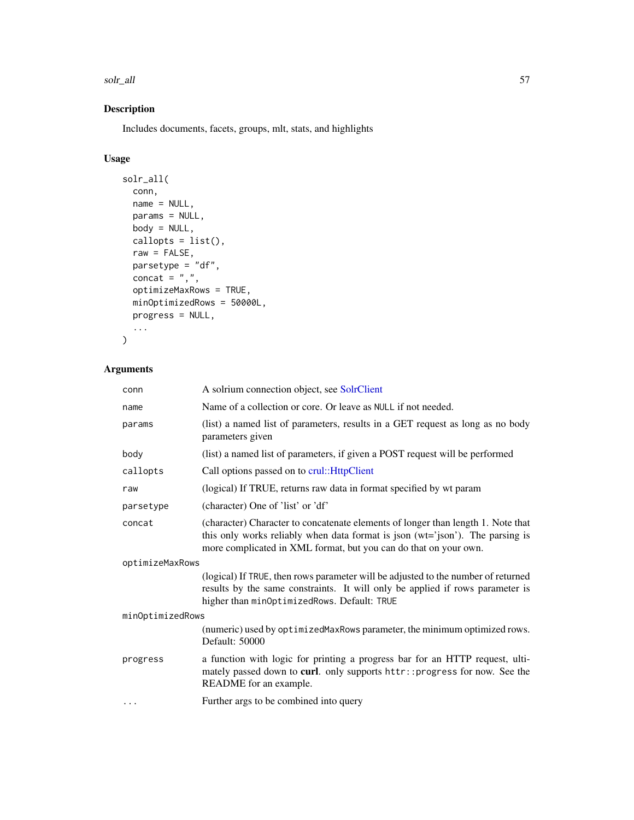solr\_all 57

# Description

Includes documents, facets, groups, mlt, stats, and highlights

## Usage

```
solr_all(
 conn,
 name = NULL,
 params = NULL,
 body = NULL,callopts = list(),
 raw = FALSE,parsetype = "df",
 concat = ",",optimizeMaxRows = TRUE,
 minOptimizedRows = 50000L,
 progress = NULL,
  ...
```

```
)
```

| Name of a collection or core. Or leave as NULL if not needed.                                                                                                                                                                         |  |  |
|---------------------------------------------------------------------------------------------------------------------------------------------------------------------------------------------------------------------------------------|--|--|
| (list) a named list of parameters, results in a GET request as long as no body<br>parameters given                                                                                                                                    |  |  |
| (list) a named list of parameters, if given a POST request will be performed                                                                                                                                                          |  |  |
| Call options passed on to crul:: HttpClient                                                                                                                                                                                           |  |  |
| (logical) If TRUE, returns raw data in format specified by wt param                                                                                                                                                                   |  |  |
| (character) One of 'list' or 'df'                                                                                                                                                                                                     |  |  |
| (character) Character to concatenate elements of longer than length 1. Note that<br>this only works reliably when data format is json (wt='json'). The parsing is<br>more complicated in XML format, but you can do that on your own. |  |  |
| optimizeMaxRows                                                                                                                                                                                                                       |  |  |
| (logical) If TRUE, then rows parameter will be adjusted to the number of returned<br>results by the same constraints. It will only be applied if rows parameter is<br>higher than minOptimizedRows. Default: TRUE                     |  |  |
| minOptimizedRows                                                                                                                                                                                                                      |  |  |
| (numeric) used by optimizedMaxRows parameter, the minimum optimized rows.<br>Default: 50000                                                                                                                                           |  |  |
| a function with logic for printing a progress bar for an HTTP request, ulti-<br>mately passed down to curl. only supports httr:: progress for now. See the<br>README for an example.                                                  |  |  |
| Further args to be combined into query                                                                                                                                                                                                |  |  |
|                                                                                                                                                                                                                                       |  |  |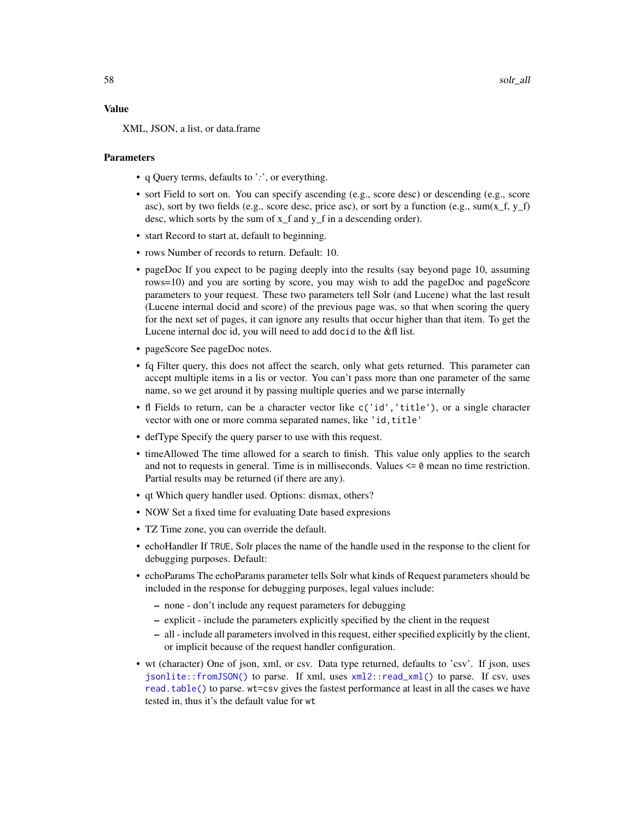#### Value

XML, JSON, a list, or data.frame

#### **Parameters**

- q Query terms, defaults to '*:*', or everything.
- sort Field to sort on. You can specify ascending (e.g., score desc) or descending (e.g., score asc), sort by two fields (e.g., score desc, price asc), or sort by a function (e.g., sum( $x_f$ ,  $y_f$ ) desc, which sorts by the sum of x\_f and y\_f in a descending order).
- start Record to start at, default to beginning.
- rows Number of records to return. Default: 10.
- pageDoc If you expect to be paging deeply into the results (say beyond page 10, assuming rows=10) and you are sorting by score, you may wish to add the pageDoc and pageScore parameters to your request. These two parameters tell Solr (and Lucene) what the last result (Lucene internal docid and score) of the previous page was, so that when scoring the query for the next set of pages, it can ignore any results that occur higher than that item. To get the Lucene internal doc id, you will need to add docid to the &fl list.
- pageScore See pageDoc notes.
- fq Filter query, this does not affect the search, only what gets returned. This parameter can accept multiple items in a lis or vector. You can't pass more than one parameter of the same name, so we get around it by passing multiple queries and we parse internally
- fl Fields to return, can be a character vector like c('id','title'), or a single character vector with one or more comma separated names, like 'id, title'
- defType Specify the query parser to use with this request.
- timeAllowed The time allowed for a search to finish. This value only applies to the search and not to requests in general. Time is in milliseconds. Values  $\leq 0$  mean no time restriction. Partial results may be returned (if there are any).
- qt Which query handler used. Options: dismax, others?
- NOW Set a fixed time for evaluating Date based expresions
- TZ Time zone, you can override the default.
- echoHandler If TRUE, Solr places the name of the handle used in the response to the client for debugging purposes. Default:
- echoParams The echoParams parameter tells Solr what kinds of Request parameters should be included in the response for debugging purposes, legal values include:
	- none don't include any request parameters for debugging
	- explicit include the parameters explicitly specified by the client in the request
	- all include all parameters involved in this request, either specified explicitly by the client, or implicit because of the request handler configuration.
- wt (character) One of json, xml, or csv. Data type returned, defaults to 'csv'. If json, uses [jsonlite::fromJSON\(\)](#page-0-0) to parse. If xml, uses [xml2::read\\_xml\(\)](#page-0-0) to parse. If csv, uses [read.table\(\)](#page-0-0) to parse. wt=csv gives the fastest performance at least in all the cases we have tested in, thus it's the default value for wt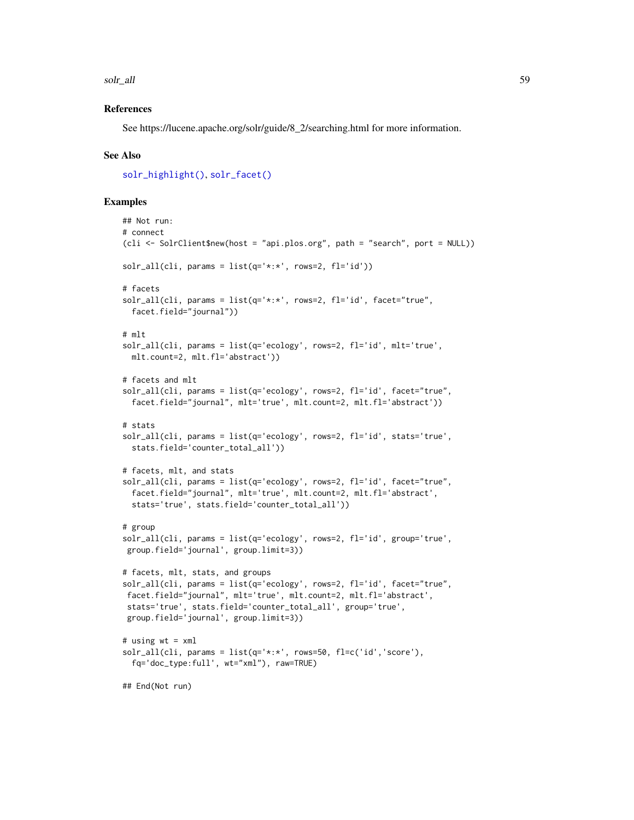solr\_all 59

## References

See https://lucene.apache.org/solr/guide/8\_2/searching.html for more information.

#### See Also

[solr\\_highlight\(\)](#page-70-0), [solr\\_facet\(\)](#page-59-0)

```
## Not run:
# connect
(cli <- SolrClient$new(host = "api.plos.org", path = "search", port = NULL))
solar\_all(cli, params = list(q='*:*', rows=2, fl='id'))# facets
solr_all(cli, params = list(q='*:*', rows=2, fl='id', facet="true",
 facet.field="journal"))
# mlt
solr_all(cli, params = list(q='ecology', rows=2, fl='id', mlt='true',
 mlt.count=2, mlt.fl='abstract'))
# facets and mlt
solr_all(cli, params = list(q='ecology', rows=2, fl='id', facet="true",
 facet.field="journal", mlt='true', mlt.count=2, mlt.fl='abstract'))
# stats
solr_all(cli, params = list(q='ecology', rows=2, fl='id', stats='true',
 stats.field='counter_total_all'))
# facets, mlt, and stats
solr_all(cli, params = list(q='ecology', rows=2, fl='id', facet="true",
 facet.field="journal", mlt='true', mlt.count=2, mlt.fl='abstract',
 stats='true', stats.field='counter_total_all'))
# group
solr_all(cli, params = list(q='ecology', rows=2, fl='id', group='true',
group.field='journal', group.limit=3))
# facets, mlt, stats, and groups
solr_all(cli, params = list(q='ecology', rows=2, fl='id', facet="true",
facet.field="journal", mlt='true', mlt.count=2, mlt.fl='abstract',
stats='true', stats.field='counter_total_all', group='true',
group.field='journal', group.limit=3))
# using wt = xml
solr_all(cli, params = list(q='*:*', rows=50, fl=c('id','score'),
 fq='doc_type:full', wt="xml"), raw=TRUE)
## End(Not run)
```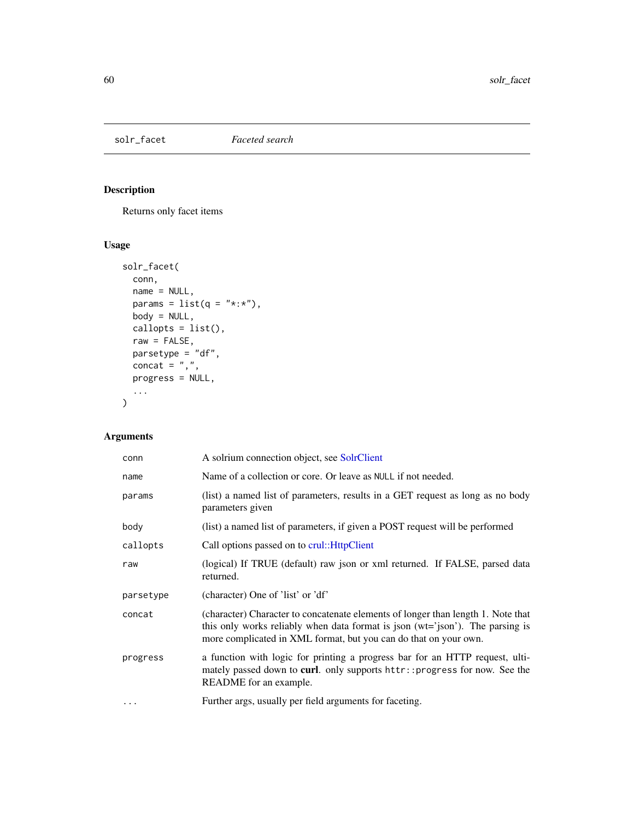# <span id="page-59-0"></span>solr\_facet *Faceted search*

# Description

Returns only facet items

# Usage

```
solr_facet(
 conn,
 name = NULL,params = list(q = "*:*),
 body = NULL,
 callopts = list(),
 raw = FALSE,parsetype = "df",
 concat = ",",progress = NULL,
  ...
\mathcal{L}
```

| conn      | A solrium connection object, see SolrClient                                                                                                                                                                                           |
|-----------|---------------------------------------------------------------------------------------------------------------------------------------------------------------------------------------------------------------------------------------|
| name      | Name of a collection or core. Or leave as NULL if not needed.                                                                                                                                                                         |
| params    | (list) a named list of parameters, results in a GET request as long as no body<br>parameters given                                                                                                                                    |
| body      | (list) a named list of parameters, if given a POST request will be performed                                                                                                                                                          |
| callopts  | Call options passed on to crul:: HttpClient                                                                                                                                                                                           |
| raw       | (logical) If TRUE (default) raw json or xml returned. If FALSE, parsed data<br>returned.                                                                                                                                              |
| parsetype | (character) One of 'list' or 'df'                                                                                                                                                                                                     |
| concat    | (character) Character to concatenate elements of longer than length 1. Note that<br>this only works reliably when data format is json (wt='json'). The parsing is<br>more complicated in XML format, but you can do that on your own. |
| progress  | a function with logic for printing a progress bar for an HTTP request, ulti-<br>mately passed down to curl. only supports httr:: progress for now. See the<br>README for an example.                                                  |
| $\cdot$   | Further args, usually per field arguments for faceting.                                                                                                                                                                               |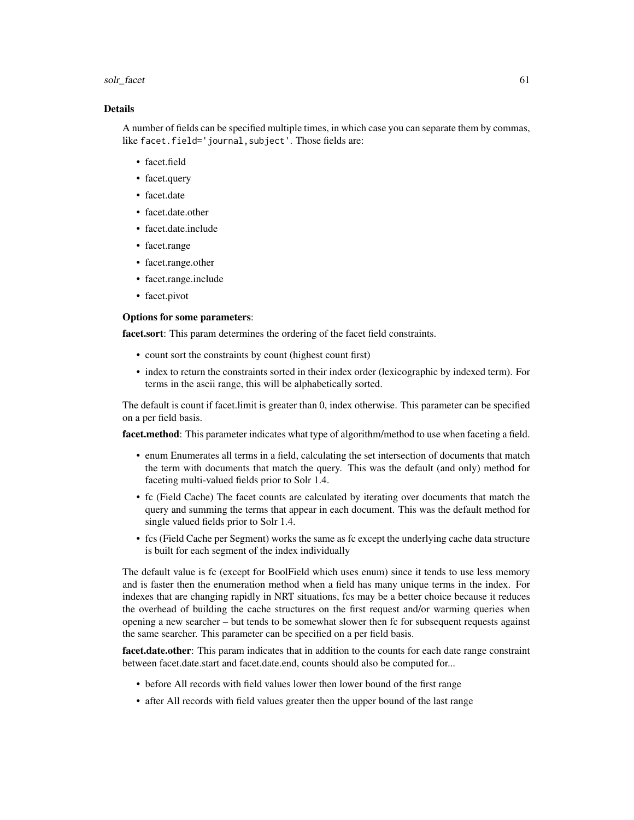#### solr\_facet 61

#### Details

A number of fields can be specified multiple times, in which case you can separate them by commas, like facet.field='journal, subject'. Those fields are:

- facet.field
- facet.query
- facet.date
- facet.date.other
- facet.date.include
- facet.range
- facet.range.other
- facet.range.include
- facet.pivot

## Options for some parameters:

facet.sort: This param determines the ordering of the facet field constraints.

- count sort the constraints by count (highest count first)
- index to return the constraints sorted in their index order (lexicographic by indexed term). For terms in the ascii range, this will be alphabetically sorted.

The default is count if facet.limit is greater than 0, index otherwise. This parameter can be specified on a per field basis.

facet.method: This parameter indicates what type of algorithm/method to use when faceting a field.

- enum Enumerates all terms in a field, calculating the set intersection of documents that match the term with documents that match the query. This was the default (and only) method for faceting multi-valued fields prior to Solr 1.4.
- fc (Field Cache) The facet counts are calculated by iterating over documents that match the query and summing the terms that appear in each document. This was the default method for single valued fields prior to Solr 1.4.
- fcs (Field Cache per Segment) works the same as fc except the underlying cache data structure is built for each segment of the index individually

The default value is fc (except for BoolField which uses enum) since it tends to use less memory and is faster then the enumeration method when a field has many unique terms in the index. For indexes that are changing rapidly in NRT situations, fcs may be a better choice because it reduces the overhead of building the cache structures on the first request and/or warming queries when opening a new searcher – but tends to be somewhat slower then fc for subsequent requests against the same searcher. This parameter can be specified on a per field basis.

facet.date.other: This param indicates that in addition to the counts for each date range constraint between facet.date.start and facet.date.end, counts should also be computed for...

- before All records with field values lower then lower bound of the first range
- after All records with field values greater then the upper bound of the last range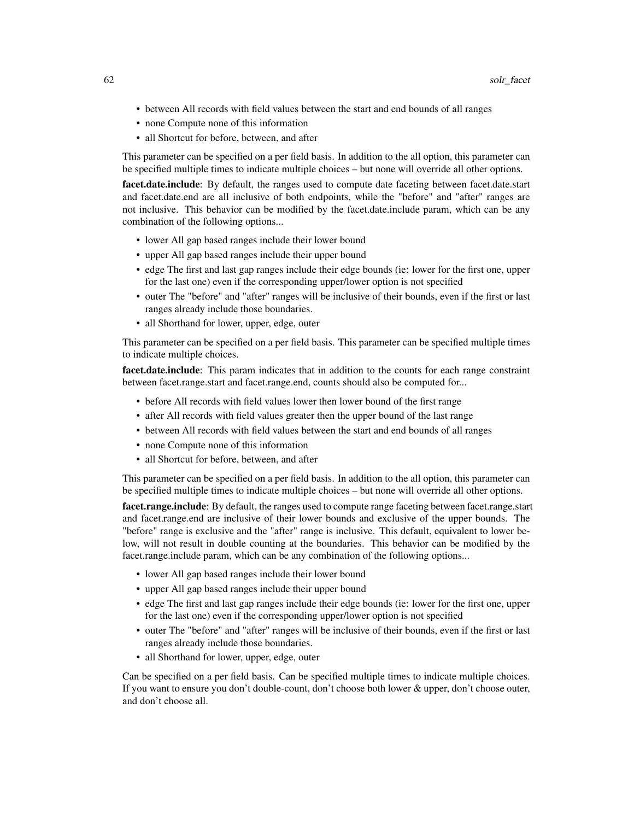- between All records with field values between the start and end bounds of all ranges
- none Compute none of this information
- all Shortcut for before, between, and after

This parameter can be specified on a per field basis. In addition to the all option, this parameter can be specified multiple times to indicate multiple choices – but none will override all other options.

facet.date.include: By default, the ranges used to compute date faceting between facet.date.start and facet.date.end are all inclusive of both endpoints, while the "before" and "after" ranges are not inclusive. This behavior can be modified by the facet.date.include param, which can be any combination of the following options...

- lower All gap based ranges include their lower bound
- upper All gap based ranges include their upper bound
- edge The first and last gap ranges include their edge bounds (ie: lower for the first one, upper for the last one) even if the corresponding upper/lower option is not specified
- outer The "before" and "after" ranges will be inclusive of their bounds, even if the first or last ranges already include those boundaries.
- all Shorthand for lower, upper, edge, outer

This parameter can be specified on a per field basis. This parameter can be specified multiple times to indicate multiple choices.

facet.date.include: This param indicates that in addition to the counts for each range constraint between facet.range.start and facet.range.end, counts should also be computed for...

- before All records with field values lower then lower bound of the first range
- after All records with field values greater then the upper bound of the last range
- between All records with field values between the start and end bounds of all ranges
- none Compute none of this information
- all Shortcut for before, between, and after

This parameter can be specified on a per field basis. In addition to the all option, this parameter can be specified multiple times to indicate multiple choices – but none will override all other options.

facet.range.include: By default, the ranges used to compute range faceting between facet.range.start and facet.range.end are inclusive of their lower bounds and exclusive of the upper bounds. The "before" range is exclusive and the "after" range is inclusive. This default, equivalent to lower below, will not result in double counting at the boundaries. This behavior can be modified by the facet.range.include param, which can be any combination of the following options...

- lower All gap based ranges include their lower bound
- upper All gap based ranges include their upper bound
- edge The first and last gap ranges include their edge bounds (ie: lower for the first one, upper for the last one) even if the corresponding upper/lower option is not specified
- outer The "before" and "after" ranges will be inclusive of their bounds, even if the first or last ranges already include those boundaries.
- all Shorthand for lower, upper, edge, outer

Can be specified on a per field basis. Can be specified multiple times to indicate multiple choices. If you want to ensure you don't double-count, don't choose both lower & upper, don't choose outer, and don't choose all.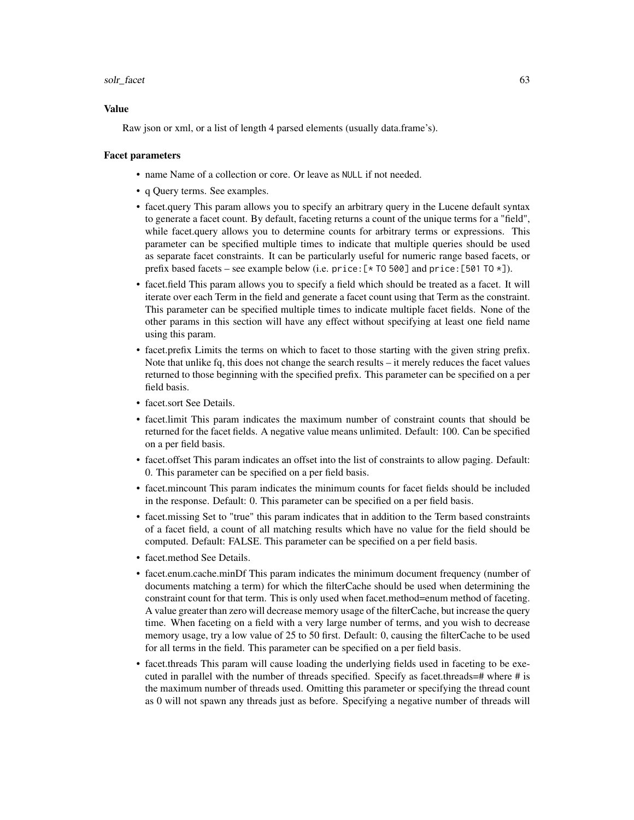#### solr\_facet 63

#### Value

Raw json or xml, or a list of length 4 parsed elements (usually data.frame's).

#### Facet parameters

- name Name of a collection or core. Or leave as NULL if not needed.
- q Query terms. See examples.
- facet.query This param allows you to specify an arbitrary query in the Lucene default syntax to generate a facet count. By default, faceting returns a count of the unique terms for a "field", while facet.query allows you to determine counts for arbitrary terms or expressions. This parameter can be specified multiple times to indicate that multiple queries should be used as separate facet constraints. It can be particularly useful for numeric range based facets, or prefix based facets – see example below (i.e. price: $[\times 70500]$  and price: [501 TO  $\times$ ]).
- facet.field This param allows you to specify a field which should be treated as a facet. It will iterate over each Term in the field and generate a facet count using that Term as the constraint. This parameter can be specified multiple times to indicate multiple facet fields. None of the other params in this section will have any effect without specifying at least one field name using this param.
- facet.prefix Limits the terms on which to facet to those starting with the given string prefix. Note that unlike fq, this does not change the search results – it merely reduces the facet values returned to those beginning with the specified prefix. This parameter can be specified on a per field basis.
- facet.sort See Details.
- facet.limit This param indicates the maximum number of constraint counts that should be returned for the facet fields. A negative value means unlimited. Default: 100. Can be specified on a per field basis.
- facet.offset This param indicates an offset into the list of constraints to allow paging. Default: 0. This parameter can be specified on a per field basis.
- facet.mincount This param indicates the minimum counts for facet fields should be included in the response. Default: 0. This parameter can be specified on a per field basis.
- facet.missing Set to "true" this param indicates that in addition to the Term based constraints of a facet field, a count of all matching results which have no value for the field should be computed. Default: FALSE. This parameter can be specified on a per field basis.
- facet.method See Details.
- facet.enum.cache.minDf This param indicates the minimum document frequency (number of documents matching a term) for which the filterCache should be used when determining the constraint count for that term. This is only used when facet.method=enum method of faceting. A value greater than zero will decrease memory usage of the filterCache, but increase the query time. When faceting on a field with a very large number of terms, and you wish to decrease memory usage, try a low value of 25 to 50 first. Default: 0, causing the filterCache to be used for all terms in the field. This parameter can be specified on a per field basis.
- facet.threads This param will cause loading the underlying fields used in faceting to be executed in parallel with the number of threads specified. Specify as facet.threads=# where # is the maximum number of threads used. Omitting this parameter or specifying the thread count as 0 will not spawn any threads just as before. Specifying a negative number of threads will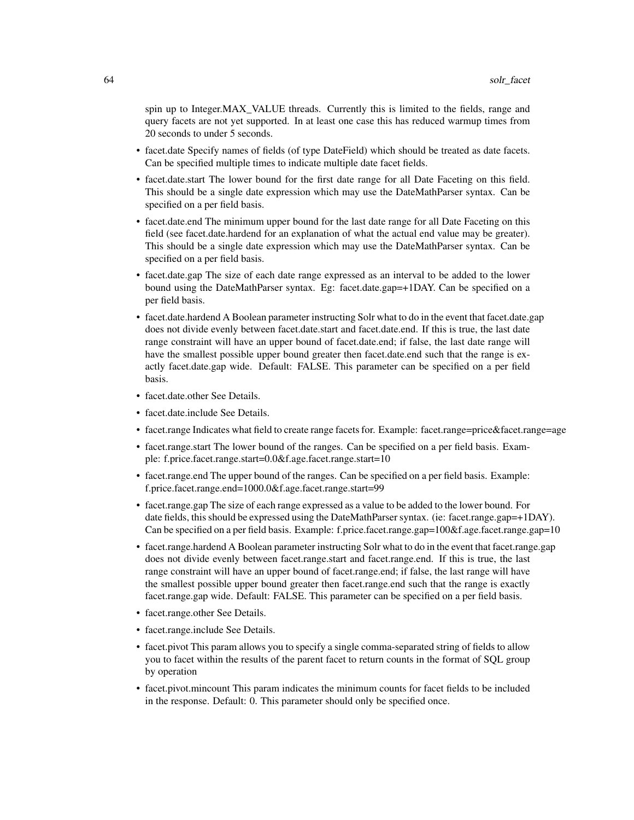spin up to Integer.MAX\_VALUE threads. Currently this is limited to the fields, range and query facets are not yet supported. In at least one case this has reduced warmup times from 20 seconds to under 5 seconds.

- facet.date Specify names of fields (of type DateField) which should be treated as date facets. Can be specified multiple times to indicate multiple date facet fields.
- facet.date.start The lower bound for the first date range for all Date Faceting on this field. This should be a single date expression which may use the DateMathParser syntax. Can be specified on a per field basis.
- facet.date.end The minimum upper bound for the last date range for all Date Faceting on this field (see facet.date.hardend for an explanation of what the actual end value may be greater). This should be a single date expression which may use the DateMathParser syntax. Can be specified on a per field basis.
- facet.date.gap The size of each date range expressed as an interval to be added to the lower bound using the DateMathParser syntax. Eg: facet.date.gap=+1DAY. Can be specified on a per field basis.
- facet.date.hardend A Boolean parameter instructing Solr what to do in the event that facet.date.gap does not divide evenly between facet.date.start and facet.date.end. If this is true, the last date range constraint will have an upper bound of facet.date.end; if false, the last date range will have the smallest possible upper bound greater then facet.date.end such that the range is exactly facet.date.gap wide. Default: FALSE. This parameter can be specified on a per field basis.
- facet.date.other See Details.
- facet.date.include See Details.
- facet.range Indicates what field to create range facets for. Example: facet.range=price&facet.range=age
- facet.range.start The lower bound of the ranges. Can be specified on a per field basis. Example: f.price.facet.range.start=0.0&f.age.facet.range.start=10
- facet.range.end The upper bound of the ranges. Can be specified on a per field basis. Example: f.price.facet.range.end=1000.0&f.age.facet.range.start=99
- facet.range.gap The size of each range expressed as a value to be added to the lower bound. For date fields, this should be expressed using the DateMathParser syntax. (ie: facet.range.gap=+1DAY). Can be specified on a per field basis. Example: f.price.facet.range.gap=100&f.age.facet.range.gap=10
- facet.range.hardend A Boolean parameter instructing Solr what to do in the event that facet.range.gap does not divide evenly between facet.range.start and facet.range.end. If this is true, the last range constraint will have an upper bound of facet.range.end; if false, the last range will have the smallest possible upper bound greater then facet.range.end such that the range is exactly facet.range.gap wide. Default: FALSE. This parameter can be specified on a per field basis.
- facet.range.other See Details.
- facet.range.include See Details.
- facet.pivot This param allows you to specify a single comma-separated string of fields to allow you to facet within the results of the parent facet to return counts in the format of SQL group by operation
- facet.pivot.mincount This param indicates the minimum counts for facet fields to be included in the response. Default: 0. This parameter should only be specified once.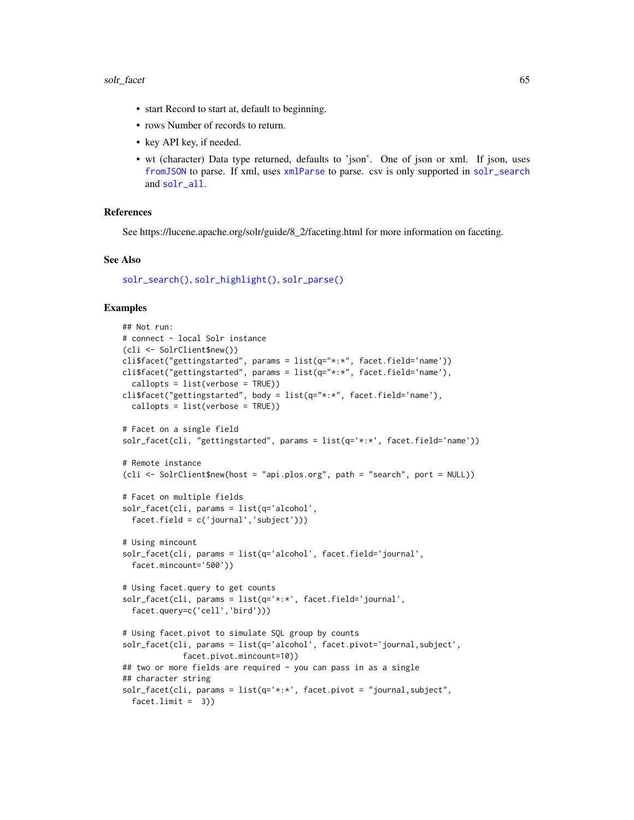- start Record to start at, default to beginning.
- rows Number of records to return.
- key API key, if needed.
- wt (character) Data type returned, defaults to 'json'. One of json or xml. If json, uses [fromJSON](#page-0-0) to parse. If xml, uses [xmlParse](#page-0-0) to parse. csv is only supported in [solr\\_search](#page-80-0) and [solr\\_all](#page-55-0).

#### References

See https://lucene.apache.org/solr/guide/8\_2/faceting.html for more information on faceting.

#### See Also

[solr\\_search\(\)](#page-80-0), [solr\\_highlight\(\)](#page-70-0), [solr\\_parse\(\)](#page-79-0)

```
## Not run:
# connect - local Solr instance
(cli <- SolrClient$new())
cli$facet("gettingstarted", params = list(q="*:*", facet.field='name'))
cli$facet("gettingstarted", params = list(q="*:*", facet.field='name'),
  callopts = list(verbose = TRUE))
cli$facet("gettingstarted", body = list(q="*:*", facet.field='name'),
  callopts = list(verbose = TRUE))
# Facet on a single field
solr_facet(cli, "gettingstarted", params = list(q='*:*', facet.field='name'))
# Remote instance
(cli <- SolrClient$new(host = "api.plos.org", path = "search", port = NULL))
# Facet on multiple fields
solr_facet(cli, params = list(q='alcohol',
  facet.field = c('journal','subject')))
# Using mincount
solr_facet(cli, params = list(q='alcohol', facet.field='journal',
  facet.mincount='500'))
# Using facet.query to get counts
solr_facet(cli, params = list(q='*:*', facet.field='journal',
  facet.query=c('cell','bird')))
# Using facet.pivot to simulate SQL group by counts
solr_facet(cli, params = list(q='alcohol', facet.pivot='journal,subject',
             facet.pivot.mincount=10))
## two or more fields are required - you can pass in as a single
## character string
solr_facet(cli, params = list(q='*:*', facet.pivot = "journal,subject",
  facet.limit = 3)
```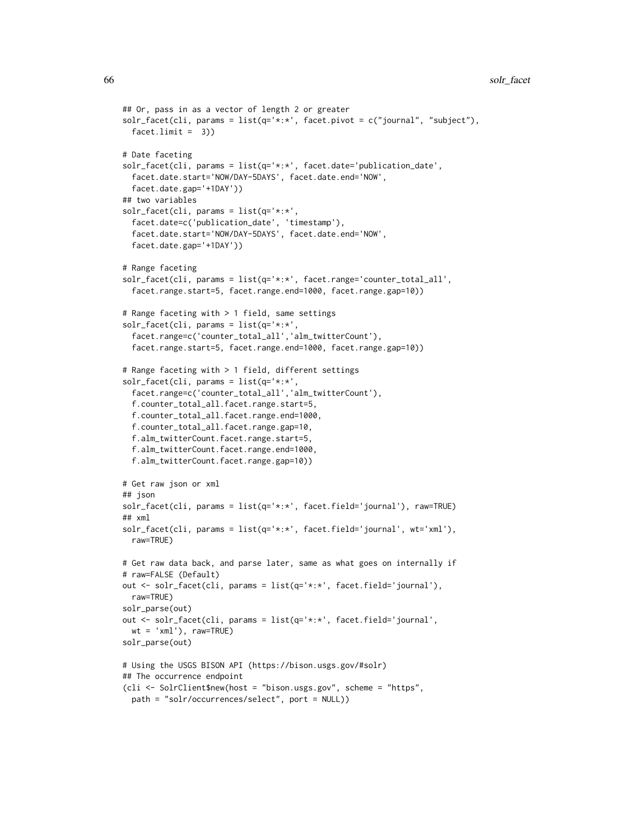```
## Or, pass in as a vector of length 2 or greater
solr_facet(cli, params = list(q='*:*', facet.pivot = c("journal", "subject"),
  facet.limit = 3)# Date faceting
solr_facet(cli, params = list(q='*:*', facet.date='publication_date',
  facet.date.start='NOW/DAY-5DAYS', facet.date.end='NOW',
  facet.date.gap='+1DAY'))
## two variables
solr_facet(cli, params = list(q='*:*',
  facet.date=c('publication_date', 'timestamp'),
  facet.date.start='NOW/DAY-5DAYS', facet.date.end='NOW',
  facet.date.gap='+1DAY'))
# Range faceting
solr_facet(cli, params = list(q='*:*', facet.range='counter_total_all',
  facet.range.start=5, facet.range.end=1000, facet.range.gap=10))
# Range faceting with > 1 field, same settings
solr_facet(cli, params = list(q='*:*',
  facet.range=c('counter_total_all','alm_twitterCount'),
  facet.range.start=5, facet.range.end=1000, facet.range.gap=10))
# Range faceting with > 1 field, different settings
solr_facet(cli, params = list(q='*:*',
  facet.range=c('counter_total_all','alm_twitterCount'),
  f.counter_total_all.facet.range.start=5,
  f.counter_total_all.facet.range.end=1000,
  f.counter_total_all.facet.range.gap=10,
  f.alm_twitterCount.facet.range.start=5,
  f.alm_twitterCount.facet.range.end=1000,
  f.alm_twitterCount.facet.range.gap=10))
# Get raw json or xml
## json
solr_facet(cli, params = list(q='*:*', facet.field='journal'), raw=TRUE)
## ×m]
solr_facet(cli, params = list(q='*:*', facet.field='journal', wt='xml'),
  raw=TRUE)
# Get raw data back, and parse later, same as what goes on internally if
# raw=FALSE (Default)
out <- solr_facet(cli, params = list(q='*:*', facet.field='journal'),
  raw=TRUE)
solr_parse(out)
out <- solr_facet(cli, params = list(q='*:*', facet.field='journal',
  wt = 'xml'), raw=TRUE)solr_parse(out)
# Using the USGS BISON API (https://bison.usgs.gov/#solr)
## The occurrence endpoint
(cli <- SolrClient$new(host = "bison.usgs.gov", scheme = "https",
  path = "solr/occurrences/select", port = NULL))
```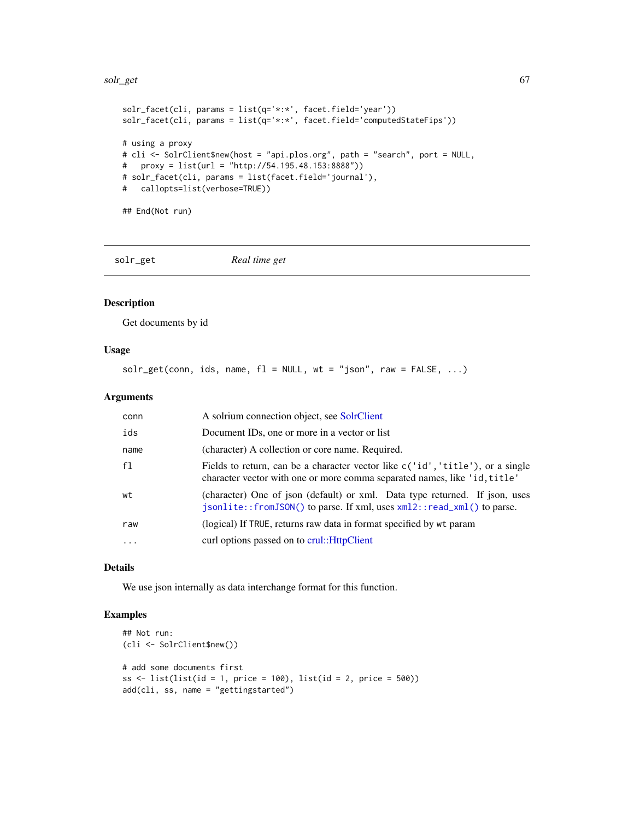#### solr\_get 67

```
solr_facet(cli, params = list(q='*:*', facet.field='year'))
solr_facet(cli, params = list(q='*:*', facet.field='computedStateFips'))
# using a proxy
# cli <- SolrClient$new(host = "api.plos.org", path = "search", port = NULL,
# proxy = list(url = "http://54.195.48.153:8888"))
# solr_facet(cli, params = list(facet.field='journal'),
# callopts=list(verbose=TRUE))
```
## End(Not run)

solr\_get *Real time get*

#### Description

Get documents by id

### Usage

 $solv\_get(conn, ids, name, f1 = NULL, wt = "json", raw = FALSE, ...)$ 

## Arguments

| conn     | A solrium connection object, see SolrClient                                                                                                                 |
|----------|-------------------------------------------------------------------------------------------------------------------------------------------------------------|
| ids      | Document ID <sub>s</sub> , one or more in a vector or list                                                                                                  |
| name     | (character) A collection or core name. Required.                                                                                                            |
| f1       | Fields to return, can be a character vector like c('id', 'title'), or a single<br>character vector with one or more comma separated names, like 'id, title' |
| wt       | (character) One of json (default) or xml. Data type returned. If json, uses<br>jsonlite::fromJSON() to parse. If xml, uses $xml2$ ::read_xml() to parse.    |
| raw      | (logical) If TRUE, returns raw data in format specified by wt param                                                                                         |
| $\cdots$ | curl options passed on to crul:: HttpClient                                                                                                                 |

## Details

We use json internally as data interchange format for this function.

```
## Not run:
(cli <- SolrClient$new())
# add some documents first
ss \le list(list(id = 1, price = 100), list(id = 2, price = 500))
add(cli, ss, name = "gettingstarted")
```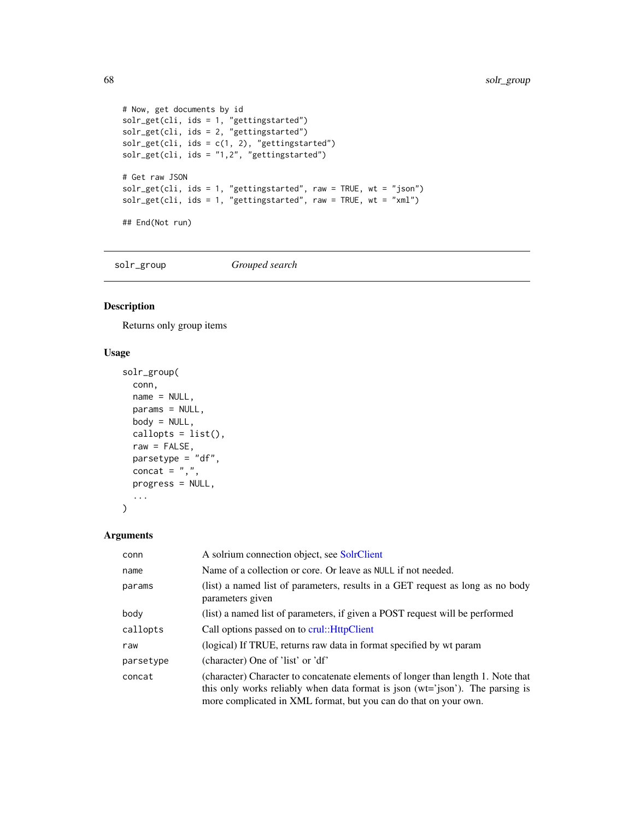```
# Now, get documents by id
solr_get(cli, ids = 1, "gettingstarted")
solr_get(cli, ids = 2, "gettingstarted")
solv\_get(cli, ids = c(1, 2), "getting started")solr_get(cli, ids = "1,2", "gettingstarted")
# Get raw JSON
solr_get(cli, ids = 1, "gettingstarted", raw = TRUE, wt = "json")
solv\_get(cli, is = 1, "getting started", raw = TRUE, wt = "xml")## End(Not run)
```
solr\_group *Grouped search*

## Description

Returns only group items

## Usage

```
solr_group(
 conn,
 name = NULL,params = NULL,
 body = NULL,
 callopts = list(),raw = FALSE,parsetype = "df",
 concat = ",",progress = NULL,
  ...
)
```

| conn      | A solrium connection object, see SolrClient                                                                                                                                                                                           |  |
|-----------|---------------------------------------------------------------------------------------------------------------------------------------------------------------------------------------------------------------------------------------|--|
| name      | Name of a collection or core. Or leave as NULL if not needed.                                                                                                                                                                         |  |
| params    | (list) a named list of parameters, results in a GET request as long as no body<br>parameters given                                                                                                                                    |  |
| body      | (list) a named list of parameters, if given a POST request will be performed                                                                                                                                                          |  |
| callopts  | Call options passed on to crul:: HttpClient                                                                                                                                                                                           |  |
| raw       | (logical) If TRUE, returns raw data in format specified by wt param                                                                                                                                                                   |  |
| parsetype | (character) One of 'list' or 'df'                                                                                                                                                                                                     |  |
| concat    | (character) Character to concatenate elements of longer than length 1. Note that<br>this only works reliably when data format is json (wt='json'). The parsing is<br>more complicated in XML format, but you can do that on your own. |  |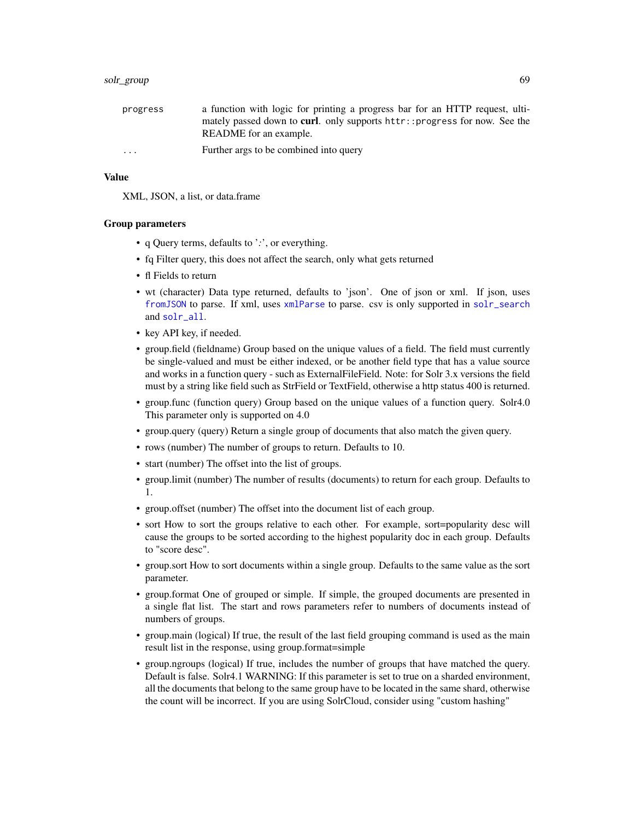#### solr\_group 69 to the control of the control of the control of the control of the control of the control of the control of the control of the control of the control of the control of the control of the control of the contro

| progress | a function with logic for printing a progress bar for an HTTP request, ulti-      |
|----------|-----------------------------------------------------------------------------------|
|          | mately passed down to <b>curl</b> , only supports httr::progress for now. See the |
|          | README for an example.                                                            |
| $\cdot$  | Further args to be combined into query                                            |

### Value

XML, JSON, a list, or data.frame

#### Group parameters

- q Query terms, defaults to '*:*', or everything.
- fq Filter query, this does not affect the search, only what gets returned
- fl Fields to return
- wt (character) Data type returned, defaults to 'json'. One of json or xml. If json, uses [fromJSON](#page-0-0) to parse. If xml, uses [xmlParse](#page-0-0) to parse. csv is only supported in [solr\\_search](#page-80-0) and [solr\\_all](#page-55-0).
- key API key, if needed.
- group.field (fieldname) Group based on the unique values of a field. The field must currently be single-valued and must be either indexed, or be another field type that has a value source and works in a function query - such as ExternalFileField. Note: for Solr 3.x versions the field must by a string like field such as StrField or TextField, otherwise a http status 400 is returned.
- group.func (function query) Group based on the unique values of a function query. Solr4.0 This parameter only is supported on 4.0
- group.query (query) Return a single group of documents that also match the given query.
- rows (number) The number of groups to return. Defaults to 10.
- start (number) The offset into the list of groups.
- group.limit (number) The number of results (documents) to return for each group. Defaults to 1.
- group.offset (number) The offset into the document list of each group.
- sort How to sort the groups relative to each other. For example, sort=popularity desc will cause the groups to be sorted according to the highest popularity doc in each group. Defaults to "score desc".
- group.sort How to sort documents within a single group. Defaults to the same value as the sort parameter.
- group.format One of grouped or simple. If simple, the grouped documents are presented in a single flat list. The start and rows parameters refer to numbers of documents instead of numbers of groups.
- group.main (logical) If true, the result of the last field grouping command is used as the main result list in the response, using group.format=simple
- group.ngroups (logical) If true, includes the number of groups that have matched the query. Default is false. Solr4.1 WARNING: If this parameter is set to true on a sharded environment, all the documents that belong to the same group have to be located in the same shard, otherwise the count will be incorrect. If you are using SolrCloud, consider using "custom hashing"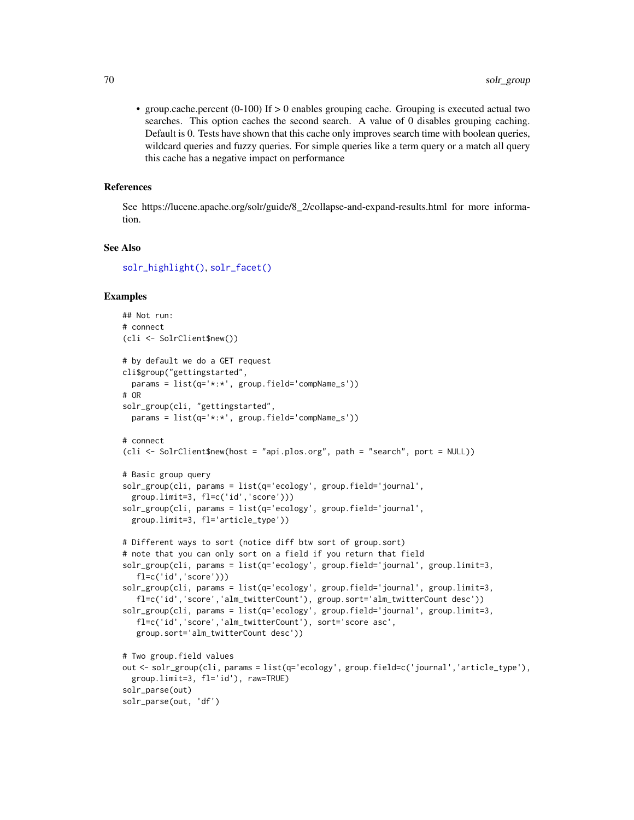• group.cache.percent (0-100) If > 0 enables grouping cache. Grouping is executed actual two searches. This option caches the second search. A value of 0 disables grouping caching. Default is 0. Tests have shown that this cache only improves search time with boolean queries, wildcard queries and fuzzy queries. For simple queries like a term query or a match all query this cache has a negative impact on performance

## References

See https://lucene.apache.org/solr/guide/8\_2/collapse-and-expand-results.html for more information.

## See Also

[solr\\_highlight\(\)](#page-70-0), [solr\\_facet\(\)](#page-59-0)

```
## Not run:
# connect
(cli <- SolrClient$new())
# by default we do a GET request
cli$group("gettingstarted",
 params = list(q='*:*', group.field='compName_s'))
# OR
solr_group(cli, "gettingstarted",
 params = list(q='*:*', group.field='compName_s'))
# connect
(cli <- SolrClient$new(host = "api.plos.org", path = "search", port = NULL))
# Basic group query
solr_group(cli, params = list(q='ecology', group.field='journal',
 group.limit=3, fl=c('id','score')))
solr_group(cli, params = list(q='ecology', group.field='journal',
 group.limit=3, fl='article_type'))
# Different ways to sort (notice diff btw sort of group.sort)
# note that you can only sort on a field if you return that field
solr_group(cli, params = list(q='ecology', group.field='journal', group.limit=3,
   fl=c('id','score')))
solr_group(cli, params = list(q='ecology', group.field='journal', group.limit=3,
   fl=c('id','score','alm_twitterCount'), group.sort='alm_twitterCount desc'))
solr_group(cli, params = list(q='ecology', group.field='journal', group.limit=3,
  fl=c('id','score','alm_twitterCount'), sort='score asc',
  group.sort='alm_twitterCount desc'))
# Two group.field values
out <- solr_group(cli, params = list(q='ecology', group.field=c('journal','article_type'),
 group.limit=3, fl='id'), raw=TRUE)
solr_parse(out)
solr_parse(out, 'df')
```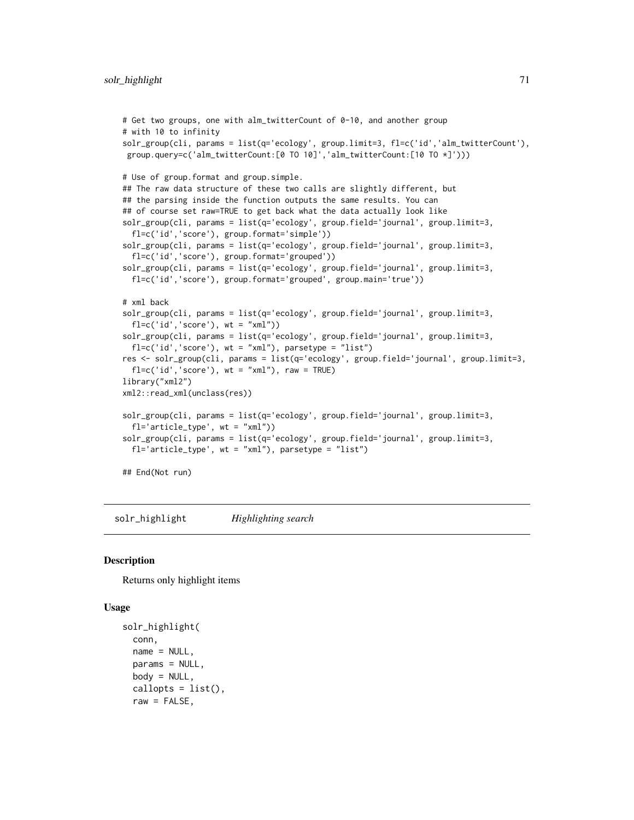```
# Get two groups, one with alm_twitterCount of 0-10, and another group
# with 10 to infinity
solr_group(cli, params = list(q='ecology', group.limit=3, fl=c('id','alm_twitterCount'),
group.query=c('alm_twitterCount:[0 TO 10]','alm_twitterCount:[10 TO *]')))
# Use of group.format and group.simple.
## The raw data structure of these two calls are slightly different, but
## the parsing inside the function outputs the same results. You can
## of course set raw=TRUE to get back what the data actually look like
solr_group(cli, params = list(q='ecology', group.field='journal', group.limit=3,
 fl=c('id','score'), group.format='simple'))
solr_group(cli, params = list(q='ecology', group.field='journal', group.limit=3,
  fl=c('id','score'), group.format='grouped'))
solr_group(cli, params = list(q='ecology', group.field='journal', group.limit=3,
 fl=c('id','score'), group.format='grouped', group.main='true'))
# xml back
solr_group(cli, params = list(q='ecology', group.field='journal', group.limit=3,
 fl=c('id', 'score'), wt = "xml")solr_group(cli, params = list(q='ecology', group.field='journal', group.limit=3,
 fl=c('id', 'score'), wt = "xml"), parsetype = "list")res <- solr_group(cli, params = list(q='ecology', group.field='journal', group.limit=3,
 fl=c('id', 'score'), wt = "xm1"), raw = TRUE)
library("xml2")
xml2::read_xml(unclass(res))
solr_group(cli, params = list(q='ecology', group.field='journal', group.limit=3,
 fl='article_type', wt = "xml"))
solr_group(cli, params = list(q='ecology', group.field='journal', group.limit=3,
 fl='article_type', wt = "xml"), parsetype = "list")
## End(Not run)
```
<span id="page-70-0"></span>solr\_highlight *Highlighting search*

#### **Description**

Returns only highlight items

## Usage

```
solr_highlight(
  conn,
  name = NULL,
 params = NULL,
 body = NULL,
  callopts = list(),
  raw = FALSE,
```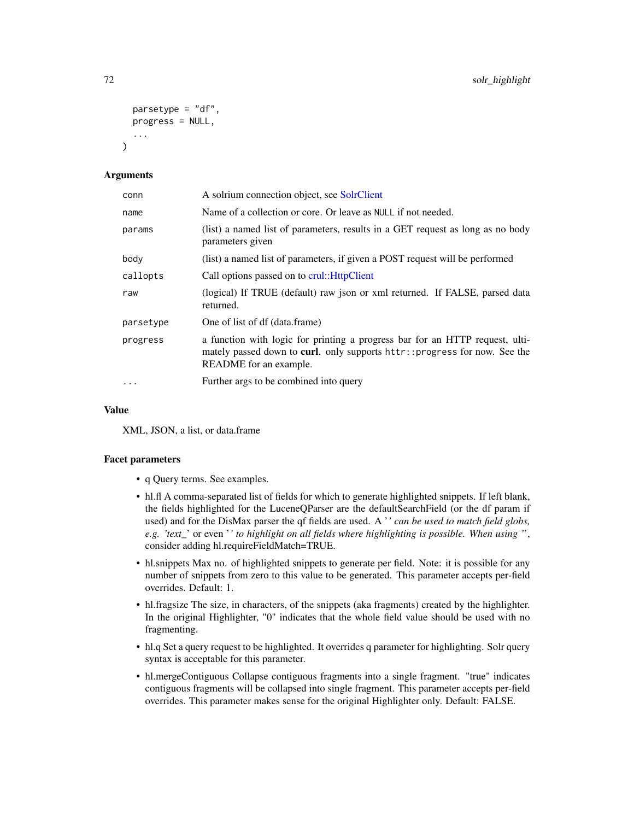```
parsetype = "df",
  progress = NULL,
  ...
\lambda
```
## Arguments

| conn      | A solrium connection object, see SolrClient                                                                                                                                          |  |
|-----------|--------------------------------------------------------------------------------------------------------------------------------------------------------------------------------------|--|
| name      | Name of a collection or core. Or leave as NULL if not needed.                                                                                                                        |  |
| params    | (list) a named list of parameters, results in a GET request as long as no body<br>parameters given                                                                                   |  |
| body      | (list) a named list of parameters, if given a POST request will be performed                                                                                                         |  |
| callopts  | Call options passed on to crul:: HttpClient                                                                                                                                          |  |
| raw       | (logical) If TRUE (default) raw json or xml returned. If FALSE, parsed data<br>returned.                                                                                             |  |
| parsetype | One of list of df (data.frame)                                                                                                                                                       |  |
| progress  | a function with logic for printing a progress bar for an HTTP request, ulti-<br>mately passed down to curl. only supports httr:: progress for now. See the<br>README for an example. |  |
| $\cdots$  | Further args to be combined into query                                                                                                                                               |  |

## Value

XML, JSON, a list, or data.frame

## Facet parameters

- q Query terms. See examples.
- hl.fl A comma-separated list of fields for which to generate highlighted snippets. If left blank, the fields highlighted for the LuceneQParser are the defaultSearchField (or the df param if used) and for the DisMax parser the qf fields are used. A '*' can be used to match field globs, e.g. 'text\_*' or even '*' to highlight on all fields where highlighting is possible. When using '*', consider adding hl.requireFieldMatch=TRUE.
- hl.snippets Max no. of highlighted snippets to generate per field. Note: it is possible for any number of snippets from zero to this value to be generated. This parameter accepts per-field overrides. Default: 1.
- hl.fragsize The size, in characters, of the snippets (aka fragments) created by the highlighter. In the original Highlighter, "0" indicates that the whole field value should be used with no fragmenting.
- hl.q Set a query request to be highlighted. It overrides q parameter for highlighting. Solr query syntax is acceptable for this parameter.
- hl.mergeContiguous Collapse contiguous fragments into a single fragment. "true" indicates contiguous fragments will be collapsed into single fragment. This parameter accepts per-field overrides. This parameter makes sense for the original Highlighter only. Default: FALSE.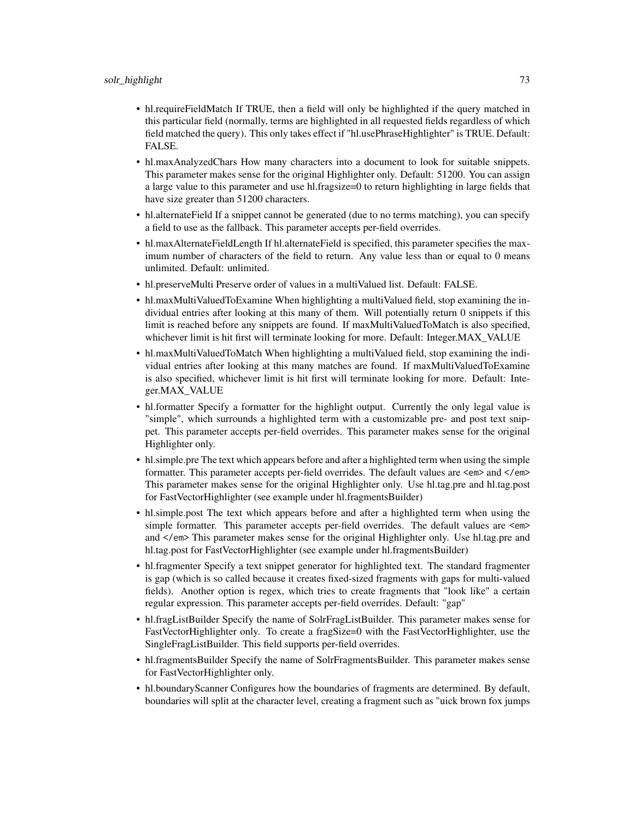- hl.requireFieldMatch If TRUE, then a field will only be highlighted if the query matched in this particular field (normally, terms are highlighted in all requested fields regardless of which field matched the query). This only takes effect if "hl.usePhraseHighlighter" is TRUE. Default: FALSE.
- hl.maxAnalyzedChars How many characters into a document to look for suitable snippets. This parameter makes sense for the original Highlighter only. Default: 51200. You can assign a large value to this parameter and use hl.fragsize=0 to return highlighting in large fields that have size greater than 51200 characters.
- hl.alternateField If a snippet cannot be generated (due to no terms matching), you can specify a field to use as the fallback. This parameter accepts per-field overrides.
- hl.maxAlternateFieldLength If hl.alternateField is specified, this parameter specifies the maximum number of characters of the field to return. Any value less than or equal to 0 means unlimited. Default: unlimited.
- hl.preserveMulti Preserve order of values in a multiValued list. Default: FALSE.
- hl.maxMultiValuedToExamine When highlighting a multiValued field, stop examining the individual entries after looking at this many of them. Will potentially return 0 snippets if this limit is reached before any snippets are found. If maxMultiValuedToMatch is also specified, whichever limit is hit first will terminate looking for more. Default: Integer.MAX\_VALUE
- hl.maxMultiValuedToMatch When highlighting a multiValued field, stop examining the individual entries after looking at this many matches are found. If maxMultiValuedToExamine is also specified, whichever limit is hit first will terminate looking for more. Default: Integer.MAX\_VALUE
- hl.formatter Specify a formatter for the highlight output. Currently the only legal value is "simple", which surrounds a highlighted term with a customizable pre- and post text snippet. This parameter accepts per-field overrides. This parameter makes sense for the original Highlighter only.
- hl.simple.pre The text which appears before and after a highlighted term when using the simple formatter. This parameter accepts per-field overrides. The default values are <em> and </em> This parameter makes sense for the original Highlighter only. Use hl.tag.pre and hl.tag.post for FastVectorHighlighter (see example under hl.fragmentsBuilder)
- hl.simple.post The text which appears before and after a highlighted term when using the simple formatter. This parameter accepts per-field overrides. The default values are <em> and </em> This parameter makes sense for the original Highlighter only. Use hl.tag.pre and hl.tag.post for FastVectorHighlighter (see example under hl.fragmentsBuilder)
- hl.fragmenter Specify a text snippet generator for highlighted text. The standard fragmenter is gap (which is so called because it creates fixed-sized fragments with gaps for multi-valued fields). Another option is regex, which tries to create fragments that "look like" a certain regular expression. This parameter accepts per-field overrides. Default: "gap"
- hl.fragListBuilder Specify the name of SolrFragListBuilder. This parameter makes sense for FastVectorHighlighter only. To create a fragSize=0 with the FastVectorHighlighter, use the SingleFragListBuilder. This field supports per-field overrides.
- hl.fragmentsBuilder Specify the name of SolrFragmentsBuilder. This parameter makes sense for FastVectorHighlighter only.
- hl.boundaryScanner Configures how the boundaries of fragments are determined. By default, boundaries will split at the character level, creating a fragment such as "uick brown fox jumps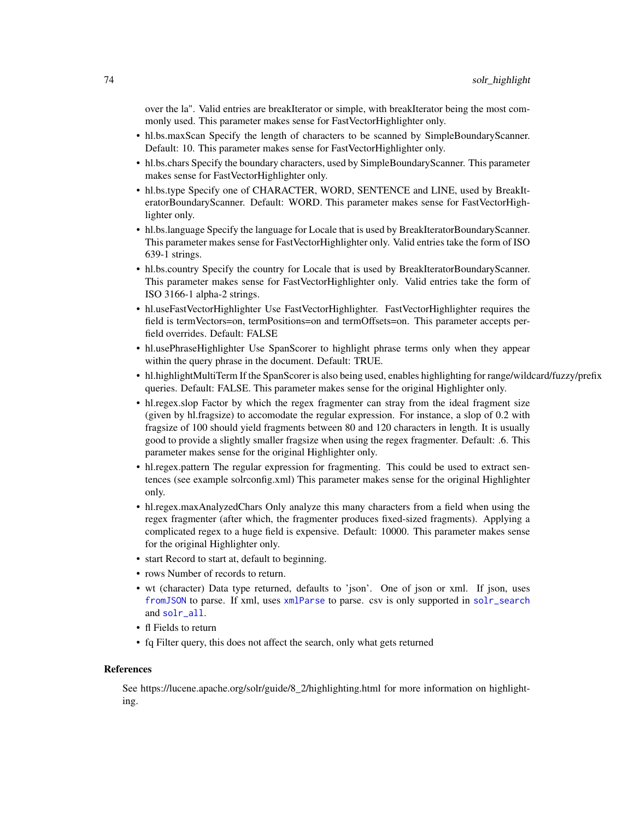<span id="page-73-0"></span>over the la". Valid entries are breakIterator or simple, with breakIterator being the most commonly used. This parameter makes sense for FastVectorHighlighter only.

- hl.bs.maxScan Specify the length of characters to be scanned by SimpleBoundaryScanner. Default: 10. This parameter makes sense for FastVectorHighlighter only.
- hl.bs.chars Specify the boundary characters, used by SimpleBoundaryScanner. This parameter makes sense for FastVectorHighlighter only.
- hl.bs.type Specify one of CHARACTER, WORD, SENTENCE and LINE, used by BreakIteratorBoundaryScanner. Default: WORD. This parameter makes sense for FastVectorHighlighter only.
- hl.bs.language Specify the language for Locale that is used by BreakIteratorBoundaryScanner. This parameter makes sense for FastVectorHighlighter only. Valid entries take the form of ISO 639-1 strings.
- hl.bs.country Specify the country for Locale that is used by BreakIteratorBoundaryScanner. This parameter makes sense for FastVectorHighlighter only. Valid entries take the form of ISO 3166-1 alpha-2 strings.
- hl.useFastVectorHighlighter Use FastVectorHighlighter. FastVectorHighlighter requires the field is termVectors=on, termPositions=on and termOffsets=on. This parameter accepts perfield overrides. Default: FALSE
- hl.usePhraseHighlighter Use SpanScorer to highlight phrase terms only when they appear within the query phrase in the document. Default: TRUE.
- hl.highlightMultiTerm If the SpanScorer is also being used, enables highlighting for range/wildcard/fuzzy/prefix queries. Default: FALSE. This parameter makes sense for the original Highlighter only.
- hl.regex.slop Factor by which the regex fragmenter can stray from the ideal fragment size (given by hl.fragsize) to accomodate the regular expression. For instance, a slop of 0.2 with fragsize of 100 should yield fragments between 80 and 120 characters in length. It is usually good to provide a slightly smaller fragsize when using the regex fragmenter. Default: .6. This parameter makes sense for the original Highlighter only.
- hl.regex.pattern The regular expression for fragmenting. This could be used to extract sentences (see example solrconfig.xml) This parameter makes sense for the original Highlighter only.
- hl.regex.maxAnalyzedChars Only analyze this many characters from a field when using the regex fragmenter (after which, the fragmenter produces fixed-sized fragments). Applying a complicated regex to a huge field is expensive. Default: 10000. This parameter makes sense for the original Highlighter only.
- start Record to start at, default to beginning.
- rows Number of records to return.
- wt (character) Data type returned, defaults to 'json'. One of json or xml. If json, uses [fromJSON](#page-0-0) to parse. If xml, uses [xmlParse](#page-0-0) to parse. csv is only supported in [solr\\_search](#page-80-0) and [solr\\_all](#page-55-0).
- fl Fields to return
- fq Filter query, this does not affect the search, only what gets returned

#### References

See https://lucene.apache.org/solr/guide/8\_2/highlighting.html for more information on highlighting.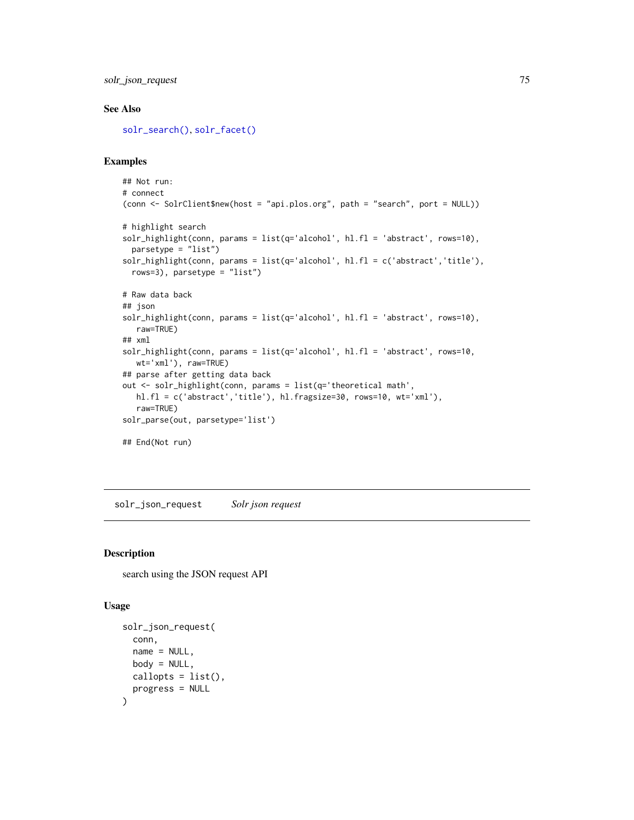<span id="page-74-0"></span>solr\_json\_request 75

# See Also

[solr\\_search\(\)](#page-80-0), [solr\\_facet\(\)](#page-59-0)

## Examples

```
## Not run:
# connect
(conn <- SolrClient$new(host = "api.plos.org", path = "search", port = NULL))
# highlight search
solr_highlight(conn, params = list(q='alcohol', hl.fl = 'abstract', rows=10),
 parsetype = "list")
solr_highlight(conn, params = list(q='alcohol', hl.fl = c('abstract','title'),
 rows=3), parsetype = "list")
# Raw data back
## json
solr_highlight(conn, params = list(q='alcohol', hl.fl = 'abstract', rows=10),
  raw=TRUE)
## xml
solr_highlight(conn, params = list(q='alcohol', hl.fl = 'abstract', rows=10,
  wt='xml'), raw=TRUE)
## parse after getting data back
out <- solr_highlight(conn, params = list(q='theoretical math',
  hl.fl = c('abstract','title'), hl.fragsize=30, rows=10, wt='xml'),
  raw=TRUE)
solr_parse(out, parsetype='list')
## End(Not run)
```
solr\_json\_request *Solr json request*

# Description

search using the JSON request API

#### Usage

```
solr_json_request(
  conn,
 name = NULL,
 body = NULL,
 callopts = list(),progress = NULL
)
```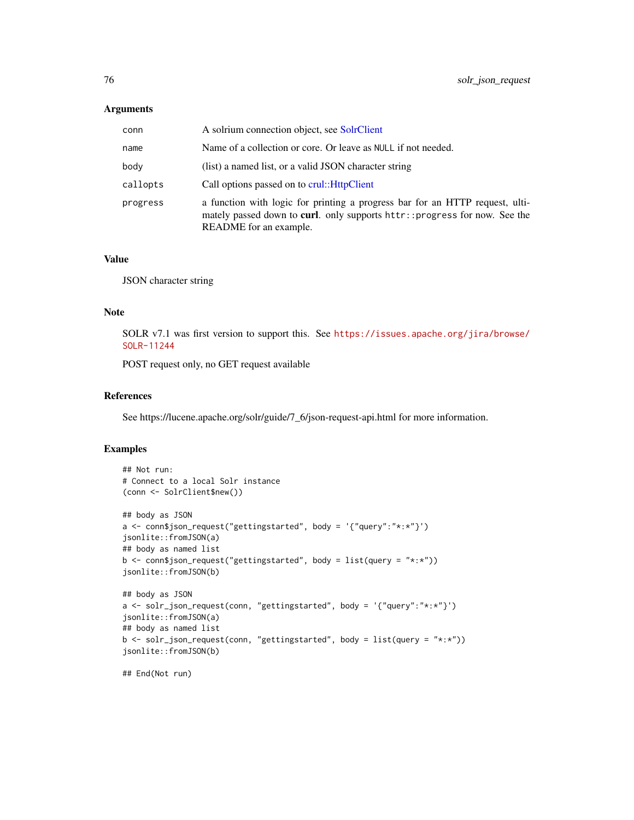#### <span id="page-75-0"></span>Arguments

| conn     | A solrium connection object, see SolrClient                                                                                                                                                  |
|----------|----------------------------------------------------------------------------------------------------------------------------------------------------------------------------------------------|
| name     | Name of a collection or core. Or leave as NULL if not needed.                                                                                                                                |
| body     | (list) a named list, or a valid JSON character string                                                                                                                                        |
| callopts | Call options passed on to crul:: HttpClient                                                                                                                                                  |
| progress | a function with logic for printing a progress bar for an HTTP request, ulti-<br>mately passed down to <b>curl</b> . only supports httr:: progress for now. See the<br>README for an example. |

#### Value

JSON character string

# Note

SOLR v7.1 was first version to support this. See [https://issues.apache.org/jira/browse/](https://issues.apache.org/jira/browse/SOLR-11244) [SOLR-11244](https://issues.apache.org/jira/browse/SOLR-11244)

POST request only, no GET request available

#### References

See https://lucene.apache.org/solr/guide/7\_6/json-request-api.html for more information.

# Examples

```
## Not run:
# Connect to a local Solr instance
(conn <- SolrClient$new())
## body as JSON
a <- conn$json_request("gettingstarted", body = '{"query":"*:*"}')
jsonlite::fromJSON(a)
## body as named list
b \leq conn$json_request("gettingstarted", body = list(query = "*:*"))
jsonlite::fromJSON(b)
## body as JSON
a <- solr_json_request(conn, "gettingstarted", body = '{"query":"*:*"}')
jsonlite::fromJSON(a)
## body as named list
b <- solr_json_request(conn, "gettingstarted", body = list(query = "*:*"))
jsonlite::fromJSON(b)
```
## End(Not run)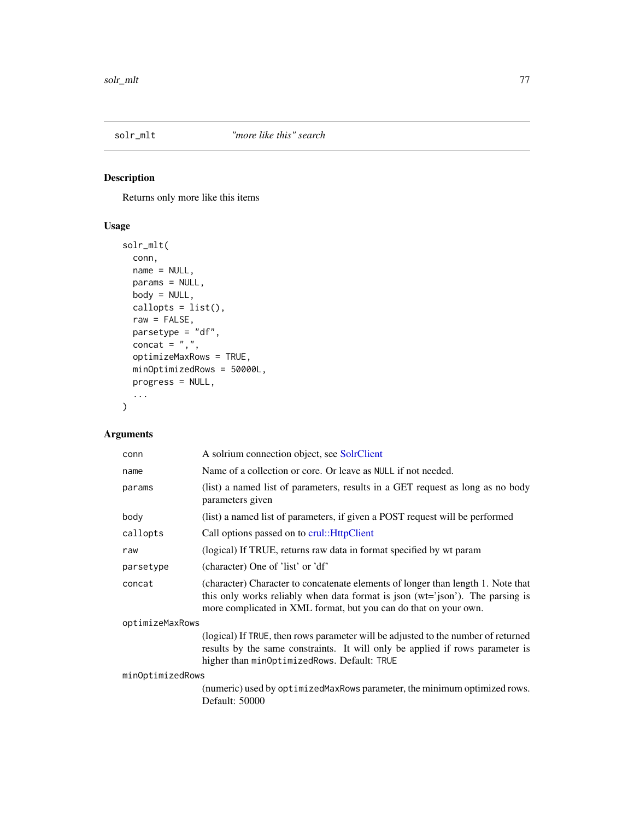<span id="page-76-1"></span><span id="page-76-0"></span>

# Description

Returns only more like this items

# Usage

```
solr_mlt(
 conn,
 name = NULL,params = NULL,
 body = NULL,
 callopts = list(),
 raw = FALSE,parsetype = "df",
 concat = ",",optimizeMaxRows = TRUE,
 minOptimizedRows = 50000L,
 progress = NULL,
  ...
)
```

| conn             | A solrium connection object, see SolrClient                                                                                                                                                                                           |  |
|------------------|---------------------------------------------------------------------------------------------------------------------------------------------------------------------------------------------------------------------------------------|--|
| name             | Name of a collection or core. Or leave as NULL if not needed.                                                                                                                                                                         |  |
| params           | (list) a named list of parameters, results in a GET request as long as no body<br>parameters given                                                                                                                                    |  |
| body             | (list) a named list of parameters, if given a POST request will be performed                                                                                                                                                          |  |
| callopts         | Call options passed on to crul:: HttpClient                                                                                                                                                                                           |  |
| raw              | (logical) If TRUE, returns raw data in format specified by wt param                                                                                                                                                                   |  |
| parsetype        | (character) One of 'list' or 'df'                                                                                                                                                                                                     |  |
| concat           | (character) Character to concatenate elements of longer than length 1. Note that<br>this only works reliably when data format is json (wt='json'). The parsing is<br>more complicated in XML format, but you can do that on your own. |  |
| optimizeMaxRows  |                                                                                                                                                                                                                                       |  |
|                  | (logical) If TRUE, then rows parameter will be adjusted to the number of returned<br>results by the same constraints. It will only be applied if rows parameter is<br>higher than minOptimizedRows. Default: TRUE                     |  |
| minOptimizedRows |                                                                                                                                                                                                                                       |  |
|                  | (numeric) used by optimizedMaxRows parameter, the minimum optimized rows.<br>Default: 50000                                                                                                                                           |  |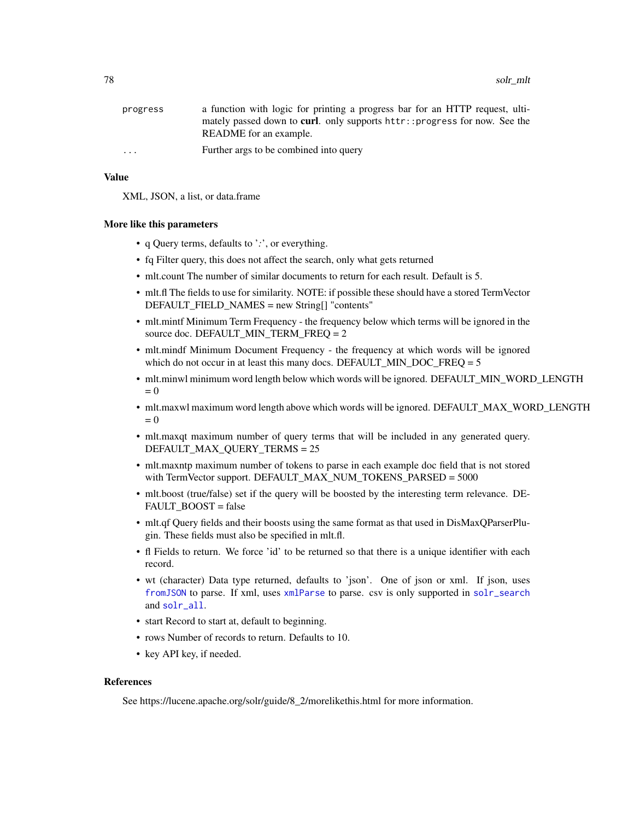<span id="page-77-0"></span>

| progress | a function with logic for printing a progress bar for an HTTP request, ulti-       |
|----------|------------------------------------------------------------------------------------|
|          | mately passed down to <b>curl</b> . only supports httr:: progress for now. See the |
|          | README for an example.                                                             |
| $\cdots$ | Further args to be combined into query                                             |

# Value

XML, JSON, a list, or data.frame

#### More like this parameters

- q Query terms, defaults to '*:*', or everything.
- fq Filter query, this does not affect the search, only what gets returned
- mlt.count The number of similar documents to return for each result. Default is 5.
- mlt.fl The fields to use for similarity. NOTE: if possible these should have a stored TermVector DEFAULT\_FIELD\_NAMES = new String[] "contents"
- mlt.mintf Minimum Term Frequency the frequency below which terms will be ignored in the source doc. DEFAULT\_MIN\_TERM\_FREQ = 2
- mlt.mindf Minimum Document Frequency the frequency at which words will be ignored which do not occur in at least this many docs. DEFAULT\_MIN\_DOC\_FREQ = 5
- mlt.minwl minimum word length below which words will be ignored. DEFAULT\_MIN\_WORD\_LENGTH  $= 0$
- mlt.maxwl maximum word length above which words will be ignored. DEFAULT\_MAX\_WORD\_LENGTH  $= 0$
- mlt.maxqt maximum number of query terms that will be included in any generated query. DEFAULT\_MAX\_QUERY\_TERMS = 25
- mlt.maxntp maximum number of tokens to parse in each example doc field that is not stored with TermVector support. DEFAULT\_MAX\_NUM\_TOKENS\_PARSED = 5000
- mlt.boost (true/false) set if the query will be boosted by the interesting term relevance. DE-FAULT\_BOOST = false
- mlt.qf Query fields and their boosts using the same format as that used in DisMaxQParserPlugin. These fields must also be specified in mlt.fl.
- fl Fields to return. We force 'id' to be returned so that there is a unique identifier with each record.
- wt (character) Data type returned, defaults to 'json'. One of json or xml. If json, uses [fromJSON](#page-0-0) to parse. If xml, uses [xmlParse](#page-0-0) to parse. csv is only supported in [solr\\_search](#page-80-0) and [solr\\_all](#page-55-0).
- start Record to start at, default to beginning.
- rows Number of records to return. Defaults to 10.
- key API key, if needed.

#### References

See https://lucene.apache.org/solr/guide/8\_2/morelikethis.html for more information.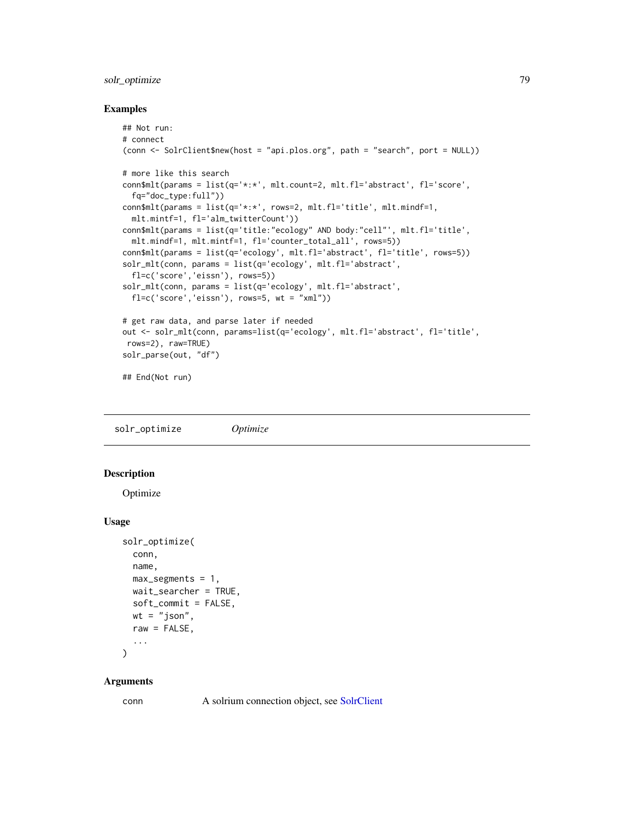# <span id="page-78-0"></span>solr\_optimize 79

#### Examples

```
## Not run:
# connect
(conn <- SolrClient$new(host = "api.plos.org", path = "search", port = NULL))
# more like this search
conn$mlt(params = list(q='*:*', mlt.count=2, mlt.fl='abstract', fl='score',
  fq="doc_type:full"))
conn$mlt(params = list(q='*:*', rows=2, mlt.fl='title', mlt.mindf=1,
  mlt.mintf=1, fl='alm_twitterCount'))
conn$mlt(params = list(q='title:"ecology" AND body:"cell"', mlt.fl='title',
  mlt.mindf=1, mlt.mintf=1, fl='counter_total_all', rows=5))
conn$mlt(params = list(q='ecology', mlt.fl='abstract', fl='title', rows=5))
solr_mlt(conn, params = list(q='ecology', mlt.fl='abstract',
  fl=c('score','eissn'), rows=5))
solr_mlt(conn, params = list(q='ecology', mlt.fl='abstract',
  fl=c('score','eissn'), rows=5, wt = "xml"))
# get raw data, and parse later if needed
out <- solr_mlt(conn, params=list(q='ecology', mlt.fl='abstract', fl='title',
rows=2), raw=TRUE)
solr_parse(out, "df")
## End(Not run)
```
solr\_optimize *Optimize*

# Description

Optimize

#### Usage

```
solr_optimize(
  conn,
 name,
 max\_segments = 1,
 wait_searcher = TRUE,
  soft_commit = FALSE,
 wt = "json",raw = FALSE,...
)
```
#### Arguments

conn A solrium connection object, see [SolrClient](#page-51-0)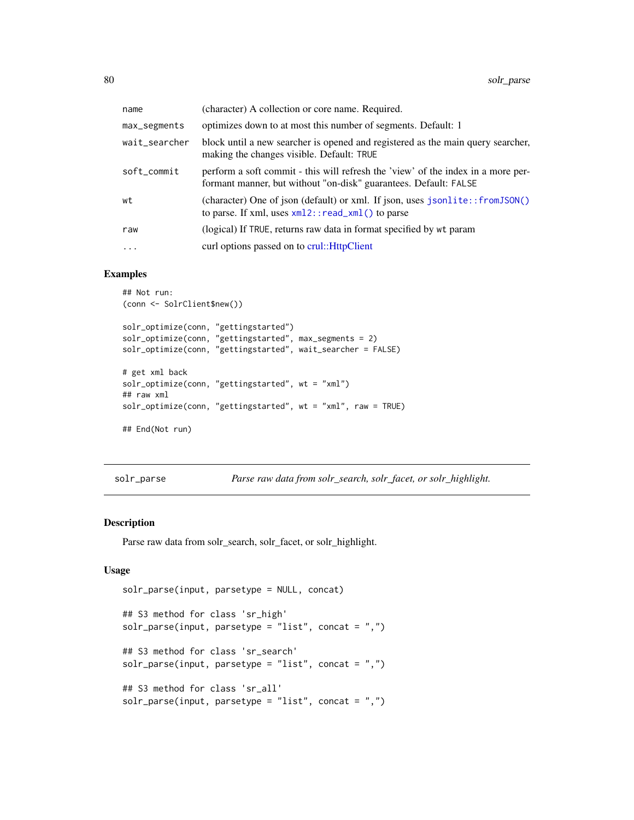<span id="page-79-0"></span>

| name          | (character) A collection or core name. Required.                                                                                                     |
|---------------|------------------------------------------------------------------------------------------------------------------------------------------------------|
| max_segments  | optimizes down to at most this number of segments. Default: 1                                                                                        |
| wait_searcher | block until a new searcher is opened and registered as the main query searcher,<br>making the changes visible. Default: TRUE                         |
| soft_commit   | perform a soft commit - this will refresh the 'view' of the index in a more per-<br>formant manner, but without "on-disk" guarantees. Default: FALSE |
| wt            | (character) One of json (default) or xml. If json, uses jsonlite::fromJSON()<br>to parse. If xml, uses $xml2$ : : read_xml() to parse                |
| raw           | (logical) If TRUE, returns raw data in format specified by wt param                                                                                  |
| $\cdots$      | curl options passed on to crul:: HttpClient                                                                                                          |

# Examples

```
## Not run:
(conn <- SolrClient$new())
solr_optimize(conn, "gettingstarted")
solr_optimize(conn, "gettingstarted", max_segments = 2)
solr_optimize(conn, "gettingstarted", wait_searcher = FALSE)
# get xml back
solr_optimize(conn, "gettingstarted", wt = "xml")
## raw xml
solr_optimize(conn, "gettingstarted", wt = "xml", raw = TRUE)
## End(Not run)
```
solr\_parse *Parse raw data from solr\_search, solr\_facet, or solr\_highlight.*

#### Description

Parse raw data from solr\_search, solr\_facet, or solr\_highlight.

#### Usage

```
solr_parse(input, parsetype = NULL, concat)
## S3 method for class 'sr_high'
solv\_parse(input, parsetype = "list", concat = ",")## S3 method for class 'sr_search'
solr_parse(input, parsetype = "list", concat = ",")
## S3 method for class 'sr_all'
solr_parse(input, parsetype = "list", concat = ",")
```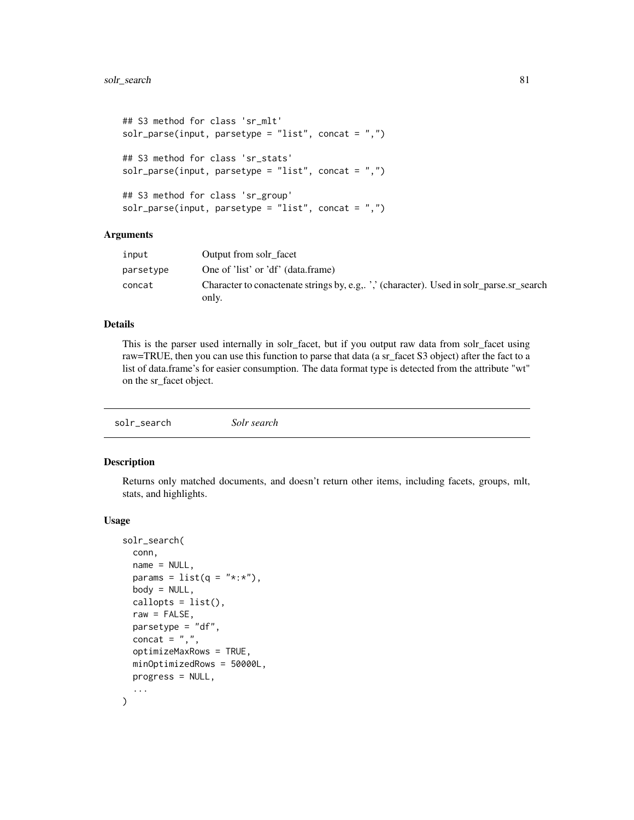```
## S3 method for class 'sr_mlt'
solr_parse(input, parsetype = "list", concat = ",")
## S3 method for class 'sr_stats'
solr_parse(input, parsetype = "list", concat = ",")
## S3 method for class 'sr_group'
solr_parse(input, parsetype = "list", concat = ",")
```
# Arguments

| input     | Output from solr facet                                                                            |
|-----------|---------------------------------------------------------------------------------------------------|
| parsetype | One of 'list' or 'df' (data.frame)                                                                |
| concat    | Character to conactenate strings by, e.g., ',' (character). Used in solr_parse.sr_search<br>only. |

# Details

This is the parser used internally in solr\_facet, but if you output raw data from solr\_facet using raw=TRUE, then you can use this function to parse that data (a sr\_facet S3 object) after the fact to a list of data.frame's for easier consumption. The data format type is detected from the attribute "wt" on the sr\_facet object.

<span id="page-80-0"></span>solr\_search *Solr search*

#### Description

Returns only matched documents, and doesn't return other items, including facets, groups, mlt, stats, and highlights.

#### Usage

```
solr_search(
 conn,
 name = NULL,params = list(q = "*:*),
 body = NULL,
 callopts = list(),raw = FALSE,parsetype = "df",
 concat = ",",optimizeMaxRows = TRUE,
 minOptimizedRows = 50000L,
 progress = NULL,
  ...
)
```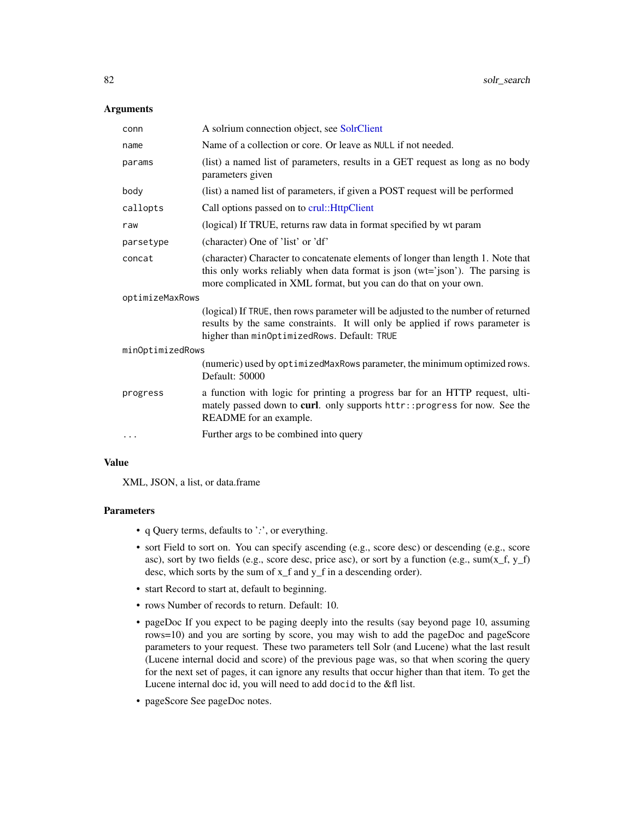#### <span id="page-81-0"></span>**Arguments**

| conn             | A solrium connection object, see SolrClient                                                                                                                                                                                           |
|------------------|---------------------------------------------------------------------------------------------------------------------------------------------------------------------------------------------------------------------------------------|
| name             | Name of a collection or core. Or leave as NULL if not needed.                                                                                                                                                                         |
| params           | (list) a named list of parameters, results in a GET request as long as no body<br>parameters given                                                                                                                                    |
| body             | (list) a named list of parameters, if given a POST request will be performed                                                                                                                                                          |
| callopts         | Call options passed on to crul:: HttpClient                                                                                                                                                                                           |
| raw              | (logical) If TRUE, returns raw data in format specified by wt param                                                                                                                                                                   |
| parsetype        | (character) One of 'list' or 'df'                                                                                                                                                                                                     |
| concat           | (character) Character to concatenate elements of longer than length 1. Note that<br>this only works reliably when data format is json (wt='json'). The parsing is<br>more complicated in XML format, but you can do that on your own. |
| optimizeMaxRows  |                                                                                                                                                                                                                                       |
|                  | (logical) If TRUE, then rows parameter will be adjusted to the number of returned<br>results by the same constraints. It will only be applied if rows parameter is<br>higher than minOptimizedRows. Default: TRUE                     |
| minOptimizedRows |                                                                                                                                                                                                                                       |
|                  | (numeric) used by optimized MaxRows parameter, the minimum optimized rows.<br>Default: 50000                                                                                                                                          |
| progress         | a function with logic for printing a progress bar for an HTTP request, ulti-<br>mately passed down to curl. only supports httr:: progress for now. See the<br>README for an example.                                                  |
|                  | Further args to be combined into query                                                                                                                                                                                                |

# Value

XML, JSON, a list, or data.frame

# Parameters

- q Query terms, defaults to '*:*', or everything.
- sort Field to sort on. You can specify ascending (e.g., score desc) or descending (e.g., score asc), sort by two fields (e.g., score desc, price asc), or sort by a function (e.g., sum $(x_f, y_f)$ desc, which sorts by the sum of x\_f and y\_f in a descending order).
- start Record to start at, default to beginning.
- rows Number of records to return. Default: 10.
- pageDoc If you expect to be paging deeply into the results (say beyond page 10, assuming rows=10) and you are sorting by score, you may wish to add the pageDoc and pageScore parameters to your request. These two parameters tell Solr (and Lucene) what the last result (Lucene internal docid and score) of the previous page was, so that when scoring the query for the next set of pages, it can ignore any results that occur higher than that item. To get the Lucene internal doc id, you will need to add docid to the &fl list.
- pageScore See pageDoc notes.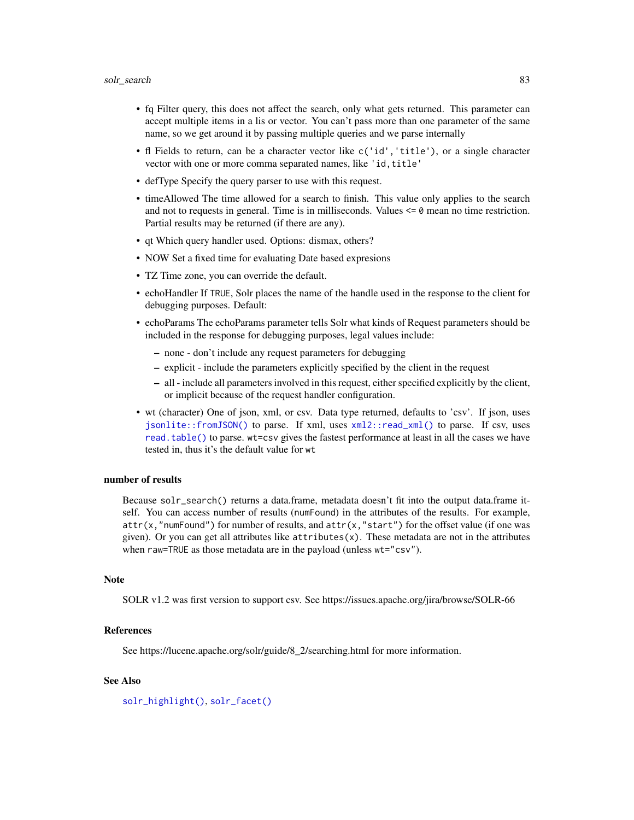- <span id="page-82-0"></span>• fq Filter query, this does not affect the search, only what gets returned. This parameter can accept multiple items in a lis or vector. You can't pass more than one parameter of the same name, so we get around it by passing multiple queries and we parse internally
- fl Fields to return, can be a character vector like c('id','title'), or a single character vector with one or more comma separated names, like 'id,title'
- defType Specify the query parser to use with this request.
- timeAllowed The time allowed for a search to finish. This value only applies to the search and not to requests in general. Time is in milliseconds. Values  $\leq 0$  mean no time restriction. Partial results may be returned (if there are any).
- qt Which query handler used. Options: dismax, others?
- NOW Set a fixed time for evaluating Date based expresions
- TZ Time zone, you can override the default.
- echoHandler If TRUE, Solr places the name of the handle used in the response to the client for debugging purposes. Default:
- echoParams The echoParams parameter tells Solr what kinds of Request parameters should be included in the response for debugging purposes, legal values include:
	- none don't include any request parameters for debugging
	- explicit include the parameters explicitly specified by the client in the request
	- all include all parameters involved in this request, either specified explicitly by the client, or implicit because of the request handler configuration.
- wt (character) One of json, xml, or csv. Data type returned, defaults to 'csv'. If json, uses [jsonlite::fromJSON\(\)](#page-0-0) to parse. If xml, uses [xml2::read\\_xml\(\)](#page-0-0) to parse. If csv, uses [read.table\(\)](#page-0-0) to parse. wt=csv gives the fastest performance at least in all the cases we have tested in, thus it's the default value for wt

# number of results

Because solr\_search() returns a data.frame, metadata doesn't fit into the output data.frame itself. You can access number of results (numFound) in the attributes of the results. For example,  $attr(x, "numFound")$  for number of results, and  $attr(x, "start")$  for the offset value (if one was given). Or you can get all attributes like attributes $(x)$ . These metadata are not in the attributes when raw=TRUE as those metadata are in the payload (unless  $wt="csv"$ ).

#### **Note**

SOLR v1.2 was first version to support csv. See https://issues.apache.org/jira/browse/SOLR-66

# References

See https://lucene.apache.org/solr/guide/8\_2/searching.html for more information.

# See Also

[solr\\_highlight\(\)](#page-70-0), [solr\\_facet\(\)](#page-59-0)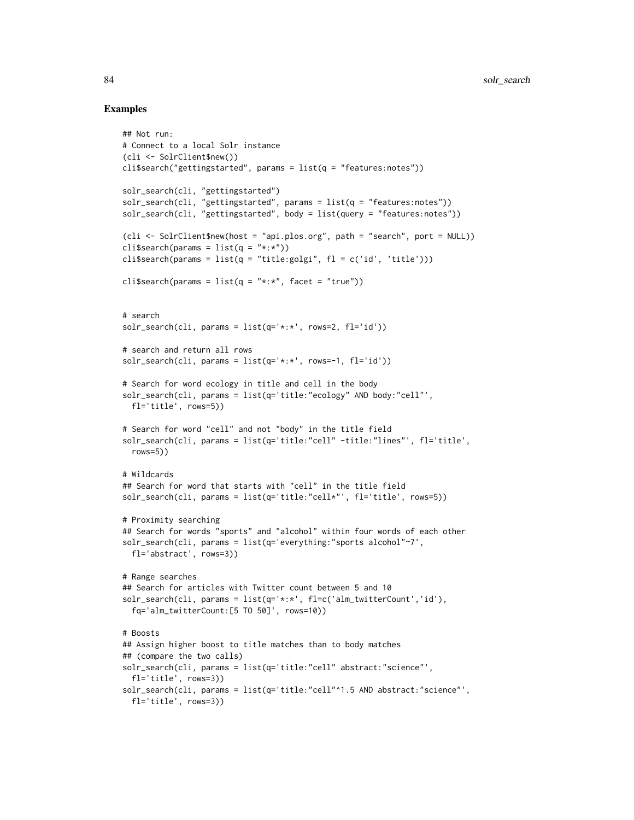```
## Not run:
# Connect to a local Solr instance
(cli <- SolrClient$new())
cli$search("gettingstarted", params = list(q = "features:notes"))solr_search(cli, "gettingstarted")
solr_search(cli, "gettingstarted", params = list(q = "features:notes"))
solr_search(cli, "gettingstarted", body = list(query = "features:notes"))
(cli <- SolrClient$new(host = "api.plos.org", path = "search", port = NULL))
cli$search(params = list(q = "*:*"))
cli$search(params = list(q = "title:golgi", fl = c('id', 'title')))
cli$search(params = list(q = "\star:\star", facet = "true"))
# search
solr_search(cli, params = list(q='*:*', rows=2, fl='id'))
# search and return all rows
solv\_search(cli, params = list(q='***', rows=-1, fl='id'))# Search for word ecology in title and cell in the body
solr_search(cli, params = list(q='title:"ecology" AND body:"cell"',
  fl='title', rows=5))
# Search for word "cell" and not "body" in the title field
solr_search(cli, params = list(q='title:"cell" -title:"lines"', fl='title',
  rows=5))
# Wildcards
## Search for word that starts with "cell" in the title field
solr_search(cli, params = list(q='title:"cell*"', fl='title', rows=5))
# Proximity searching
## Search for words "sports" and "alcohol" within four words of each other
solr_search(cli, params = list(q='everything:"sports alcohol"~7',
  fl='abstract', rows=3))
# Range searches
## Search for articles with Twitter count between 5 and 10
solr_search(cli, params = list(q='*:*', fl=c('alm_twitterCount','id'),
  fq='alm_twitterCount:[5 TO 50]', rows=10))
# Boosts
## Assign higher boost to title matches than to body matches
## (compare the two calls)
solr_search(cli, params = list(q='title:"cell" abstract:"science"',
  fl='title', rows=3))
solr_search(cli, params = list(q='title:"cell"^1.5 AND abstract:"science"',
  fl='title', rows=3))
```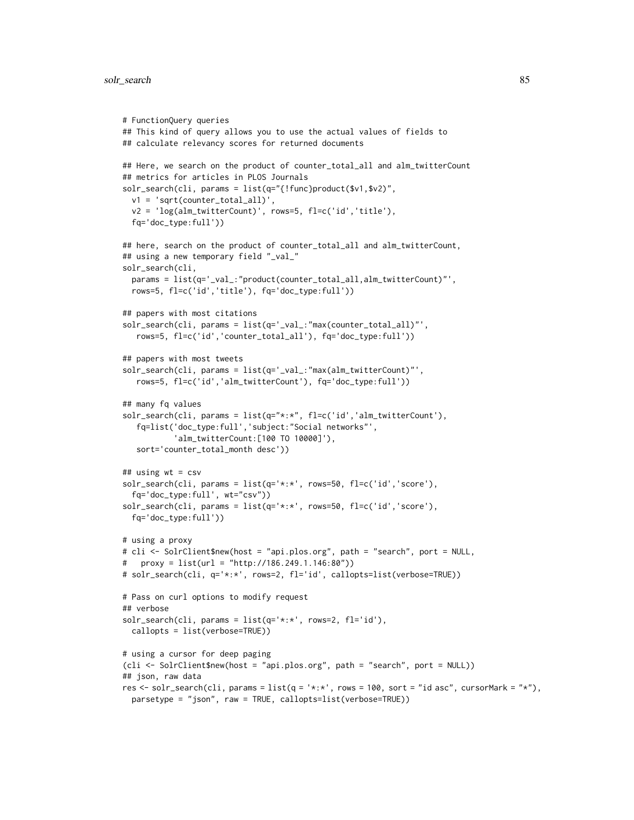```
# FunctionQuery queries
## This kind of query allows you to use the actual values of fields to
## calculate relevancy scores for returned documents
## Here, we search on the product of counter_total_all and alm_twitterCount
## metrics for articles in PLOS Journals
solr_search(cli, params = list(q="{!func}product($v1,$v2)",
 v1 = 'sqrt(counter_total_all)',
 v2 = 'log(alm_twitterCount)', rows=5, fl=c('id','title'),
 fq='doc_type:full'))
## here, search on the product of counter_total_all and alm_twitterCount,
## using a new temporary field "_val_"
solr_search(cli,
 params = list(q='_val_:"product(counter_total_all,alm_twitterCount)"',
 rows=5, fl=c('id','title'), fq='doc_type:full'))
## papers with most citations
solr_search(cli, params = list(q='_val_:"max(counter_total_all)"',
  rows=5, fl=c('id','counter_total_all'), fq='doc_type:full'))
## papers with most tweets
solr_search(cli, params = list(q='_val_:"max(alm_twitterCount)"',
  rows=5, fl=c('id','alm_twitterCount'), fq='doc_type:full'))
## many fq values
solr_search(cli, params = list(q="*:*", fl=c('id','alm_twitterCount'),
   fq=list('doc_type:full','subject:"Social networks"',
           'alm_twitterCount:[100 TO 10000]'),
  sort='counter_total_month desc'))
## using wt = csv
solr_search(cli, params = list(q='*:*', rows=50, fl=c('id','score'),
  fq='doc_type:full', wt="csv"))
solr_search(cli, params = list(q='*:*', rows=50, fl=c('id','score'),
 fq='doc_type:full'))
# using a proxy
# cli <- SolrClient$new(host = "api.plos.org", path = "search", port = NULL,
   proxy = list(url = "http://186.249.1.146:80"))# solr_search(cli, q='*:*', rows=2, fl='id', callopts=list(verbose=TRUE))
# Pass on curl options to modify request
## verbose
solr_search(cli, params = list(q='*:*', rows=2, fl='id'),
 callopts = list(verbose=TRUE))
# using a cursor for deep paging
(cli <- SolrClient$new(host = "api.plos.org", path = "search", port = NULL))
## json, raw data
res <- solr_search(cli, params = list(q = '*:*', rows = 100, sort = "id asc", cursorMark = "*"),
 parsetype = "json", raw = TRUE, callopts=list(verbose=TRUE))
```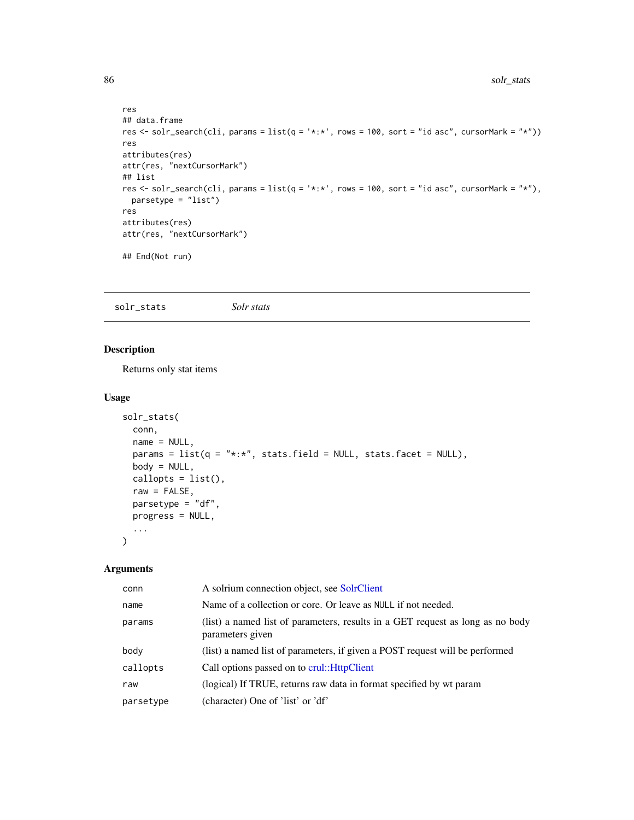```
res
## data.frame
res <- solr_search(cli, params = list(q = '*:*', rows = 100, sort = "id asc", cursorMark = "*"))
res
attributes(res)
attr(res, "nextCursorMark")
## list
res <- solr_search(cli, params = list(q = '*:*', rows = 100, sort = "id asc", cursorMark = "*"),
  parsetype = "list")
res
attributes(res)
attr(res, "nextCursorMark")
## End(Not run)
```
solr\_stats *Solr stats*

# Description

Returns only stat items

# Usage

```
solr_stats(
 conn,
 name = NULL,params = list(q = "*:*,", stats.fileId = NULL, stats.float = NULL),body = NULL,callopts = list(),raw = FALSE,parsetype = "df",
 progress = NULL,
  ...
\mathcal{L}
```

| conn      | A solrium connection object, see SolrClient                                                        |
|-----------|----------------------------------------------------------------------------------------------------|
| name      | Name of a collection or core. Or leave as NULL if not needed.                                      |
| params    | (list) a named list of parameters, results in a GET request as long as no body<br>parameters given |
| body      | (list) a named list of parameters, if given a POST request will be performed                       |
| callopts  | Call options passed on to crul:: HttpClient                                                        |
| raw       | (logical) If TRUE, returns raw data in format specified by wt param                                |
| parsetype | (character) One of 'list' or 'df'                                                                  |

<span id="page-85-0"></span>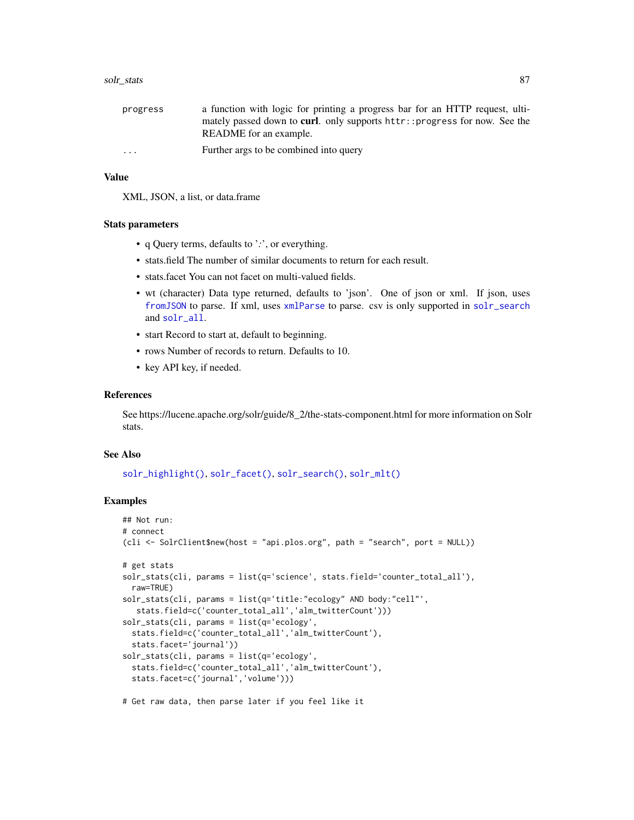#### <span id="page-86-0"></span>solr\_stats 87

| progress | a function with logic for printing a progress bar for an HTTP request, ulti-       |
|----------|------------------------------------------------------------------------------------|
|          | mately passed down to <b>curl</b> . only supports httr:: progress for now. See the |
|          | README for an example.                                                             |
| $\cdots$ | Further args to be combined into query                                             |

# Value

XML, JSON, a list, or data.frame

#### Stats parameters

- q Query terms, defaults to '*:*', or everything.
- stats.field The number of similar documents to return for each result.
- stats.facet You can not facet on multi-valued fields.
- wt (character) Data type returned, defaults to 'json'. One of json or xml. If json, uses [fromJSON](#page-0-0) to parse. If xml, uses [xmlParse](#page-0-0) to parse. csv is only supported in [solr\\_search](#page-80-0) and [solr\\_all](#page-55-0).
- start Record to start at, default to beginning.
- rows Number of records to return. Defaults to 10.
- key API key, if needed.

#### References

See https://lucene.apache.org/solr/guide/8\_2/the-stats-component.html for more information on Solr stats.

#### See Also

[solr\\_highlight\(\)](#page-70-0), [solr\\_facet\(\)](#page-59-0), [solr\\_search\(\)](#page-80-0), [solr\\_mlt\(\)](#page-76-0)

```
## Not run:
# connect
(cli <- SolrClient$new(host = "api.plos.org", path = "search", port = NULL))
# get stats
solr_stats(cli, params = list(q='science', stats.field='counter_total_all'),
 raw=TRUE)
solr_stats(cli, params = list(q='title:"ecology" AND body:"cell"',
  stats.field=c('counter_total_all','alm_twitterCount')))
solr_stats(cli, params = list(q='ecology',
 stats.field=c('counter_total_all','alm_twitterCount'),
 stats.facet='journal'))
solr_stats(cli, params = list(q='ecology',
 stats.field=c('counter_total_all','alm_twitterCount'),
 stats.facet=c('journal','volume')))
# Get raw data, then parse later if you feel like it
```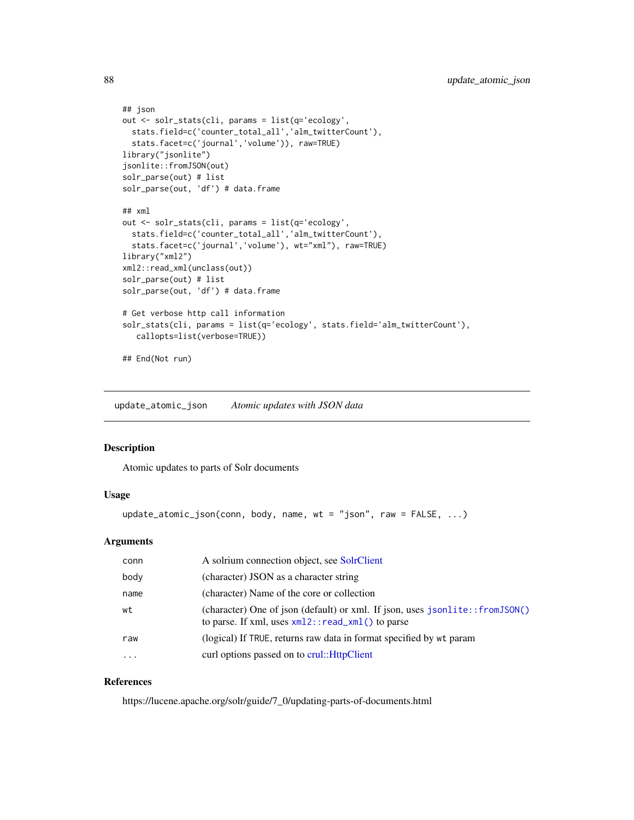```
## json
out <- solr_stats(cli, params = list(q='ecology',
 stats.field=c('counter_total_all','alm_twitterCount'),
  stats.facet=c('journal','volume')), raw=TRUE)
library("jsonlite")
jsonlite::fromJSON(out)
solr_parse(out) # list
solr_parse(out, 'df') # data.frame
## xml
out <- solr_stats(cli, params = list(q='ecology',
  stats.field=c('counter_total_all','alm_twitterCount'),
  stats.facet=c('journal','volume'), wt="xml"), raw=TRUE)
library("xml2")
xml2::read_xml(unclass(out))
solr_parse(out) # list
solr_parse(out, 'df') # data.frame
# Get verbose http call information
solr_stats(cli, params = list(q='ecology', stats.field='alm_twitterCount'),
   callopts=list(verbose=TRUE))
## End(Not run)
```
update\_atomic\_json *Atomic updates with JSON data*

#### Description

Atomic updates to parts of Solr documents

# Usage

```
update_atomic_json(conn, body, name, wt = "json", raw = FALSE, ...)
```
# Arguments

| conn     | A solrium connection object, see SolrClient                                                                                             |
|----------|-----------------------------------------------------------------------------------------------------------------------------------------|
| body     | (character) JSON as a character string                                                                                                  |
| name     | (character) Name of the core or collection                                                                                              |
| wt       | (character) One of json (default) or xml. If json, uses $jsonlite::fromJSON()$<br>to parse. If xml, uses $xml2$ : : read_xml() to parse |
| raw      | (logical) If TRUE, returns raw data in format specified by wt param                                                                     |
| $\cdots$ | curl options passed on to crul:: HttpClient                                                                                             |

#### References

https://lucene.apache.org/solr/guide/7\_0/updating-parts-of-documents.html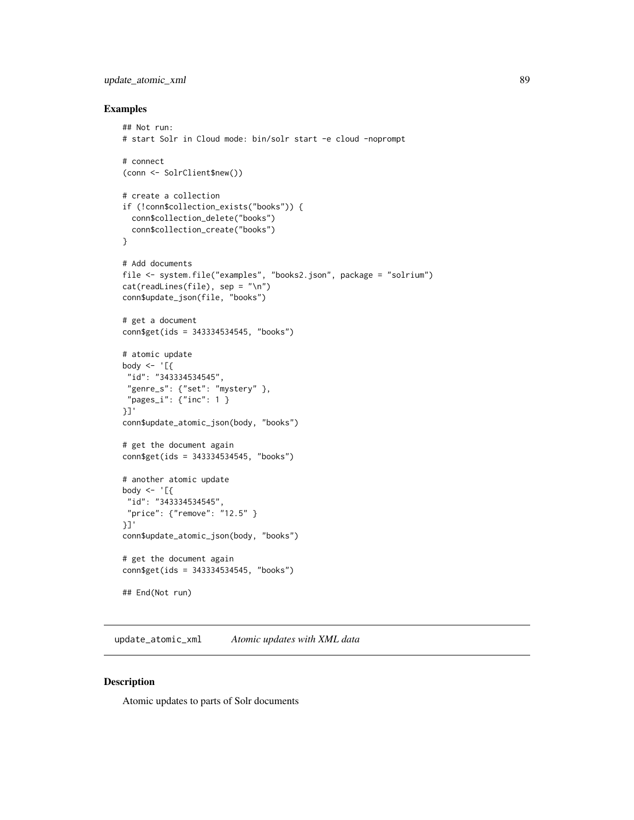# <span id="page-88-0"></span>update\_atomic\_xml 89

#### Examples

```
## Not run:
# start Solr in Cloud mode: bin/solr start -e cloud -noprompt
# connect
(conn <- SolrClient$new())
# create a collection
if (!conn$collection_exists("books")) {
  conn$collection_delete("books")
  conn$collection_create("books")
}
# Add documents
file <- system.file("examples", "books2.json", package = "solrium")
cat(readLines(file), sep = "\n")
conn$update_json(file, "books")
# get a document
conn$get(ids = 343334534545, "books")
# atomic update
body \leq - '[{
"id": "343334534545",
 "genre_s": {"set": "mystery" },
 "pages_i": {"inc": 1 }
}]'
conn$update_atomic_json(body, "books")
# get the document again
conn$get(ids = 343334534545, "books")
# another atomic update
body <- '[{
 "id": "343334534545",
 "price": {"remove": "12.5" }
}]'
conn$update_atomic_json(body, "books")
# get the document again
conn$get(ids = 343334534545, "books")
## End(Not run)
```
update\_atomic\_xml *Atomic updates with XML data*

# Description

Atomic updates to parts of Solr documents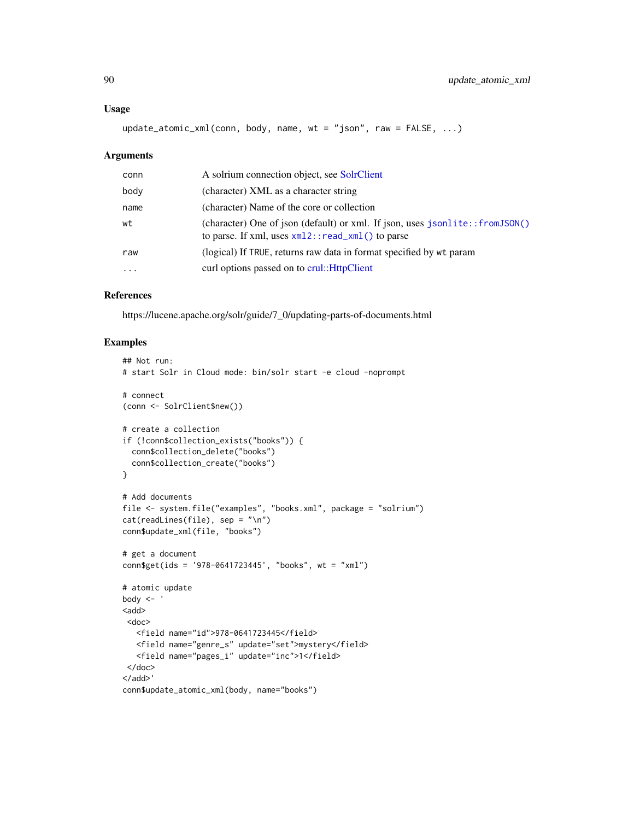#### <span id="page-89-0"></span>Usage

update\_atomic\_xml(conn, body, name, wt = "json", raw = FALSE, ...)

#### Arguments

| conn      | A solrium connection object, see SolrClient                                                                                             |
|-----------|-----------------------------------------------------------------------------------------------------------------------------------------|
| body      | (character) XML as a character string                                                                                                   |
| name      | (character) Name of the core or collection                                                                                              |
| wt        | (character) One of json (default) or xml. If json, uses $jsonlite::fromJSON()$<br>to parse. If xml, uses $xml2$ : : read_xml() to parse |
| raw       | (logical) If TRUE, returns raw data in format specified by wt param                                                                     |
| $\ddotsc$ | curl options passed on to crul:: HttpClient                                                                                             |

# References

https://lucene.apache.org/solr/guide/7\_0/updating-parts-of-documents.html

```
## Not run:
# start Solr in Cloud mode: bin/solr start -e cloud -noprompt
# connect
(conn <- SolrClient$new())
# create a collection
if (!conn$collection_exists("books")) {
  conn$collection_delete("books")
  conn$collection_create("books")
}
# Add documents
file <- system.file("examples", "books.xml", package = "solrium")
cat(readLines(file), sep = "\n")
conn$update_xml(file, "books")
# get a document
conn$get(ids = '978-0641723445', "books", wt = "xml")
# atomic update
body \leq -<add>
 <doc>
  <field name="id">978-0641723445</field>
   <field name="genre_s" update="set">mystery</field>
   <field name="pages_i" update="inc">1</field>
 </doc>
</add>'
conn$update_atomic_xml(body, name="books")
```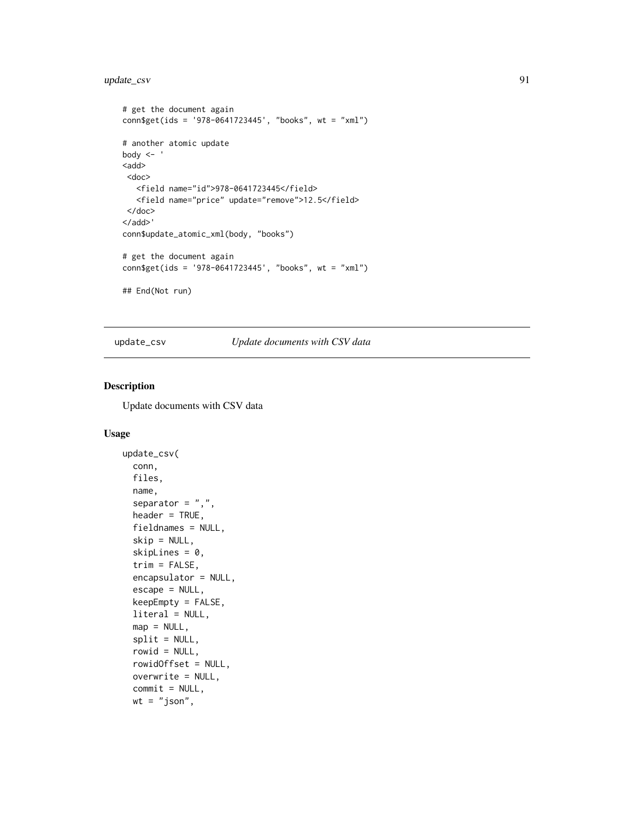# <span id="page-90-1"></span>update\_csv 91

```
# get the document again
conn$get(ids = '978-0641723445', "books", wt = "xml")
# another atomic update
body <- '
<add>
 <doc>
   <field name="id">978-0641723445</field>
  <field name="price" update="remove">12.5</field>
 </doc>
</add>'
conn$update_atomic_xml(body, "books")
# get the document again
conn$get(ids = '978-0641723445', "books", wt = "xml")
## End(Not run)
```
<span id="page-90-0"></span>update\_csv *Update documents with CSV data*

# Description

Update documents with CSV data

#### Usage

```
update_csv(
 conn,
  files,
 name,
  separator = ",",header = TRUE,
 fieldnames = NULL,
  skip = NULL,
  skipLines = 0,
  trim = FALSE,encapsulator = NULL,
  escape = NULL,
 keepEmpty = FALSE,
 literal = NULL,
 map = NULL,split = NULL,rowid = NULL,
  rowidOffset = NULL,
 overwrite = NULL,
  commit = NULL,wt = "json",
```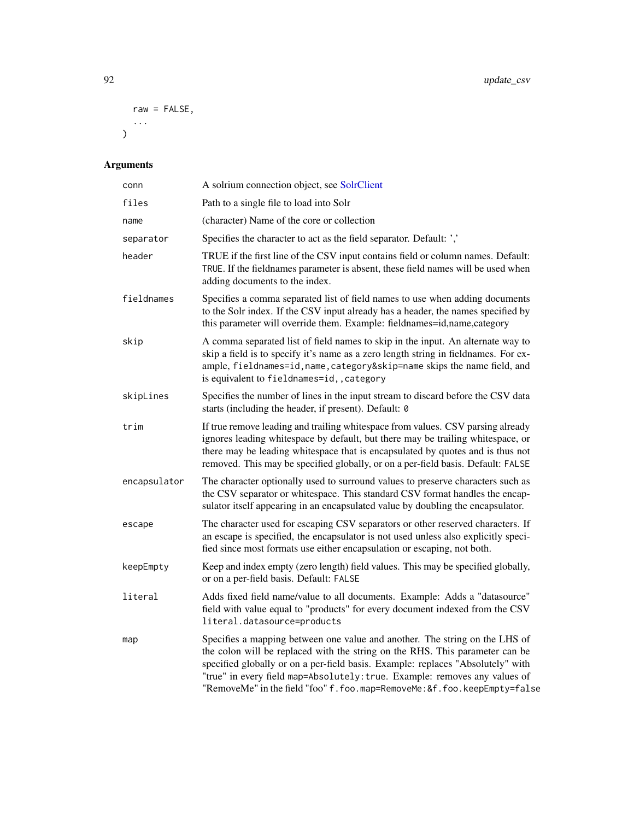```
raw = FALSE,
 ...
)
```

| conn         | A solrium connection object, see SolrClient                                                                                                                                                                                                                                                                                                                                                             |
|--------------|---------------------------------------------------------------------------------------------------------------------------------------------------------------------------------------------------------------------------------------------------------------------------------------------------------------------------------------------------------------------------------------------------------|
| files        | Path to a single file to load into Solr                                                                                                                                                                                                                                                                                                                                                                 |
| name         | (character) Name of the core or collection                                                                                                                                                                                                                                                                                                                                                              |
| separator    | Specifies the character to act as the field separator. Default: ','                                                                                                                                                                                                                                                                                                                                     |
| header       | TRUE if the first line of the CSV input contains field or column names. Default:<br>TRUE. If the fieldnames parameter is absent, these field names will be used when<br>adding documents to the index.                                                                                                                                                                                                  |
| fieldnames   | Specifies a comma separated list of field names to use when adding documents<br>to the Solr index. If the CSV input already has a header, the names specified by<br>this parameter will override them. Example: fieldnames=id,name,category                                                                                                                                                             |
| skip         | A comma separated list of field names to skip in the input. An alternate way to<br>skip a field is to specify it's name as a zero length string in fieldnames. For ex-<br>ample, fieldnames=id, name, category&skip=name skips the name field, and<br>is equivalent to fieldnames=id,, category                                                                                                         |
| skipLines    | Specifies the number of lines in the input stream to discard before the CSV data<br>starts (including the header, if present). Default: 0                                                                                                                                                                                                                                                               |
| trim         | If true remove leading and trailing whitespace from values. CSV parsing already<br>ignores leading whitespace by default, but there may be trailing whitespace, or<br>there may be leading whitespace that is encapsulated by quotes and is thus not<br>removed. This may be specified globally, or on a per-field basis. Default: FALSE                                                                |
| encapsulator | The character optionally used to surround values to preserve characters such as<br>the CSV separator or whitespace. This standard CSV format handles the encap-<br>sulator itself appearing in an encapsulated value by doubling the encapsulator.                                                                                                                                                      |
| escape       | The character used for escaping CSV separators or other reserved characters. If<br>an escape is specified, the encapsulator is not used unless also explicitly speci-<br>fied since most formats use either encapsulation or escaping, not both.                                                                                                                                                        |
| keepEmpty    | Keep and index empty (zero length) field values. This may be specified globally,<br>or on a per-field basis. Default: FALSE                                                                                                                                                                                                                                                                             |
| literal      | Adds fixed field name/value to all documents. Example: Adds a "datasource"<br>field with value equal to "products" for every document indexed from the CSV<br>literal.datasource=products                                                                                                                                                                                                               |
| map          | Specifies a mapping between one value and another. The string on the LHS of<br>the colon will be replaced with the string on the RHS. This parameter can be<br>specified globally or on a per-field basis. Example: replaces "Absolutely" with<br>"true" in every field map=Absolutely: true. Example: removes any values of<br>"RemoveMe" in the field "foo" f.foo.map=RemoveMe:&f.foo.keepEmpty=false |

<span id="page-91-0"></span>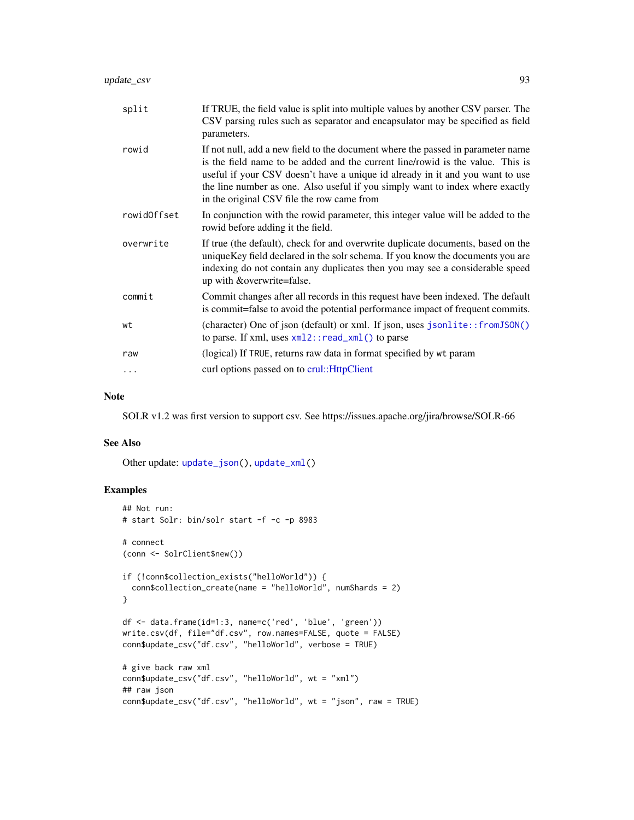<span id="page-92-0"></span>

| split       | If TRUE, the field value is split into multiple values by another CSV parser. The<br>CSV parsing rules such as separator and encapsulator may be specified as field<br>parameters.                                                                                                                                                                                                |
|-------------|-----------------------------------------------------------------------------------------------------------------------------------------------------------------------------------------------------------------------------------------------------------------------------------------------------------------------------------------------------------------------------------|
| rowid       | If not null, add a new field to the document where the passed in parameter name<br>is the field name to be added and the current line/rowid is the value. This is<br>useful if your CSV doesn't have a unique id already in it and you want to use<br>the line number as one. Also useful if you simply want to index where exactly<br>in the original CSV file the row came from |
| rowidOffset | In conjunction with the rowid parameter, this integer value will be added to the<br>rowid before adding it the field.                                                                                                                                                                                                                                                             |
| overwrite   | If true (the default), check for and overwrite duplicate documents, based on the<br>uniqueKey field declared in the solr schema. If you know the documents you are<br>indexing do not contain any duplicates then you may see a considerable speed<br>up with & overwrite=false.                                                                                                  |
| commit      | Commit changes after all records in this request have been indexed. The default<br>is commit=false to avoid the potential performance impact of frequent commits.                                                                                                                                                                                                                 |
| wt          | (character) One of json (default) or xml. If json, uses jsonlite::fromJSON()<br>to parse. If xml, uses $xml2$ : : read_xml() to parse                                                                                                                                                                                                                                             |
| raw         | (logical) If TRUE, returns raw data in format specified by wt param                                                                                                                                                                                                                                                                                                               |
| $\cdots$    | curl options passed on to crul:: HttpClient                                                                                                                                                                                                                                                                                                                                       |

# Note

SOLR v1.2 was first version to support csv. See https://issues.apache.org/jira/browse/SOLR-66

# See Also

Other update: [update\\_json\(](#page-93-0)), [update\\_xml\(](#page-95-0))

```
## Not run:
# start Solr: bin/solr start -f -c -p 8983
# connect
(conn <- SolrClient$new())
if (!conn$collection_exists("helloWorld")) {
  conn$collection_create(name = "helloWorld", numShards = 2)
}
df <- data.frame(id=1:3, name=c('red', 'blue', 'green'))
write.csv(df, file="df.csv", row.names=FALSE, quote = FALSE)
conn$update_csv("df.csv", "helloWorld", verbose = TRUE)
# give back raw xml
conn$update_csv("df.csv", "helloWorld", wt = "xml")
## raw json
conn$update_csv("df.csv", "helloWorld", wt = "json", raw = TRUE)
```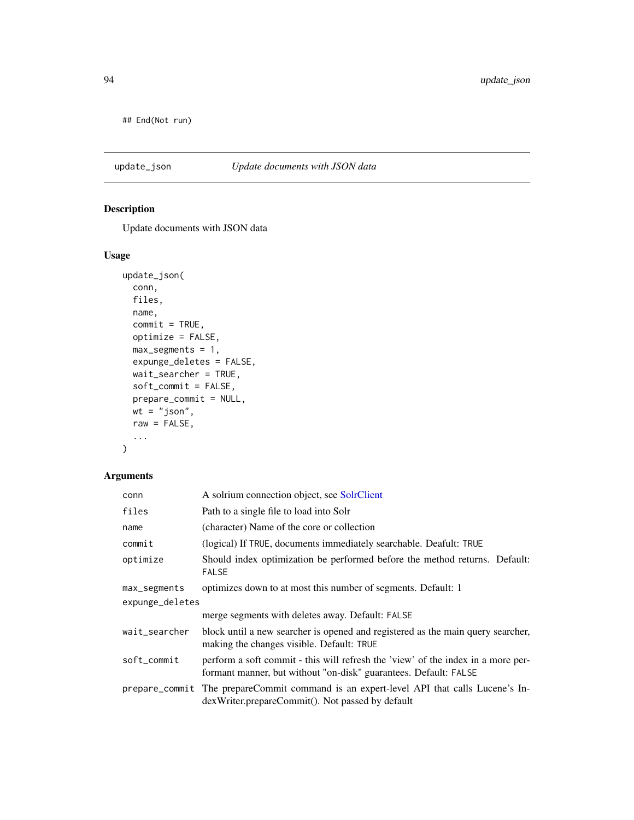<span id="page-93-1"></span>## End(Not run)

# <span id="page-93-0"></span>update\_json *Update documents with JSON data*

# Description

Update documents with JSON data

# Usage

```
update_json(
 conn,
 files,
 name,
 commit = TRUE,optimize = FALSE,
 max_segments = 1,
 expunge_deletes = FALSE,
 wait_searcher = TRUE,
 soft_commit = FALSE,
 prepare_commit = NULL,
 wt = "json",raw = FALSE,...
)
```

| conn            | A solrium connection object, see SolrClient                                                                                                          |  |
|-----------------|------------------------------------------------------------------------------------------------------------------------------------------------------|--|
| files           | Path to a single file to load into Solr                                                                                                              |  |
| name            | (character) Name of the core or collection                                                                                                           |  |
| commit          | (logical) If TRUE, documents immediately searchable. Deafult: TRUE                                                                                   |  |
| optimize        | Should index optimization be performed before the method returns. Default:<br><b>FALSE</b>                                                           |  |
| max_segments    | optimizes down to at most this number of segments. Default: 1                                                                                        |  |
| expunge_deletes |                                                                                                                                                      |  |
|                 | merge segments with deletes away. Default: FALSE                                                                                                     |  |
| wait_searcher   | block until a new searcher is opened and registered as the main query searcher,<br>making the changes visible. Default: TRUE                         |  |
| soft_commit     | perform a soft commit - this will refresh the 'view' of the index in a more per-<br>formant manner, but without "on-disk" guarantees. Default: FALSE |  |
|                 | prepare_commit The prepareCommit command is an expert-level API that calls Lucene's In-<br>dexWriter.prepareCommit(). Not passed by default          |  |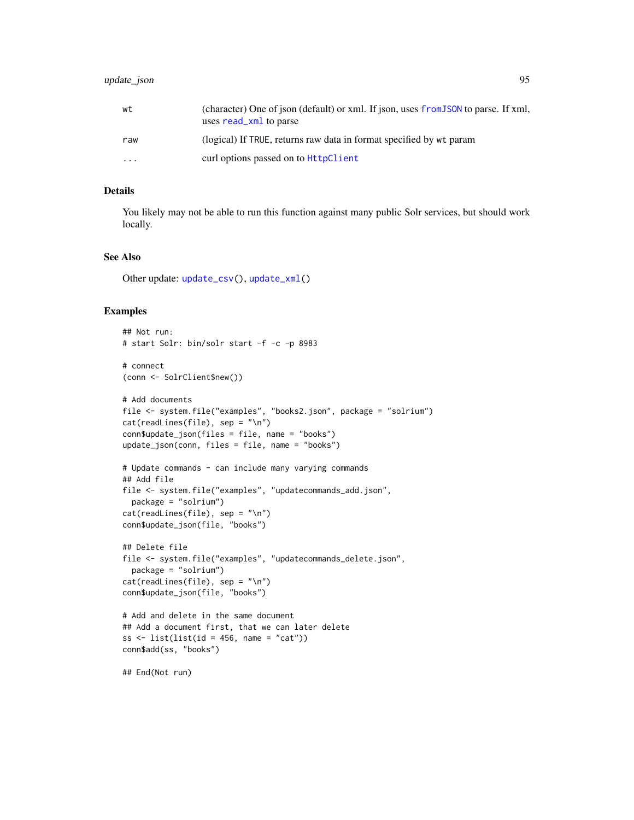# <span id="page-94-0"></span>update\_json 95

| wt       | (character) One of json (default) or xml. If json, uses from JSON to parse. If xml,<br>uses read_xml to parse |
|----------|---------------------------------------------------------------------------------------------------------------|
| raw      | (logical) If TRUE, returns raw data in format specified by wt param                                           |
| $\cdots$ | curl options passed on to HttpClient                                                                          |

#### Details

You likely may not be able to run this function against many public Solr services, but should work locally.

# See Also

Other update: [update\\_csv\(](#page-90-0)), [update\\_xml\(](#page-95-0))

```
## Not run:
# start Solr: bin/solr start -f -c -p 8983
# connect
(conn <- SolrClient$new())
# Add documents
file <- system.file("examples", "books2.json", package = "solrium")
cat(readLines(file), sep = "\n")
conn$update_json(files = file, name = "books")
update_json(conn, files = file, name = "books")
# Update commands - can include many varying commands
## Add file
file <- system.file("examples", "updatecommands_add.json",
  package = "solrium")
cat(readLines(file), sep = "\n")
conn$update_json(file, "books")
## Delete file
file <- system.file("examples", "updatecommands_delete.json",
  package = "solrium")
cat(readLines(file), sep = "\n")
conn$update_json(file, "books")
# Add and delete in the same document
## Add a document first, that we can later delete
ss \leftarrow list(list(id = 456, name = "cat"))
conn$add(ss, "books")
## End(Not run)
```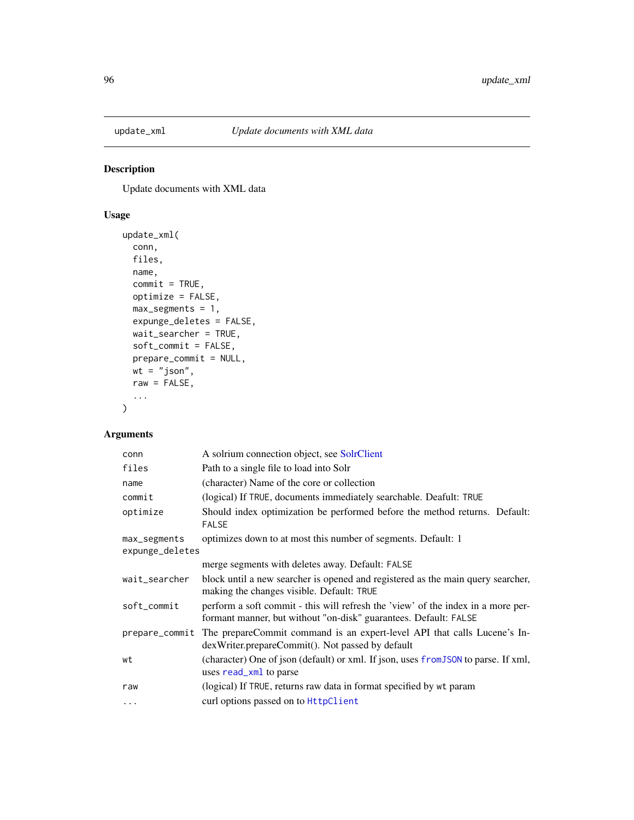<span id="page-95-1"></span><span id="page-95-0"></span>

# Description

Update documents with XML data

# Usage

```
update_xml(
 conn,
  files,
 name,
  commit = TRUE,optimize = FALSE,
 max\_segments = 1,expunge_deletes = FALSE,
 wait_searcher = TRUE,
  soft_commit = FALSE,
 prepare_commit = NULL,
 wt = "json",raw = FALSE,
  ...
\mathcal{L}
```

| conn                            | A solrium connection object, see SolrClient                                                                                                          |
|---------------------------------|------------------------------------------------------------------------------------------------------------------------------------------------------|
| files                           | Path to a single file to load into Solr                                                                                                              |
| name                            | (character) Name of the core or collection                                                                                                           |
| commit                          | (logical) If TRUE, documents immediately searchable. Deafult: TRUE                                                                                   |
| optimize                        | Should index optimization be performed before the method returns. Default:<br><b>FALSE</b>                                                           |
| max_segments<br>expunge_deletes | optimizes down to at most this number of segments. Default: 1                                                                                        |
|                                 | merge segments with deletes away. Default: FALSE                                                                                                     |
| wait_searcher                   | block until a new searcher is opened and registered as the main query searcher,<br>making the changes visible. Default: TRUE                         |
| soft_commit                     | perform a soft commit - this will refresh the 'view' of the index in a more per-<br>formant manner, but without "on-disk" guarantees. Default: FALSE |
| prepare_commit                  | The prepareCommit command is an expert-level API that calls Lucene's In-<br>dexWriter.prepareCommit(). Not passed by default                         |
| wt                              | (character) One of json (default) or xml. If json, uses from JSON to parse. If xml,<br>uses read_xml to parse                                        |
| raw                             | (logical) If TRUE, returns raw data in format specified by wt param                                                                                  |
| $\cdots$                        | curl options passed on to HttpClient                                                                                                                 |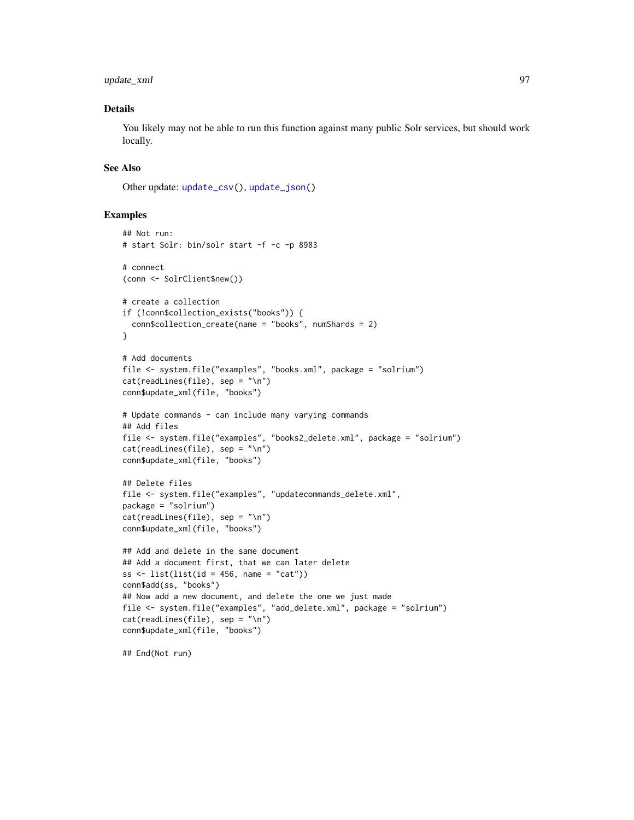# <span id="page-96-0"></span>update\_xml 97

# Details

You likely may not be able to run this function against many public Solr services, but should work locally.

# See Also

Other update: [update\\_csv\(](#page-90-0)), [update\\_json\(](#page-93-0))

# Examples

```
## Not run:
# start Solr: bin/solr start -f -c -p 8983
# connect
(conn <- SolrClient$new())
# create a collection
if (!conn$collection_exists("books")) {
  conn$collection_create(name = "books", numShards = 2)
}
# Add documents
file <- system.file("examples", "books.xml", package = "solrium")
cat(readLines(file), sep = "\n")
conn$update_xml(file, "books")
# Update commands - can include many varying commands
## Add files
file <- system.file("examples", "books2_delete.xml", package = "solrium")
cat(readLines(file), sep = "\n")
conn$update_xml(file, "books")
## Delete files
file <- system.file("examples", "updatecommands_delete.xml",
package = "solrium")
cat(readLines(file), sep = "\n")
conn$update_xml(file, "books")
## Add and delete in the same document
## Add a document first, that we can later delete
ss \le list(list(id = 456, name = "cat"))
conn$add(ss, "books")
## Now add a new document, and delete the one we just made
file <- system.file("examples", "add_delete.xml", package = "solrium")
cat(readLines(file), sep = "\n")
conn$update_xml(file, "books")
```
## End(Not run)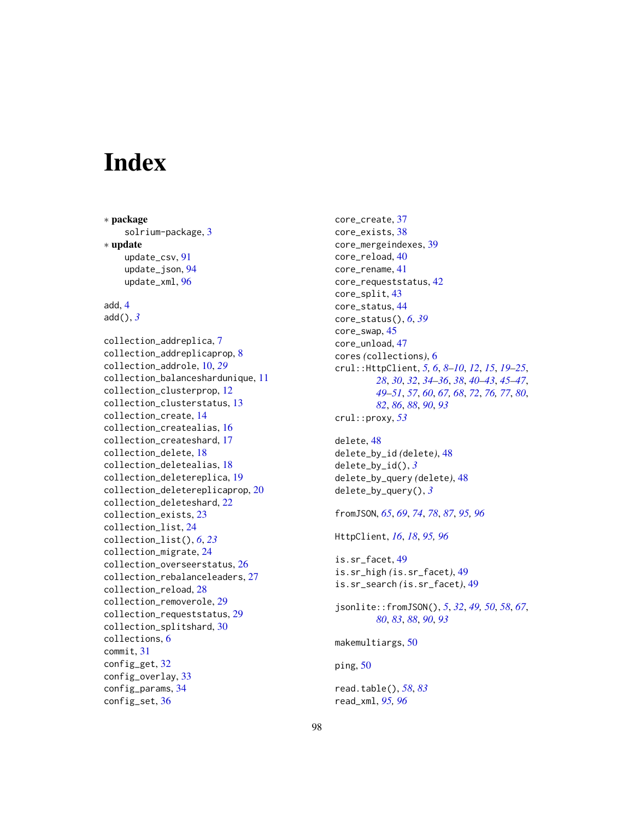# **Index**

∗ package solrium-package, [3](#page-2-0) ∗ update update\_csv, [91](#page-90-1) update\_json, [94](#page-93-1) update\_xml, [96](#page-95-1) add, [4](#page-3-0) add(), *[3](#page-2-0)* collection\_addreplica, [7](#page-6-0) collection\_addreplicaprop, [8](#page-7-0) collection\_addrole, [10,](#page-9-0) *[29](#page-28-0)* collection\_balanceshardunique, [11](#page-10-0) collection\_clusterprop, [12](#page-11-0) collection\_clusterstatus, [13](#page-12-0) collection\_create, [14](#page-13-0) collection\_createalias, [16](#page-15-0) collection\_createshard, [17](#page-16-0) collection\_delete, [18](#page-17-0) collection\_deletealias, [18](#page-17-0) collection\_deletereplica, [19](#page-18-0) collection\_deletereplicaprop, [20](#page-19-0) collection\_deleteshard, [22](#page-21-0) collection\_exists, [23](#page-22-0) collection\_list, [24](#page-23-0) collection\_list(), *[6](#page-5-0)*, *[23](#page-22-0)* collection\_migrate, [24](#page-23-0) collection\_overseerstatus, [26](#page-25-0) collection\_rebalanceleaders, [27](#page-26-0) collection\_reload, [28](#page-27-0) collection\_removerole, [29](#page-28-0) collection\_requeststatus, [29](#page-28-0) collection\_splitshard, [30](#page-29-0) collections, [6](#page-5-0) commit, [31](#page-30-0) config\_get, [32](#page-31-0) config\_overlay, [33](#page-32-0) config\_params, [34](#page-33-0) config\_set, [36](#page-35-0)

core\_create, [37](#page-36-0) core\_exists, [38](#page-37-0) core\_mergeindexes, [39](#page-38-0) core\_reload, [40](#page-39-0) core\_rename, [41](#page-40-0) core\_requeststatus, [42](#page-41-0) core\_split, [43](#page-42-0) core\_status, [44](#page-43-0) core\_status(), *[6](#page-5-0)*, *[39](#page-38-0)* core\_swap, [45](#page-44-0) core\_unload, [47](#page-46-0) cores *(*collections*)*, [6](#page-5-0) crul::HttpClient, *[5,](#page-4-0) [6](#page-5-0)*, *[8](#page-7-0)[–10](#page-9-0)*, *[12](#page-11-0)*, *[15](#page-14-0)*, *[19](#page-18-0)[–25](#page-24-0)*, *[28](#page-27-0)*, *[30](#page-29-0)*, *[32](#page-31-0)*, *[34](#page-33-0)[–36](#page-35-0)*, *[38](#page-37-0)*, *[40](#page-39-0)[–43](#page-42-0)*, *[45](#page-44-0)[–47](#page-46-0)*, *[49](#page-48-0)[–51](#page-50-0)*, *[57](#page-56-0)*, *[60](#page-59-1)*, *[67,](#page-66-0) [68](#page-67-0)*, *[72](#page-71-0)*, *[76,](#page-75-0) [77](#page-76-1)*, *[80](#page-79-0)*, *[82](#page-81-0)*, *[86](#page-85-0)*, *[88](#page-87-0)*, *[90](#page-89-0)*, *[93](#page-92-0)* crul::proxy, *[53](#page-52-0)*

```
delete, 48
delete_by_id (delete), 48
delete_by_id(), 3
delete_by_query (delete), 48
delete_by_query(), 3
```

```
fromJSON, 65, 69, 74, 78, 87, 95, 96
```
HttpClient, *[16](#page-15-0)*, *[18](#page-17-0)*, *[95,](#page-94-0) [96](#page-95-1)*

```
is.sr_facet, 49
is.sr_high (is.sr_facet), 49
is.sr_search (is.sr_facet), 49
```

```
jsonlite::fromJSON(), 5, 32, 49, 50, 58, 67,
         80, 83, 88, 90, 93
```

```
makemultiargs, 50
```
ping, [50](#page-49-0)

```
read.table(), 58, 83
read_xml, 95, 96
```